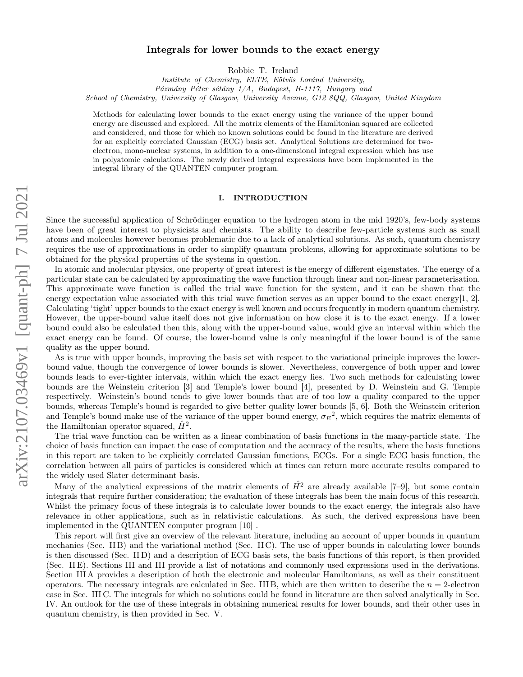# arXiv:2107.03469v1 [quant-ph] 7 Jul 2021 arXiv:2107.03469v1 [quant-ph] 7 Jul 2021

# Integrals for lower bounds to the exact energy

Robbie T. Ireland

Institute of Chemistry, ELTE, Eötvös Loránd University,

Pázmány Péter sétány 1/A, Budapest, H-1117, Hungary and

School of Chemistry, University of Glasgow, University Avenue, G12 8QQ, Glasgow, United Kingdom

Methods for calculating lower bounds to the exact energy using the variance of the upper bound energy are discussed and explored. All the matrix elements of the Hamiltonian squared are collected and considered, and those for which no known solutions could be found in the literature are derived for an explicitly correlated Gaussian (ECG) basis set. Analytical Solutions are determined for twoelectron, mono-nuclear systems, in addition to a one-dimensional integral expression which has use in polyatomic calculations. The newly derived integral expressions have been implemented in the integral library of the QUANTEN computer program.

# I. INTRODUCTION

Since the successful application of Schrödinger equation to the hydrogen atom in the mid 1920's, few-body systems have been of great interest to physicists and chemists. The ability to describe few-particle systems such as small atoms and molecules however becomes problematic due to a lack of analytical solutions. As such, quantum chemistry requires the use of approximations in order to simplify quantum problems, allowing for approximate solutions to be obtained for the physical properties of the systems in question.

In atomic and molecular physics, one property of great interest is the energy of different eigenstates. The energy of a particular state can be calculated by approximating the wave function through linear and non-linear parameterisation. This approximate wave function is called the trial wave function for the system, and it can be shown that the energy expectation value associated with this trial wave function serves as an upper bound to the exact energy $[1, 2]$  $[1, 2]$  $[1, 2]$ . Calculating 'tight' upper bounds to the exact energy is well known and occurs frequently in modern quantum chemistry. However, the upper-bound value itself does not give information on how close it is to the exact energy. If a lower bound could also be calculated then this, along with the upper-bound value, would give an interval within which the exact energy can be found. Of course, the lower-bound value is only meaningful if the lower bound is of the same quality as the upper bound.

As is true with upper bounds, improving the basis set with respect to the variational principle improves the lowerbound value, though the convergence of lower bounds is slower. Nevertheless, convergence of both upper and lower bounds leads to ever-tighter intervals, within which the exact energy lies. Two such methods for calculating lower bounds are the Weinstein criterion [\[3\]](#page-26-2) and Temple's lower bound [\[4\]](#page-26-3), presented by D. Weinstein and G. Temple respectively. Weinstein's bound tends to give lower bounds that are of too low a quality compared to the upper bounds, whereas Temple's bound is regarded to give better quality lower bounds [\[5,](#page-26-4) [6\]](#page-26-5). Both the Weinstein criterion and Temple's bound make use of the variance of the upper bound energy,  $\sigma_E^2$ , which requires the matrix elements of the Hamiltonian operator squared,  $\hat{H}^2$ .

The trial wave function can be written as a linear combination of basis functions in the many-particle state. The choice of basis function can impact the ease of computation and the accuracy of the results, where the basis functions in this report are taken to be explicitly correlated Gaussian functions, ECGs. For a single ECG basis function, the correlation between all pairs of particles is considered which at times can return more accurate results compared to the widely used Slater determinant basis.

Many of the analytical expressions of the matrix elements of  $\hat{H}^2$  are already available [\[7](#page-26-6)[–9\]](#page-26-7), but some contain integrals that require further consideration; the evaluation of these integrals has been the main focus of this research. Whilst the primary focus of these integrals is to calculate lower bounds to the exact energy, the integrals also have relevance in other applications, such as in relativistic calculations. As such, the derived expressions have been implemented in the QUANTEN computer program [\[10\]](#page-26-8) .

This report will first give an overview of the relevant literature, including an account of upper bounds in quantum mechanics (Sec. [II B\)](#page-1-0) and the variational method (Sec. [II C\)](#page-2-0). The use of upper bounds in calculating lower bounds is then discussed (Sec. [II D\)](#page-3-0) and a description of ECG basis sets, the basis functions of this report, is then provided (Sec. [II E\)](#page-7-0). Sections [III](#page-10-0) and [III](#page-10-1) provide a list of notations and commonly used expressions used in the derivations. Section [III A](#page-10-2) provides a description of both the electronic and molecular Hamiltonians, as well as their constituent operators. The necessary integrals are calculated in Sec. [III B,](#page-11-0) which are then written to describe the  $n = 2$ -electron case in Sec. [III C.](#page-12-0) The integrals for which no solutions could be found in literature are then solved analytically in Sec. [IV.](#page-13-0) An outlook for the use of these integrals in obtaining numerical results for lower bounds, and their other uses in quantum chemistry, is then provided in Sec. [V.](#page-25-0)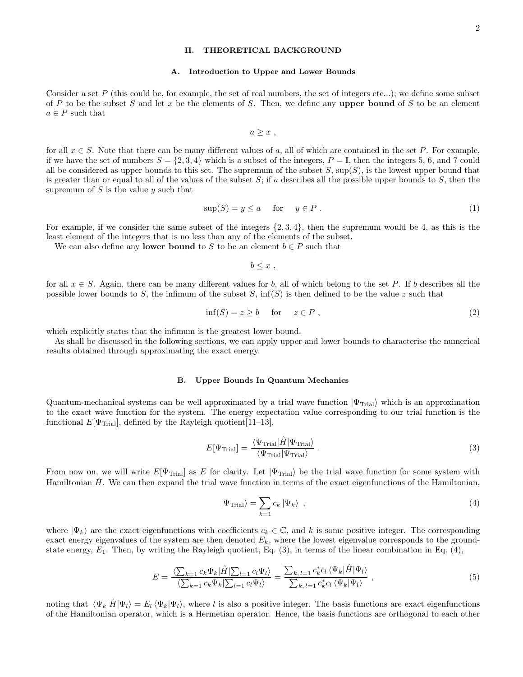# II. THEORETICAL BACKGROUND

### <span id="page-1-3"></span>A. Introduction to Upper and Lower Bounds

Consider a set  $P$  (this could be, for example, the set of real numbers, the set of integers etc...); we define some subset of P to be the subset S and let x be the elements of S. Then, we define any upper bound of S to be an element  $a \in P$  such that

$$
a\geq x\ ,
$$

for all  $x \in S$ . Note that there can be many different values of a, all of which are contained in the set P. For example, if we have the set of numbers  $S = \{2, 3, 4\}$  which is a subset of the integers,  $P = \mathbb{I}$ , then the integers 5, 6, and 7 could all be considered as upper bounds to this set. The supremum of the subset  $S$ ,  $\sup(S)$ , is the lowest upper bound that is greater than or equal to all of the values of the subset  $S$ ; if a describes all the possible upper bounds to  $S$ , then the supremum of  $S$  is the value  $y$  such that

$$
\sup(S) = y \le a \quad \text{for} \quad y \in P. \tag{1}
$$

For example, if we consider the same subset of the integers  $\{2, 3, 4\}$ , then the supremum would be 4, as this is the least element of the integers that is no less than any of the elements of the subset.

We can also define any **lower bound** to S to be an element  $b \in P$  such that

 $b \leq x$ .

for all  $x \in S$ . Again, there can be many different values for b, all of which belong to the set P. If b describes all the possible lower bounds to S, the infimum of the subset S,  $\inf(S)$  is then defined to be the value z such that

$$
inf(S) = z \ge b \quad for \quad z \in P , \tag{2}
$$

which explicitly states that the infimum is the greatest lower bound.

As shall be discussed in the following sections, we can apply upper and lower bounds to characterise the numerical results obtained through approximating the exact energy.

### <span id="page-1-0"></span>B. Upper Bounds In Quantum Mechanics

Quantum-mechanical systems can be well approximated by a trial wave function  $|\Psi_{\text{Trial}}\rangle$  which is an approximation to the exact wave function for the system. The energy expectation value corresponding to our trial function is the functional  $E[\Psi_{\text{Trial}}]$ , defined by the Rayleigh quotient [\[11](#page-26-9)[–13\]](#page-26-10),

$$
E[\Psi_{\text{Trial}}] = \frac{\langle \Psi_{\text{Trial}} | \hat{H} | \Psi_{\text{Trial}} \rangle}{\langle \Psi_{\text{Trial}} | \Psi_{\text{trial}} \rangle} \ . \tag{3}
$$

From now on, we will write  $E[\Psi_{\text{Trial}}]$  as E for clarity. Let  $|\Psi_{\text{Trial}}\rangle$  be the trial wave function for some system with Hamiltonian  $H$ . We can then expand the trial wave function in terms of the exact eigenfunctions of the Hamiltonian,

<span id="page-1-2"></span><span id="page-1-1"></span>
$$
|\Psi_{\text{Trial}}\rangle = \sum_{k=1} c_k | \Psi_k \rangle \quad , \tag{4}
$$

where  $|\Psi_k\rangle$  are the exact eigenfunctions with coefficients  $c_k \in \mathbb{C}$ , and k is some positive integer. The corresponding exact energy eigenvalues of the system are then denoted  $E_k$ , where the lowest eigenvalue corresponds to the groundstate energy,  $E_1$ . Then, by writing the Rayleigh quotient, Eq. [\(3\)](#page-1-1), in terms of the linear combination in Eq. [\(4\)](#page-1-2),

$$
E = \frac{\langle \sum_{k=1} c_k \Psi_k | \hat{H} | \sum_{l=1} c_l \Psi_l \rangle}{\langle \sum_{k=1} c_k \Psi_k | \sum_{l=1} c_l \Psi_l \rangle} = \frac{\sum_{k,l=1} c_k^* c_l \langle \Psi_k | \hat{H} | \Psi_l \rangle}{\sum_{k,l=1} c_k^* c_l \langle \Psi_k | \Psi_l \rangle} , \qquad (5)
$$

noting that  $\langle \Psi_k|\hat{H}|\Psi_l\rangle = E_l \langle \Psi_k|\Psi_l\rangle$ , where l is also a positive integer. The basis functions are exact eigenfunctions of the Hamiltonian operator, which is a Hermetian operator. Hence, the basis functions are orthogonal to each other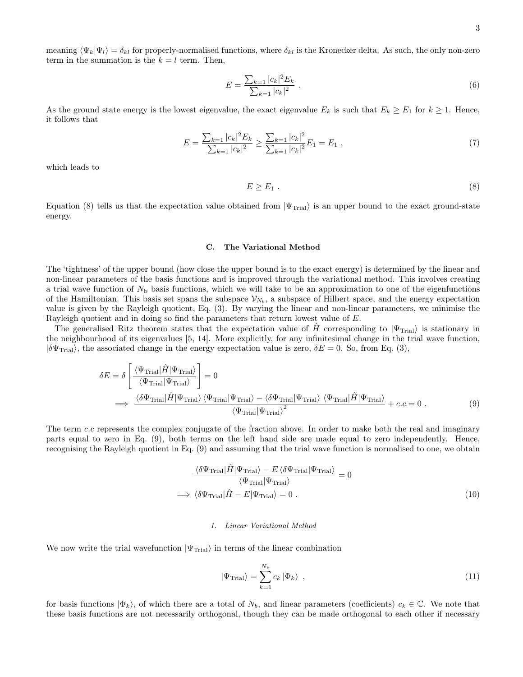meaning  $\langle \Psi_k | \Psi_l \rangle = \delta_{kl}$  for properly-normalised functions, where  $\delta_{kl}$  is the Kronecker delta. As such, the only non-zero term in the summation is the  $k = l$  term. Then,

$$
E = \frac{\sum_{k=1} |c_k|^2 E_k}{\sum_{k=1} |c_k|^2} \,. \tag{6}
$$

As the ground state energy is the lowest eigenvalue, the exact eigenvalue  $E_k$  is such that  $E_k \ge E_1$  for  $k \ge 1$ . Hence, it follows that

$$
E = \frac{\sum_{k=1} |c_k|^2 E_k}{\sum_{k=1} |c_k|^2} \ge \frac{\sum_{k=1} |c_k|^2}{\sum_{k=1} |c_k|^2} E_1 = E_1 \tag{7}
$$

which leads to

<span id="page-2-1"></span>
$$
E \ge E_1 \tag{8}
$$

Equation [\(8\)](#page-2-1) tells us that the expectation value obtained from  $|\Psi_{\text{Trial}}\rangle$  is an upper bound to the exact ground-state energy.

### <span id="page-2-0"></span>C. The Variational Method

The 'tightness' of the upper bound (how close the upper bound is to the exact energy) is determined by the linear and non-linear parameters of the basis functions and is improved through the variational method. This involves creating a trial wave function of  $N<sub>b</sub>$  basis functions, which we will take to be an approximation to one of the eigenfunctions of the Hamiltonian. This basis set spans the subspace  $V_{N_b}$ , a subspace of Hilbert space, and the energy expectation value is given by the Rayleigh quotient, Eq. [\(3\)](#page-1-1). By varying the linear and non-linear parameters, we minimise the Rayleigh quotient and in doing so find the parameters that return lowest value of E.

The generalised Ritz theorem states that the expectation value of H corresponding to  $|\Psi_{\text{Trial}}\rangle$  is stationary in the neighbourhood of its eigenvalues [\[5,](#page-26-4) [14\]](#page-26-11). More explicitly, for any infinitesimal change in the trial wave function,  $|\delta\Psi_{\text{Trial}}\rangle$ , the associated change in the energy expectation value is zero,  $\delta E = 0$ . So, from Eq. [\(3\)](#page-1-1),

$$
\delta E = \delta \left[ \frac{\langle \Psi_{\text{Trial}} | \hat{H} | \Psi_{\text{Trial}} \rangle}{\langle \Psi_{\text{Trial}} | \Psi_{\text{trial}} \rangle} \right] = 0
$$
  

$$
\implies \frac{\langle \delta \Psi_{\text{Trial}} | \hat{H} | \Psi_{\text{trial}} \rangle \langle \Psi_{\text{trial}} | \Psi_{\text{trial}} \rangle - \langle \delta \Psi_{\text{trial}} | \Psi_{\text{trial}} \rangle \langle \Psi_{\text{trial}} | \hat{H} | \Psi_{\text{trial}} \rangle}{\langle \Psi_{\text{trial}} | \Psi_{\text{trial}} \rangle^{2}} + c.c = 0.
$$
 (9)

The term c.c represents the complex conjugate of the fraction above. In order to make both the real and imaginary parts equal to zero in Eq. [\(9\)](#page-2-2), both terms on the left hand side are made equal to zero independently. Hence, recognising the Rayleigh quotient in Eq. [\(9\)](#page-2-2) and assuming that the trial wave function is normalised to one, we obtain

$$
\frac{\langle \delta \Psi_{\text{Trial}} | \hat{H} | \Psi_{\text{Trial}} \rangle - E \langle \delta \Psi_{\text{Trial}} | \Psi_{\text{Trial}} \rangle}{\langle \Psi_{\text{Trial}} | \hat{H} - E | \Psi_{\text{Trial}} \rangle} = 0
$$
\n
$$
\implies \langle \delta \Psi_{\text{Trial}} | \hat{H} - E | \Psi_{\text{Trial}} \rangle = 0.
$$
\n(10)

### <span id="page-2-2"></span>1. Linear Variational Method

We now write the trial wavefunction  $|\Psi_{\text{Trial}}\rangle$  in terms of the linear combination

<span id="page-2-4"></span><span id="page-2-3"></span>
$$
|\Psi_{\text{Trial}}\rangle = \sum_{k=1}^{N_{\text{b}}} c_k |\Phi_k\rangle \tag{11}
$$

for basis functions  $|\Phi_k\rangle$ , of which there are a total of  $N_b$ , and linear parameters (coefficients)  $c_k \in \mathbb{C}$ . We note that these basis functions are not necessarily orthogonal, though they can be made orthogonal to each other if necessary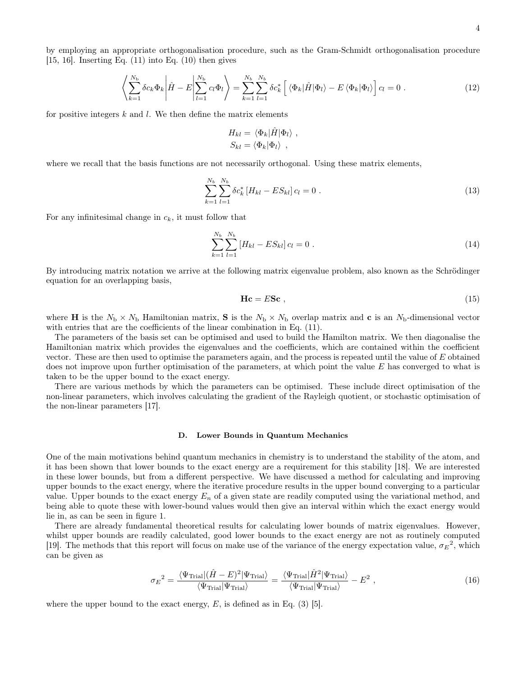by employing an appropriate orthogonalisation procedure, such as the Gram-Schmidt orthogonalisation procedure  $[15, 16]$  $[15, 16]$  $[15, 16]$ . Inserting Eq.  $(11)$  into Eq.  $(10)$  then gives

$$
\left\langle \sum_{k=1}^{N_{\rm b}} \delta c_k \Phi_k \middle| \hat{H} - E \middle| \sum_{l=1}^{N_{\rm b}} c_l \Phi_l \right\rangle = \sum_{k=1}^{N_b} \sum_{l=1}^{N_b} \delta c_k^* \left[ \left\langle \Phi_k | \hat{H} | \Phi_l \right\rangle - E \left\langle \Phi_k | \Phi_l \right\rangle \right] c_l = 0 \tag{12}
$$

for positive integers  $k$  and  $l$ . We then define the matrix elements

$$
H_{kl} = \langle \Phi_k | \hat{H} | \Phi_l \rangle ,
$$
  

$$
S_{kl} = \langle \Phi_k | \Phi_l \rangle ,
$$

where we recall that the basis functions are not necessarily orthogonal. Using these matrix elements,

$$
\sum_{k=1}^{N_b} \sum_{l=1}^{N_b} \delta c_k^* \left[ H_{kl} - ES_{kl} \right] c_l = 0 \tag{13}
$$

For any infinitesimal change in  $c_k$ , it must follow that

$$
\sum_{k=1}^{N_b} \sum_{l=1}^{N_b} \left[ H_{kl} - ES_{kl} \right] c_l = 0 \tag{14}
$$

By introducing matrix notation we arrive at the following matrix eigenvalue problem, also known as the Schrödinger equation for an overlapping basis,

$$
\mathbf{Hc} = ESc \tag{15}
$$

where H is the  $N_b \times N_b$  Hamiltonian matrix, S is the  $N_b \times N_b$  overlap matrix and c is an  $N_b$ -dimensional vector with entries that are the coefficients of the linear combination in Eq.  $(11)$ .

The parameters of the basis set can be optimised and used to build the Hamilton matrix. We then diagonalise the Hamiltonian matrix which provides the eigenvalues and the coefficients, which are contained within the coefficient vector. These are then used to optimise the parameters again, and the process is repeated until the value of E obtained does not improve upon further optimisation of the parameters, at which point the value E has converged to what is taken to be the upper bound to the exact energy.

There are various methods by which the parameters can be optimised. These include direct optimisation of the non-linear parameters, which involves calculating the gradient of the Rayleigh quotient, or stochastic optimisation of the non-linear parameters [\[17\]](#page-26-14).

### <span id="page-3-0"></span>D. Lower Bounds in Quantum Mechanics

One of the main motivations behind quantum mechanics in chemistry is to understand the stability of the atom, and it has been shown that lower bounds to the exact energy are a requirement for this stability [\[18\]](#page-26-15). We are interested in these lower bounds, but from a different perspective. We have discussed a method for calculating and improving upper bounds to the exact energy, where the iterative procedure results in the upper bound converging to a particular value. Upper bounds to the exact energy  $E_n$  of a given state are readily computed using the variational method, and being able to quote these with lower-bound values would then give an interval within which the exact energy would lie in, as can be seen in figure [1.](#page-4-0)

There are already fundamental theoretical results for calculating lower bounds of matrix eigenvalues. However, whilst upper bounds are readily calculated, good lower bounds to the exact energy are not as routinely computed [\[19\]](#page-26-16). The methods that this report will focus on make use of the variance of the energy expectation value,  $\sigma_E^2$ , which can be given as

<span id="page-3-1"></span>
$$
\sigma_E^2 = \frac{\langle \Psi_{\text{Trial}} | (\hat{H} - E)^2 | \Psi_{\text{Trial}} \rangle}{\langle \Psi_{\text{trial}} | \Psi_{\text{trial}} \rangle} = \frac{\langle \Psi_{\text{Trial}} | \hat{H}^2 | \Psi_{\text{Trial}} \rangle}{\langle \Psi_{\text{trial}} | \Psi_{\text{trial}} \rangle} - E^2 \,, \tag{16}
$$

where the upper bound to the exact energy,  $E$ , is defined as in Eq. [\(3\)](#page-1-1) [\[5\]](#page-26-4).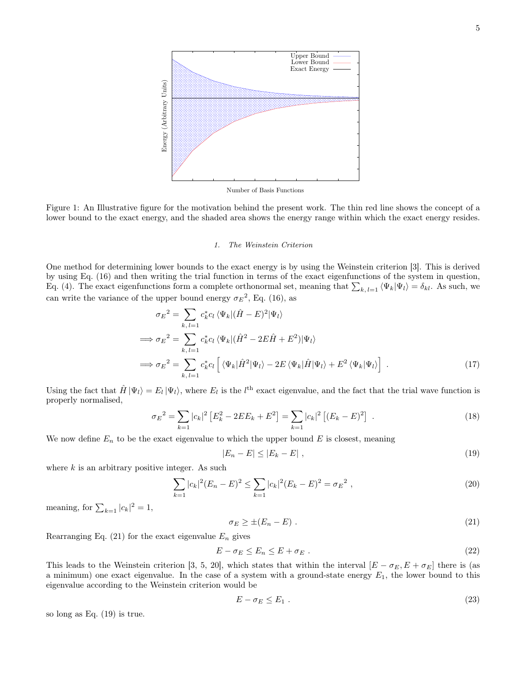<span id="page-4-0"></span>

Number of Basis Functions

Figure 1: An Illustrative figure for the motivation behind the present work. The thin red line shows the concept of a lower bound to the exact energy, and the shaded area shows the energy range within which the exact energy resides.

### 1. The Weinstein Criterion

One method for determining lower bounds to the exact energy is by using the Weinstein criterion [\[3\]](#page-26-2). This is derived by using Eq. [\(16\)](#page-3-1) and then writing the trial function in terms of the exact eigenfunctions of the system in question, Eq. [\(4\)](#page-1-2). The exact eigenfunctions form a complete orthonormal set, meaning that  $\sum_{k, l=1} \langle \Psi_k | \Psi_l \rangle = \delta_{kl}$ . As such, we can write the variance of the upper bound energy  $\sigma_E^2$ , Eq. [\(16\)](#page-3-1), as

$$
\sigma_E^2 = \sum_{k, l=1} c_k^* c_l \langle \Psi_k | (\hat{H} - E)^2 | \Psi_l \rangle
$$
  
\n
$$
\implies \sigma_E^2 = \sum_{k, l=1} c_k^* c_l \langle \Psi_k | (\hat{H}^2 - 2E\hat{H} + E^2) | \Psi_l \rangle
$$
  
\n
$$
\implies \sigma_E^2 = \sum_{k, l=1} c_k^* c_l \left[ \langle \Psi_k | \hat{H}^2 | \Psi_l \rangle - 2E \langle \Psi_k | \hat{H} | \Psi_l \rangle + E^2 \langle \Psi_k | \Psi_l \rangle \right].
$$
\n(17)

Using the fact that  $\hat{H}|\Psi_l\rangle = E_l|\Psi_l\rangle$ , where  $E_l$  is the  $l^{\text{th}}$  exact eigenvalue, and the fact that the trial wave function is properly normalised,

$$
\sigma_E^2 = \sum_{k=1} |c_k|^2 \left[ E_k^2 - 2EE_k + E^2 \right] = \sum_{k=1} |c_k|^2 \left[ (E_k - E)^2 \right] \ . \tag{18}
$$

We now define  $E_n$  to be the exact eigenvalue to which the upper bound E is closest, meaning

<span id="page-4-2"></span>
$$
|E_n - E| \le |E_k - E| \tag{19}
$$

where  $k$  is an arbitrary positive integer. As such

$$
\sum_{k=1} |c_k|^2 (E_n - E)^2 \le \sum_{k=1} |c_k|^2 (E_k - E)^2 = \sigma_E^2 , \qquad (20)
$$

meaning, for  $\sum_{k=1}^{\infty} |c_k|^2 = 1$ ,

<span id="page-4-1"></span>
$$
\sigma_E \ge \pm (E_n - E) \tag{21}
$$

Rearranging Eq. [\(21\)](#page-4-1) for the exact eigenvalue  $E_n$  gives

$$
E - \sigma_E \le E_n \le E + \sigma_E \tag{22}
$$

This leads to the Weinstein criterion [\[3,](#page-26-2) [5,](#page-26-4) [20\]](#page-26-17), which states that within the interval  $[E - \sigma_E, E + \sigma_E]$  there is (as a minimum) one exact eigenvalue. In the case of a system with a ground-state energy  $E_1$ , the lower bound to this eigenvalue according to the Weinstein criterion would be

<span id="page-4-3"></span>
$$
E - \sigma_E \le E_1 \tag{23}
$$

so long as Eq. [\(19\)](#page-4-2) is true.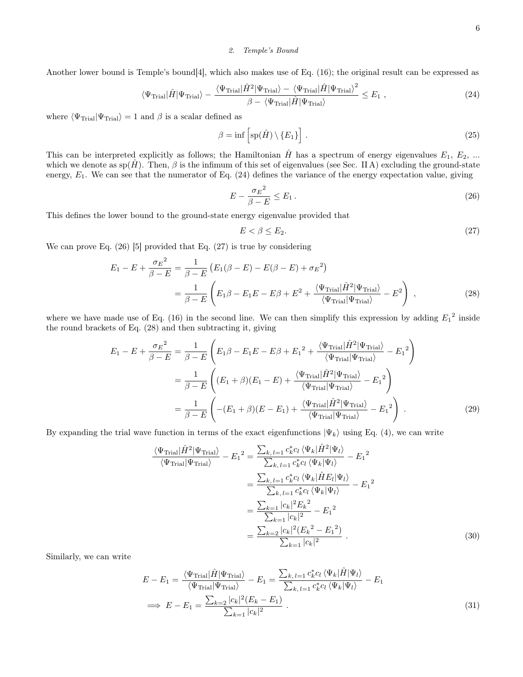# <span id="page-5-0"></span>2. Temple's Bound

Another lower bound is Temple's bound[\[4\]](#page-26-3), which also makes use of Eq. [\(16\)](#page-3-1); the original result can be expressed as

$$
\langle \Psi_{\text{Trial}} | \hat{H} | \Psi_{\text{Trial}} \rangle - \frac{\langle \Psi_{\text{Trial}} | \hat{H}^2 | \Psi_{\text{Trial}} \rangle - \langle \Psi_{\text{Trial}} | \hat{H} | \Psi_{\text{Trial}} \rangle^2}{\beta - \langle \Psi_{\text{Trial}} | \hat{H} | \Psi_{\text{Trial}} \rangle} \leq E_1 , \qquad (24)
$$

where  $\langle \Psi_{\text{Trial}} | \Psi_{\text{Trial}} \rangle = 1$  and  $\beta$  is a scalar defined as

$$
\beta = \inf \left[ sp(\hat{H}) \setminus \{E_1\} \right]. \tag{25}
$$

This can be interpreted explicitly as follows; the Hamiltonian  $\hat{H}$  has a spectrum of energy eigenvalues  $E_1, E_2, ...$ which we denote as  $sp(H)$ . Then,  $\beta$  is the infimum of this set of eigenvalues (see Sec. [II A\)](#page-1-3) excluding the ground-state energy,  $E_1$ . We can see that the numerator of Eq. [\(24\)](#page-5-0) defines the variance of the energy expectation value, giving

$$
E - \frac{\sigma_E^2}{\beta - E} \le E_1 \,. \tag{26}
$$

This defines the lower bound to the ground-state energy eigenvalue provided that

<span id="page-5-6"></span><span id="page-5-3"></span><span id="page-5-2"></span><span id="page-5-1"></span>
$$
E < \beta \le E_2. \tag{27}
$$

We can prove Eq. [\(26\)](#page-5-1) [\[5\]](#page-26-4) provided that Eq. [\(27\)](#page-5-2) is true by considering

$$
E_1 - E + \frac{\sigma_E^2}{\beta - E} = \frac{1}{\beta - E} \left( E_1(\beta - E) - E(\beta - E) + \sigma_E^2 \right)
$$
  
= 
$$
\frac{1}{\beta - E} \left( E_1 \beta - E_1 E - E \beta + E^2 + \frac{\langle \Psi_{\text{Trial}} | \hat{H}^2 | \Psi_{\text{Trial}} \rangle}{\langle \Psi_{\text{Trial}} | \Psi_{\text{Trial}} \rangle} - E^2 \right) ,
$$
 (28)

where we have made use of Eq. [\(16\)](#page-3-1) in the second line. We can then simplify this expression by adding  $E_1^2$  inside the round brackets of Eq. [\(28\)](#page-5-3) and then subtracting it, giving

$$
E_1 - E + \frac{\sigma_E^2}{\beta - E} = \frac{1}{\beta - E} \left( E_1 \beta - E_1 E - E \beta + E_1^2 + \frac{\langle \Psi_{\text{Trial}} | \hat{H}^2 | \Psi_{\text{Trial}} \rangle}{\langle \Psi_{\text{trial}} | \Psi_{\text{trial}} \rangle} - E_1^2 \right)
$$
  

$$
= \frac{1}{\beta - E} \left( (E_1 + \beta)(E_1 - E) + \frac{\langle \Psi_{\text{trial}} | \hat{H}^2 | \Psi_{\text{trial}} \rangle}{\langle \Psi_{\text{trial}} | \Psi_{\text{trial}} \rangle} - E_1^2 \right)
$$
  

$$
= \frac{1}{\beta - E} \left( -(E_1 + \beta)(E - E_1) + \frac{\langle \Psi_{\text{trial}} | \hat{H}^2 | \Psi_{\text{trial}} \rangle}{\langle \Psi_{\text{trial}} | \Psi_{\text{trial}} \rangle} - E_1^2 \right) .
$$
 (29)

By expanding the trial wave function in terms of the exact eigenfunctions  $|\Psi_k\rangle$  using Eq. [\(4\)](#page-1-2), we can write

<span id="page-5-4"></span>
$$
\frac{\langle \Psi_{\text{Trial}} | \hat{H}^2 | \Psi_{\text{Trial}} \rangle}{\langle \Psi_{\text{Trial}} | \Psi_{\text{Trial}} \rangle} - E_1^2 = \frac{\sum_{k, l=1} c_k^* c_l \langle \Psi_k | \hat{H}^2 | \Psi_l \rangle}{\sum_{k, l=1} c_k^* c_l \langle \Psi_k | \Psi_l \rangle} - E_1^2
$$

$$
= \frac{\sum_{k, l=1} c_k^* c_l \langle \Psi_k | \hat{H} E_l | \Psi_l \rangle}{\sum_{k, l=1} c_k^* c_l \langle \Psi_k | \Psi_l \rangle} - E_1^2
$$

$$
= \frac{\sum_{k=1} |c_k|^2 E_k^2}{\sum_{k=1} |c_k|^2} - E_1^2
$$

$$
= \frac{\sum_{k=2} |c_k|^2 (E_k^2 - E_1^2)}{\sum_{k=1} |c_k|^2}.
$$
(30)

Similarly, we can write

<span id="page-5-5"></span>
$$
E - E_1 = \frac{\langle \Psi_{\text{Trial}} | \hat{H} | \Psi_{\text{Trial}} \rangle}{\langle \Psi_{\text{trial}} | \Psi_{\text{trial}} \rangle} - E_1 = \frac{\sum_{k, l=1} c_k^* c_l \langle \Psi_k | \hat{H} | \Psi_l \rangle}{\sum_{k, l=1} c_k^* c_l \langle \Psi_k | \Psi_l \rangle} - E_1
$$
  
\n
$$
\implies E - E_1 = \frac{\sum_{k=2} |c_k|^2 (E_k - E_1)}{\sum_{k=1} |c_k|^2}.
$$
\n(31)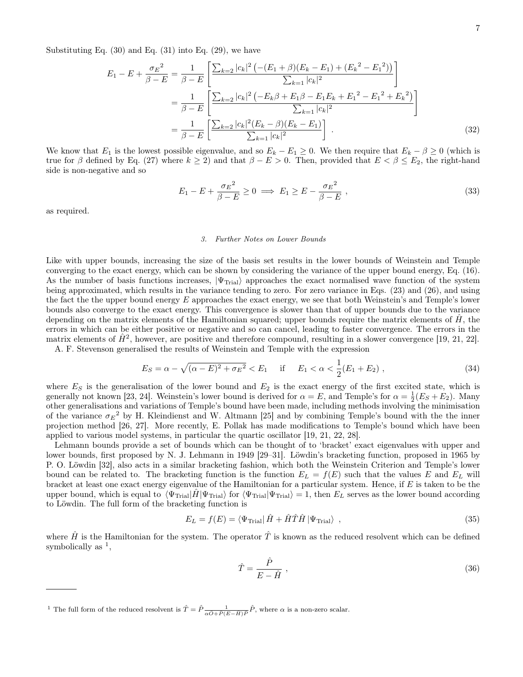Substituting Eq.  $(30)$  and Eq.  $(31)$  into Eq.  $(29)$ , we have

$$
E_1 - E + \frac{\sigma_E^2}{\beta - E} = \frac{1}{\beta - E} \left[ \frac{\sum_{k=2} |c_k|^2 \left( -(E_1 + \beta)(E_k - E_1) + (E_k^2 - E_1^2) \right)}{\sum_{k=1} |c_k|^2} \right]
$$
  
= 
$$
\frac{1}{\beta - E} \left[ \frac{\sum_{k=2} |c_k|^2 \left( -E_k \beta + E_1 \beta - E_1 E_k + E_1^2 - E_1^2 + E_k^2 \right)}{\sum_{k=1} |c_k|^2} \right]
$$
  
= 
$$
\frac{1}{\beta - E} \left[ \frac{\sum_{k=2} |c_k|^2 (E_k - \beta)(E_k - E_1)}{\sum_{k=1} |c_k|^2} \right].
$$
 (32)

We know that  $E_1$  is the lowest possible eigenvalue, and so  $E_k - E_1 \geq 0$ . We then require that  $E_k - \beta \geq 0$  (which is true for  $\beta$  defined by Eq. [\(27\)](#page-5-2) where  $k \ge 2$ ) and that  $\beta - E > 0$ . Then, provided that  $E < \beta \le E_2$ , the right-hand side is non-negative and so

$$
E_1 - E + \frac{\sigma_E^2}{\beta - E} \ge 0 \implies E_1 \ge E - \frac{\sigma_E^2}{\beta - E} \,,\tag{33}
$$

as required.

# 3. Further Notes on Lower Bounds

Like with upper bounds, increasing the size of the basis set results in the lower bounds of Weinstein and Temple converging to the exact energy, which can be shown by considering the variance of the upper bound energy, Eq. [\(16\)](#page-3-1). As the number of basis functions increases,  $|\Psi_{\text{Trial}}\rangle$  approaches the exact normalised wave function of the system being approximated, which results in the variance tending to zero. For zero variance in Eqs. [\(23\)](#page-4-3) and [\(26\)](#page-5-1), and using the fact the the upper bound energy  $E$  approaches the exact energy, we see that both Weinstein's and Temple's lower bounds also converge to the exact energy. This convergence is slower than that of upper bounds due to the variance depending on the matrix elements of the Hamiltonian squared; upper bounds require the matrix elements of  $H$ , the errors in which can be either positive or negative and so can cancel, leading to faster convergence. The errors in the matrix elements of  $\hat{H}^2$ , however, are positive and therefore compound, resulting in a slower convergence [\[19,](#page-26-16) [21,](#page-26-18) [22\]](#page-26-19). A. F. Stevenson generalised the results of Weinstein and Temple with the expression

$$
E_S = \alpha - \sqrt{(\alpha - E)^2 + \sigma_E^2} < E_1 \quad \text{if} \quad E_1 < \alpha < \frac{1}{2}(E_1 + E_2) \tag{34}
$$

where  $E<sub>S</sub>$  is the generalisation of the lower bound and  $E<sub>2</sub>$  is the exact energy of the first excited state, which is generally not known [\[23,](#page-26-20) [24\]](#page-26-21). Weinstein's lower bound is derived for  $\alpha = E$ , and Temple's for  $\alpha = \frac{1}{2}(E_S + E_2)$ . Many other generalisations and variations of Temple's bound have been made, including methods involving the minimisation of the variance  $\sigma_E^2$  by H. Kleindienst and W. Altmann [\[25\]](#page-26-22) and by combining Temple's bound with the the inner projection method [\[26,](#page-26-23) [27\]](#page-26-24). More recently, E. Pollak has made modifications to Temple's bound which have been applied to various model systems, in particular the quartic oscillator [\[19,](#page-26-16) [21,](#page-26-18) [22,](#page-26-19) [28\]](#page-26-25).

Lehmann bounds provide a set of bounds which can be thought of to 'bracket' exact eigenvalues with upper and lower bounds, first proposed by N. J. Lehmann in 1949 [\[29–](#page-26-26)[31\]](#page-26-27). Löwdin's bracketing function, proposed in 1965 by P. O. Löwdin [\[32\]](#page-26-28), also acts in a similar bracketing fashion, which both the Weinstein Criterion and Temple's lower bound can be related to. The bracketing function is the function  $E_L = f(E)$  such that the values E and  $E_L$  will bracket at least one exact energy eigenvalue of the Hamiltonian for a particular system. Hence, if  $E$  is taken to be the upper bound, which is equal to  $\langle \Psi_{\text{Trial}} | \hat{H} | \Psi_{\text{Trial}} \rangle$  for  $\langle \Psi_{\text{Trial}} | \Psi_{\text{Trial}} \rangle = 1$ , then  $E_L$  serves as the lower bound according to Löwdin. The full form of the bracketing function is

$$
E_L = f(E) = \langle \Psi_{\text{Trial}} | \hat{H} + \hat{H}\hat{T}\hat{H} | \Psi_{\text{Trial}} \rangle \tag{35}
$$

where  $\hat{H}$  is the Hamiltonian for the system. The operator  $\hat{T}$  is known as the reduced resolvent which can be defined symbolically as  $<sup>1</sup>$  $<sup>1</sup>$  $<sup>1</sup>$ ,</sup>

<span id="page-6-1"></span>
$$
\hat{T} = \frac{\hat{P}}{E - \hat{H}} \,,\tag{36}
$$

<span id="page-6-0"></span><sup>&</sup>lt;sup>1</sup> The full form of the reduced resolvent is  $\hat{T} = \hat{P} \frac{1}{\alpha \hat{O} + \hat{P}(E - \hat{H})\hat{P}} \hat{P}$ , where  $\alpha$  is a non-zero scalar.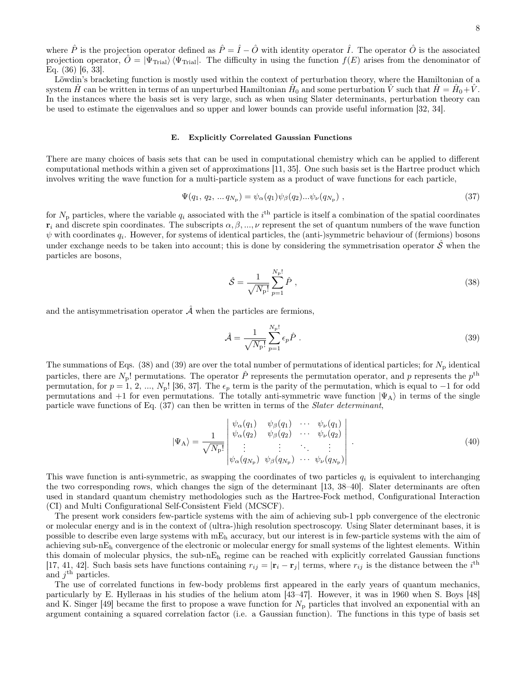Löwdin's bracketing function is mostly used within the context of perturbation theory, where the Hamiltonian of a system  $\hat{H}$  can be written in terms of an unperturbed Hamiltonian  $\hat{H}_0$  and some perturbation  $\hat{V}$  such that  $\hat{H} = \hat{H}_0 + \hat{V}$ . In the instances where the basis set is very large, such as when using Slater determinants, perturbation theory can be used to estimate the eigenvalues and so upper and lower bounds can provide useful information [\[32,](#page-26-28) [34\]](#page-27-0).

### <span id="page-7-0"></span>E. Explicitly Correlated Gaussian Functions

There are many choices of basis sets that can be used in computational chemistry which can be applied to different computational methods within a given set of approximations [\[11,](#page-26-9) [35\]](#page-27-1). One such basis set is the Hartree product which involves writing the wave function for a multi-particle system as a product of wave functions for each particle,

$$
\Psi(q_1, q_2, \dots q_{N_{\rm p}}) = \psi_{\alpha}(q_1)\psi_{\beta}(q_2)\dots\psi_{\nu}(q_{N_{\rm p}}) \tag{37}
$$

for  $N_p$  particles, where the variable  $q_i$  associated with the i<sup>th</sup> particle is itself a combination of the spatial coordinates  $\mathbf{r}_i$  and discrete spin coordinates. The subscripts  $\alpha, \beta, ..., \nu$  represent the set of quantum numbers of the wave function  $\psi$  with coordinates  $q_i$ . However, for systems of identical particles, the (anti-)symmetric behaviour of (fermions) bosons under exchange needs to be taken into account; this is done by considering the symmetrisation operator  $\hat{\mathcal{S}}$  when the particles are bosons,

<span id="page-7-3"></span><span id="page-7-1"></span>
$$
\hat{S} = \frac{1}{\sqrt{N_{\rm p}}} \sum_{p=1}^{N_{\rm p}!} \hat{P} \tag{38}
$$

and the antisymmetrisation operator  $\hat{\mathcal{A}}$  when the particles are fermions,

<span id="page-7-2"></span>
$$
\hat{\mathcal{A}} = \frac{1}{\sqrt{N_{\rm p}}} \sum_{p=1}^{N_{\rm p}!} \epsilon_p \hat{P} \tag{39}
$$

The summations of Eqs. [\(38\)](#page-7-1) and [\(39\)](#page-7-2) are over the total number of permutations of identical particles; for  $N_p$  identical particles, there are  $N_{\rm p}$ ! permutations. The operator  $\hat{P}$  represents the permutation operator, and p represents the  $p^{\rm th}$ permutation, for  $p = 1, 2, ..., N_p$ ! [\[36,](#page-27-2) [37\]](#page-27-3). The  $\epsilon_p$  term is the parity of the permutation, which is equal to −1 for odd permutations and +1 for even permutations. The totally anti-symmetric wave function  $|\Psi_A\rangle$  in terms of the single particle wave functions of Eq. [\(37\)](#page-7-3) can then be written in terms of the Slater determinant,

$$
|\Psi_{\mathbf{A}}\rangle = \frac{1}{\sqrt{N_{\mathbf{p}}!}} \begin{vmatrix} \psi_{\alpha}(q_1) & \psi_{\beta}(q_1) & \cdots & \psi_{\nu}(q_1) \\ \psi_{\alpha}(q_2) & \psi_{\beta}(q_2) & \cdots & \psi_{\nu}(q_2) \\ \vdots & \vdots & \ddots & \vdots \\ \psi_{\alpha}(q_{N_{\mathbf{p}}}) & \psi_{\beta}(q_{N_{\mathbf{p}}}) & \cdots & \psi_{\nu}(q_{N_{\mathbf{p}})} \end{vmatrix} . \tag{40}
$$

This wave function is anti-symmetric, as swapping the coordinates of two particles  $q_i$  is equivalent to interchanging the two corresponding rows, which changes the sign of the determinant [\[13,](#page-26-10) [38–](#page-27-4)[40\]](#page-27-5). Slater determinants are often used in standard quantum chemistry methodologies such as the Hartree-Fock method, Configurational Interaction (CI) and Multi Configurational Self-Consistent Field (MCSCF).

The present work considers few-particle systems with the aim of achieving sub-1 ppb convergence of the electronic or molecular energy and is in the context of (ultra-)high resolution spectroscopy. Using Slater determinant bases, it is possible to describe even large systems with mE<sup>h</sup> accuracy, but our interest is in few-particle systems with the aim of achieving sub-nE<sup>h</sup> convergence of the electronic or molecular energy for small systems of the lightest elements. Within this domain of molecular physics, the sub-n $E_h$  regime can be reached with explicitly correlated Gaussian functions [\[17,](#page-26-14) [41,](#page-27-6) [42\]](#page-27-7). Such basis sets have functions containing  $r_{ij} = |\mathbf{r}_i - \mathbf{r}_j|$  terms, where  $r_{ij}$  is the distance between the  $i^{\text{th}}$ and  $j^{\text{th}}$  particles.

The use of correlated functions in few-body problems first appeared in the early years of quantum mechanics, particularly by E. Hylleraas in his studies of the helium atom [\[43–](#page-27-8)[47\]](#page-27-9). However, it was in 1960 when S. Boys [\[48\]](#page-27-10) and K. Singer [\[49\]](#page-27-11) became the first to propose a wave function for  $N_{\rm p}$  particles that involved an exponential with an argument containing a squared correlation factor (i.e. a Gaussian function). The functions in this type of basis set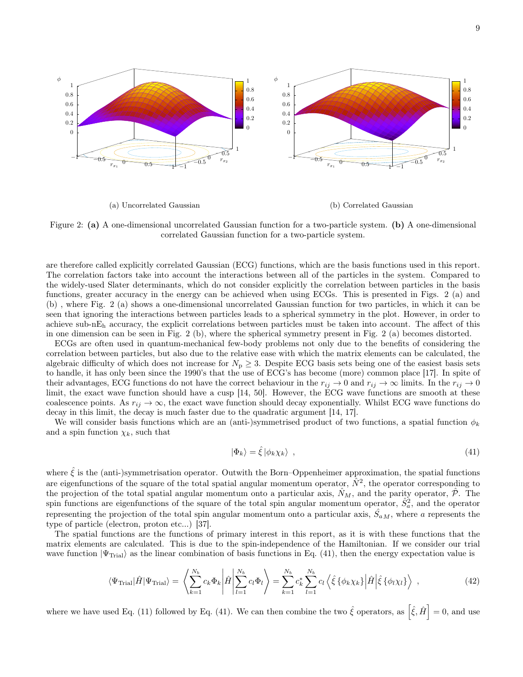<span id="page-8-0"></span>

Figure 2: (a) A one-dimensional uncorrelated Gaussian function for a two-particle system. (b) A one-dimensional correlated Gaussian function for a two-particle system.

are therefore called explicitly correlated Gaussian (ECG) functions, which are the basis functions used in this report. The correlation factors take into account the interactions between all of the particles in the system. Compared to the widely-used Slater determinants, which do not consider explicitly the correlation between particles in the basis functions, greater accuracy in the energy can be achieved when using ECGs. This is presented in Figs. [2](#page-8-0) (a) and (b) , where Fig. [2](#page-8-0) (a) shows a one-dimensional uncorrelated Gaussian function for two particles, in which it can be seen that ignoring the interactions between particles leads to a spherical symmetry in the plot. However, in order to achieve sub-n $E_h$  accuracy, the explicit correlations between particles must be taken into account. The affect of this in one dimension can be seen in Fig. [2](#page-8-0) (b), where the spherical symmetry present in Fig. [2](#page-8-0) (a) becomes distorted.

ECGs are often used in quantum-mechanical few-body problems not only due to the benefits of considering the correlation between particles, but also due to the relative ease with which the matrix elements can be calculated, the algebraic difficulty of which does not increase for  $N_p \geq 3$ . Despite ECG basis sets being one of the easiest basis sets to handle, it has only been since the 1990's that the use of ECG's has become (more) common place [\[17\]](#page-26-14). In spite of their advantages, ECG functions do not have the correct behaviour in the  $r_{ij} \to 0$  and  $r_{ij} \to \infty$  limits. In the  $r_{ij} \to 0$ limit, the exact wave function should have a cusp [\[14,](#page-26-11) [50\]](#page-27-12). However, the ECG wave functions are smooth at these coalescence points. As  $r_{ij} \to \infty$ , the exact wave function should decay exponentially. Whilst ECG wave functions do decay in this limit, the decay is much faster due to the quadratic argument [\[14,](#page-26-11) [17\]](#page-26-14).

We will consider basis functions which are an (anti-)symmetrised product of two functions, a spatial function  $\phi_k$ and a spin function  $\chi_k$ , such that

<span id="page-8-2"></span><span id="page-8-1"></span>
$$
|\Phi_k\rangle = \hat{\xi} |\phi_k \chi_k\rangle \tag{41}
$$

where  $\hat{\xi}$  is the (anti-)symmetrisation operator. Outwith the Born–Oppenheimer approximation, the spatial functions are eigenfunctions of the square of the total spatial angular momentum operator,  $\hat{N}^2$ , the operator corresponding to the projection of the total spatial angular momentum onto a particular axis,  $\hat{N}_M$ , and the parity operator,  $\hat{\mathcal{P}}$ . The spin functions are eigenfunctions of the square of the total spin angular momentum operator,  $\hat{S}_a^2$ , and the operator representing the projection of the total spin angular momentum onto a particular axis,  $\hat{S}_{aM}$ , where a represents the type of particle (electron, proton etc...) [\[37\]](#page-27-3).

The spatial functions are the functions of primary interest in this report, as it is with these functions that the matrix elements are calculated. This is due to the spin-independence of the Hamiltonian. If we consider our trial wave function  $|\Psi_{\text{Trial}}\rangle$  as the linear combination of basis functions in Eq. [\(41\)](#page-8-1), then the energy expectation value is

$$
\langle \Psi_{\text{Trial}} | \hat{H} | \Psi_{\text{Trial}} \rangle = \left\langle \sum_{k=1}^{N_b} c_k \Phi_k \middle| \hat{H} \middle| \sum_{l=1}^{N_b} c_l \Phi_l \right\rangle = \sum_{k=1}^{N_b} c_k^* \sum_{l=1}^{N_b} c_l \left\langle \hat{\xi} \left\{ \phi_k \chi_k \right\} \middle| \hat{H} \middle| \hat{\xi} \left\{ \phi_l \chi_l \right\} \right\rangle , \tag{42}
$$

where we have used Eq. [\(11\)](#page-2-3) followed by Eq. [\(41\)](#page-8-1). We can then combine the two  $\hat{\xi}$  operators, as  $\left[\hat{\xi}, \hat{H}\right] = 0$ , and use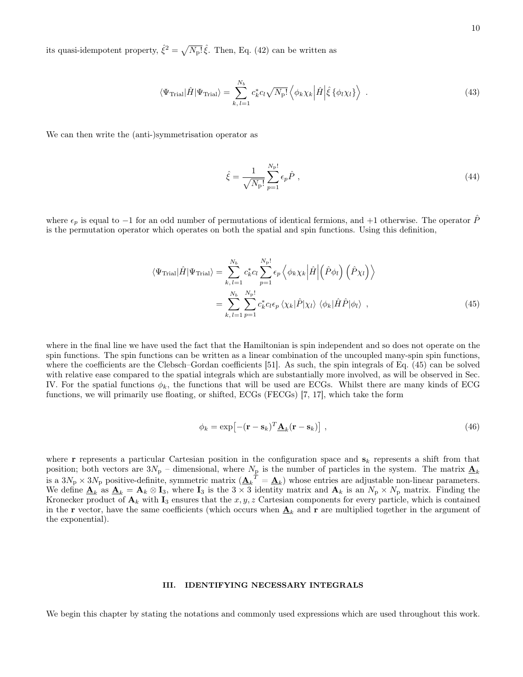its quasi-idempotent property,  $\hat{\xi}^2 = \sqrt{N_{\rm P}!} \hat{\xi}$ . Then, Eq. [\(42\)](#page-8-2) can be written as

$$
\langle \Psi_{\text{Trial}} | \hat{H} | \Psi_{\text{Trial}} \rangle = \sum_{k, l=1}^{N_b} c_k^* c_l \sqrt{N_p!} \left\langle \phi_k \chi_k \left| \hat{H} \right| \hat{\xi} \left\{ \phi_l \chi_l \right\} \right\rangle \tag{43}
$$

We can then write the (anti-)symmetrisation operator as

<span id="page-9-0"></span>
$$
\hat{\xi} = \frac{1}{\sqrt{N_{\rm p}!}} \sum_{p=1}^{N_{\rm p}!} \epsilon_p \hat{P} \;, \tag{44}
$$

where  $\epsilon_p$  is equal to −1 for an odd number of permutations of identical fermions, and +1 otherwise. The operator  $\hat{P}$ is the permutation operator which operates on both the spatial and spin functions. Using this definition,

$$
\langle \Psi_{\text{Trial}} | \hat{H} | \Psi_{\text{Trial}} \rangle = \sum_{k, l=1}^{N_b} c_k^* c_l \sum_{p=1}^{N_p!} \epsilon_p \left\langle \phi_k \chi_k \left| \hat{H} \right| \left( \hat{P} \phi_l \right) \left( \hat{P} \chi_l \right) \right\rangle
$$

$$
= \sum_{k, l=1}^{N_b} \sum_{p=1}^{N_p!} c_k^* c_l \epsilon_p \left\langle \chi_k | \hat{P} | \chi_l \right\rangle \left\langle \phi_k | \hat{H} \hat{P} | \phi_l \right\rangle , \tag{45}
$$

where in the final line we have used the fact that the Hamiltonian is spin independent and so does not operate on the spin functions. The spin functions can be written as a linear combination of the uncoupled many-spin spin functions, where the coefficients are the Clebsch–Gordan coefficients [\[51\]](#page-27-13). As such, the spin integrals of Eq. [\(45\)](#page-9-0) can be solved with relative ease compared to the spatial integrals which are substantially more involved, as will be observed in Sec. [IV.](#page-13-0) For the spatial functions  $\phi_k$ , the functions that will be used are ECGs. Whilst there are many kinds of ECG functions, we will primarily use floating, or shifted, ECGs (FECGs) [\[7,](#page-26-6) [17\]](#page-26-14), which take the form

<span id="page-9-1"></span>
$$
\phi_k = \exp\left[-(\mathbf{r} - \mathbf{s}_k)^T \underline{\mathbf{A}}_k (\mathbf{r} - \mathbf{s}_k)\right],\tag{46}
$$

where **r** represents a particular Cartesian position in the configuration space and  $s_k$  represents a shift from that position; both vectors are  $3N_p$  – dimensional, where  $N_p$  is the number of particles in the system. The matrix  $\mathbf{\underline{A}}_k$ is a  $3N_p \times 3N_p$  positive-definite, symmetric matrix  $(\underline{\mathbf{A}_k}^T = \underline{\mathbf{A}_k})$  whose entries are adjustable non-linear parameters. We define  $\underline{\mathbf{A}}_k$  as  $\underline{\mathbf{A}}_k = \mathbf{A}_k \otimes \mathbf{I}_3$ , where  $\mathbf{I}_3$  is the  $3 \times 3$  identity matrix and  $\mathbf{A}_k$  is an  $N_p \times N_p$  matrix. Finding the Kronecker product of  $A_k$  with  $I_3$  ensures that the  $x, y, z$  Cartesian components for every particle, which is contained in the **r** vector, have the same coefficients (which occurs when  $\underline{A}_k$  and **r** are multiplied together in the argument of the exponential).

### III. IDENTIFYING NECESSARY INTEGRALS

We begin this chapter by stating the notations and commonly used expressions which are used throughout this work.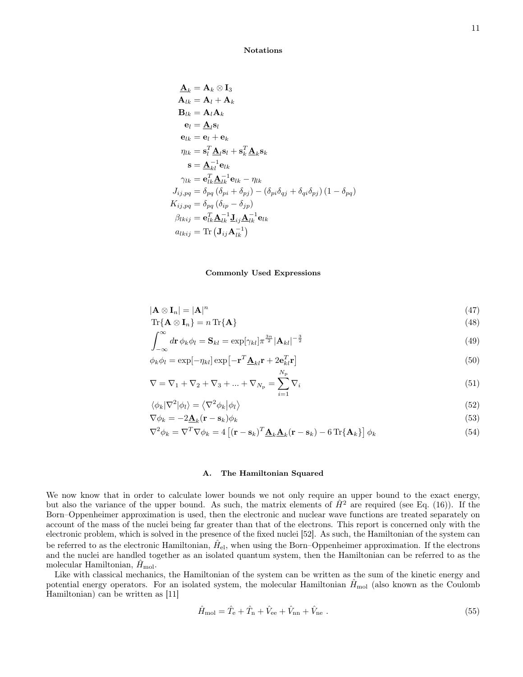<span id="page-10-0"></span>Notations

$$
\begin{aligned} \underline{\mathbf{A}}_k &= \mathbf{A}_k \otimes \mathbf{I}_3 \\ \mathbf{A}_{lk} &= \mathbf{A}_l + \mathbf{A}_k \\ \mathbf{B}_{lk} &= \mathbf{A}_l \mathbf{A}_k \\ \mathbf{e}_l &= \underline{\mathbf{A}}_l \mathbf{s}_l \\ \mathbf{e}_{lk} &= \mathbf{e}_l + \mathbf{e}_k \\ \eta_{lk} &= \mathbf{s}_l^T \underline{\mathbf{A}}_l \mathbf{s}_l + \mathbf{s}_k^T \underline{\mathbf{A}}_k \mathbf{s}_k \\ \mathbf{s} &= \underline{\mathbf{A}}_k^{-1} \mathbf{e}_{lk} \\ \gamma_{lk} &= \mathbf{e}_{lk}^T \underline{\mathbf{A}}_{lk}^{-1} \mathbf{e}_{lk} - \eta_{lk} \\ J_{ij, pq} &= \delta_{pq} \left( \delta_{pi} + \delta_{pj} \right) - \left( \delta_{pi} \delta_{qj} + \delta_{qi} \delta_{pj} \right) \left( 1 - \delta_{pq} \right) \\ K_{ij, pq} &= \delta_{pq} \left( \delta_{ip} - \delta_{jp} \right) \\ \beta_{lkij} &= \mathbf{e}_{lk}^T \underline{\mathbf{A}}_{lk}^{-1} \mathbf{J}_{ij} \underline{\mathbf{A}}_{lk}^{-1} \mathbf{e}_{lk} \\ a_{lkij} &= \text{Tr} \left( \mathbf{J}_{ij} \mathbf{A}_{lk}^{-1} \right) \end{aligned}
$$

### <span id="page-10-8"></span><span id="page-10-7"></span><span id="page-10-6"></span><span id="page-10-1"></span>Commonly Used Expressions

$$
|\mathbf{A} \otimes \mathbf{I}_n| = |\mathbf{A}|^n \tag{47}
$$

$$
\operatorname{Tr}\{\mathbf{A}\otimes\mathbf{I}_n\}=n\operatorname{Tr}\{\mathbf{A}\}\tag{48}
$$

$$
\int_{-\infty}^{\infty} d\mathbf{r} \, \phi_k \phi_l = \mathbf{S}_{kl} = \exp[\gamma_{kl}] \pi^{\frac{3n}{2}} |\mathbf{A}_{kl}|^{-\frac{3}{2}}
$$
\n(49)

$$
\phi_k \phi_l = \exp[-\eta_{kl}] \exp[-\mathbf{r}^T \underline{\mathbf{A}}_{kl} \mathbf{r} + 2 \mathbf{e}_{kl}^T \mathbf{r}]
$$
\n(50)

$$
\nabla = \nabla_1 + \nabla_2 + \nabla_3 + \dots + \nabla_{N_{\rm p}} = \sum_{i=1}^{N_{\rm p}} \nabla_i
$$
\n(51)

$$
\langle \phi_k | \nabla^2 | \phi_l \rangle = \langle \nabla^2 \phi_k | \phi_l \rangle \tag{52}
$$

$$
\nabla \phi_k = -2\underline{\mathbf{A}}_k(\mathbf{r} - \mathbf{s}_k)\phi_k
$$
\n
$$
-\mathbf{F} - \mathbf{F} - \mathbf{F}(\mathbf{s}_k)\phi_k
$$
\n(53)

$$
\nabla^2 \phi_k = \nabla^T \nabla \phi_k = 4 \left[ (\mathbf{r} - \mathbf{s}_k)^T \mathbf{\underline{A}}_k \mathbf{\underline{A}}_k (\mathbf{r} - \mathbf{s}_k) - 6 \operatorname{Tr} \{ \mathbf{A}_k \} \right] \phi_k \tag{54}
$$

### <span id="page-10-9"></span><span id="page-10-5"></span><span id="page-10-4"></span><span id="page-10-2"></span>A. The Hamiltonian Squared

We now know that in order to calculate lower bounds we not only require an upper bound to the exact energy, but also the variance of the upper bound. As such, the matrix elements of  $\hat{H}^2$  are required (see Eq. [\(16\)](#page-3-1)). If the Born–Oppenheimer approximation is used, then the electronic and nuclear wave functions are treated separately on account of the mass of the nuclei being far greater than that of the electrons. This report is concerned only with the electronic problem, which is solved in the presence of the fixed nuclei [\[52\]](#page-27-14). As such, the Hamiltonian of the system can be referred to as the electronic Hamiltonian,  $\hat{H}_{\text{el}}$ , when using the Born–Oppenheimer approximation. If the electrons and the nuclei are handled together as an isolated quantum system, then the Hamiltonian can be referred to as the molecular Hamiltonian,  $H_{\text{mol}}$ .

Like with classical mechanics, the Hamiltonian of the system can be written as the sum of the kinetic energy and potential energy operators. For an isolated system, the molecular Hamiltonian  $H_{\text{mol}}$  (also known as the Coulomb Hamiltonian) can be written as [\[11\]](#page-26-9)

<span id="page-10-3"></span>
$$
\hat{H}_{\text{mol}} = \hat{T}_{\text{e}} + \hat{T}_{\text{n}} + \hat{V}_{\text{ee}} + \hat{V}_{\text{nn}} + \hat{V}_{\text{ne}} \tag{55}
$$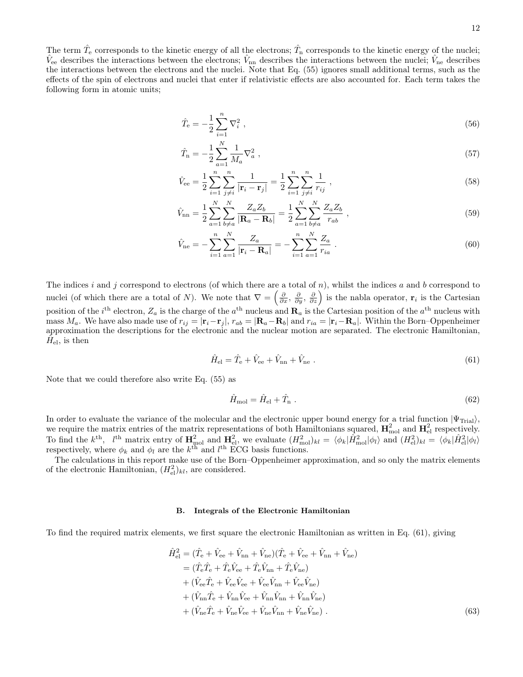The term  $\hat{T}_e$  corresponds to the kinetic energy of all the electrons;  $\hat{T}_n$  corresponds to the kinetic energy of the nuclei;  $\hat{V}_{\text{ee}}$  describes the interactions between the electrons;  $\hat{V}_{\text{nn}}$  describes the interactions between the nuclei;  $\hat{V}_{\text{ne}}$  describes the interactions between the electrons and the nuclei. Note that Eq. [\(55\)](#page-10-3) ignores small additional terms, such as the effects of the spin of electrons and nuclei that enter if relativistic effects are also accounted for. Each term takes the following form in atomic units;

<span id="page-11-2"></span>
$$
\hat{T}_{\rm e} = -\frac{1}{2} \sum_{i=1}^{n} \nabla_i^2 \;, \tag{56}
$$

$$
\hat{T}_{\rm n} = -\frac{1}{2} \sum_{a=1}^{N} \frac{1}{M_a} \nabla_a^2 \;, \tag{57}
$$

$$
\hat{V}_{\text{ee}} = \frac{1}{2} \sum_{i=1}^{n} \sum_{j \neq i}^{n} \frac{1}{|\mathbf{r}_i - \mathbf{r}_j|} = \frac{1}{2} \sum_{i=1}^{n} \sum_{j \neq i}^{n} \frac{1}{r_{ij}},
$$
\n(58)

$$
\hat{V}_{\rm nn} = \frac{1}{2} \sum_{a=1}^{N} \sum_{b \neq a}^{N} \frac{Z_a Z_b}{|\mathbf{R}_a - \mathbf{R}_b|} = \frac{1}{2} \sum_{a=1}^{N} \sum_{b \neq a}^{N} \frac{Z_a Z_b}{r_{ab}} ,
$$
\n(59)

$$
\hat{V}_{\text{ne}} = -\sum_{i=1}^{n} \sum_{a=1}^{N} \frac{Z_a}{|\mathbf{r}_i - \mathbf{R}_a|} = -\sum_{i=1}^{n} \sum_{a=1}^{N} \frac{Z_a}{r_{ia}} \tag{60}
$$

The indices i and j correspond to electrons (of which there are a total of n), whilst the indices a and b correspond to nuclei (of which there are a total of N). We note that  $\nabla = \left(\frac{\partial}{\partial x}, \frac{\partial}{\partial y}, \frac{\partial}{\partial z}\right)$  is the nable operator,  $\mathbf{r}_i$  is the Cartesian position of the  $i^{\text{th}}$  electron,  $Z_a$  is the charge of the  $a^{\text{th}}$  nucleus and  $\mathbf{R}_a$  is the Cartesian position of the  $a^{\text{th}}$  nucleus with mass  $M_a$ . We have also made use of  $r_{ij} = |\mathbf{r}_i - \mathbf{r}_j|$ ,  $r_{ab} = |\mathbf{R}_a - \mathbf{R}_b|$  and  $r_{ia} = |\mathbf{r}_i - \mathbf{R}_a|$ . Within the Born–Oppenheimer approximation the descriptions for the electronic and the nuclear motion are separated. The electronic Hamiltonian,  $\tilde{H}_{\text{el}}$ , is then

<span id="page-11-3"></span>
$$
\hat{H}_{\rm el} = \hat{T}_{\rm e} + \hat{V}_{\rm ee} + \hat{V}_{\rm nn} + \hat{V}_{\rm ne} \tag{61}
$$

Note that we could therefore also write Eq. [\(55\)](#page-10-3) as

<span id="page-11-1"></span>
$$
\hat{H}_{\text{mol}} = \hat{H}_{\text{el}} + \hat{T}_{\text{n}} \tag{62}
$$

In order to evaluate the variance of the molecular and the electronic upper bound energy for a trial function  $|\Psi_{\text{Tri}}\rangle$ , we require the matrix entries of the matrix representations of both Hamiltonians squared,  $H_{\text{mol}}^2$  and  $H_{\text{el}}^2$  respectively. To find the  $k^{\text{th}}$ ,  $l^{\text{th}}$  matrix entry of  $\mathbf{H}_{\text{mol}}^2$  and  $\mathbf{H}_{\text{el}}^2$ , we evaluate  $(H_{\text{mol}}^2)_{kl} = \langle \phi_k | \hat{H}_{\text{mol}}^2 | \phi_l \rangle$  and  $(H_{\text{el}}^2)_{kl} = \langle \phi_k | \hat{H}_{\text{el}}^2 | \phi_l \rangle$ respectively, where  $\phi_k$  and  $\phi_l$  are the  $k^{\text{th}}$  and  $l^{\text{th}}$  ECG basis functions.

The calculations in this report make use of the Born–Oppenheimer approximation, and so only the matrix elements of the electronic Hamiltonian,  $(H<sub>el</sub><sup>2</sup>)<sub>kl</sub>$ , are considered.

### <span id="page-11-0"></span>B. Integrals of the Electronic Hamiltonian

To find the required matrix elements, we first square the electronic Hamiltonian as written in Eq. [\(61\)](#page-11-1), giving

$$
\hat{H}_{\text{el}}^2 = (\hat{T}_{\text{e}} + \hat{V}_{\text{ee}} + \hat{V}_{\text{nn}} + \hat{V}_{\text{ne}})(\hat{T}_{\text{e}} + \hat{V}_{\text{ee}} + \hat{V}_{\text{nn}} + \hat{V}_{\text{ne}}) \n= (\hat{T}_{\text{e}}\hat{T}_{\text{e}} + \hat{T}_{\text{e}}\hat{V}_{\text{ee}} + \hat{T}_{\text{e}}\hat{V}_{\text{nn}} + \hat{T}_{\text{e}}\hat{V}_{\text{ne}}) \n+ (\hat{V}_{\text{ee}}\hat{T}_{\text{e}} + \hat{V}_{\text{ee}}\hat{V}_{\text{ee}} + \hat{V}_{\text{ee}}\hat{V}_{\text{nn}} + \hat{V}_{\text{ee}}\hat{V}_{\text{ne}}) \n+ (\hat{V}_{\text{nn}}\hat{T}_{\text{e}} + \hat{V}_{\text{nn}}\hat{V}_{\text{ee}} + \hat{V}_{\text{nn}}\hat{V}_{\text{nn}} + \hat{V}_{\text{nn}}\hat{V}_{\text{ne}}) \n+ (\hat{V}_{\text{ne}}\hat{T}_{\text{e}} + \hat{V}_{\text{ne}}\hat{V}_{\text{ee}} + \hat{V}_{\text{ne}}\hat{V}_{\text{nn}} + \hat{V}_{\text{ne}}\hat{V}_{\text{ne}}).
$$
\n(63)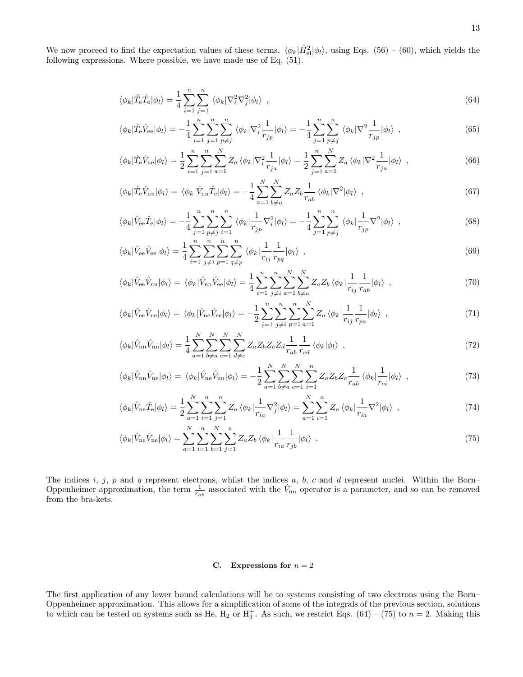We now proceed to find the expectation values of these terms,  $\langle \phi_k | \hat{H}_{el}^2 | \phi_l \rangle$ , using Eqs. [\(56\)](#page-11-2) – [\(60\)](#page-11-3), which yields the following expressions. Where possible, we have made use of Eq. [\(51\)](#page-10-4).

<span id="page-12-1"></span>
$$
\langle \phi_k | \hat{T}_e \hat{T}_e | \phi_l \rangle = \frac{1}{4} \sum_{i=1}^n \sum_{j=1}^n \langle \phi_k | \nabla_i^2 \nabla_j^2 | \phi_l \rangle \quad , \tag{64}
$$

$$
\langle \phi_k | \hat{T}_e \hat{V}_{ee} | \phi_l \rangle = -\frac{1}{4} \sum_{i=1}^n \sum_{j=1}^n \sum_{p \neq j}^n \langle \phi_k | \nabla_i^2 \frac{1}{r_{jp}} | \phi_l \rangle = -\frac{1}{4} \sum_{j=1}^n \sum_{p \neq j}^n \langle \phi_k | \nabla^2 \frac{1}{r_{jp}} | \phi_l \rangle \quad , \tag{65}
$$

$$
\langle \phi_k | \hat{T}_e \hat{V}_{ne} | \phi_l \rangle = \frac{1}{2} \sum_{i=1}^n \sum_{j=1}^n \sum_{a=1}^N Z_a \langle \phi_k | \nabla_i^2 \frac{1}{r_{ja}} | \phi_l \rangle = \frac{1}{2} \sum_{j=1}^n \sum_{a=1}^N Z_a \langle \phi_k | \nabla^2 \frac{1}{r_{ja}} | \phi_l \rangle \tag{66}
$$

<span id="page-12-3"></span>
$$
\langle \phi_k | \hat{T}_e \hat{V}_{nn} | \phi_l \rangle = \langle \phi_k | \hat{V}_{nn} \hat{T}_e | \phi_l \rangle = -\frac{1}{4} \sum_{a=1}^N \sum_{b \neq a}^N Z_a Z_b \frac{1}{r_{ab}} \langle \phi_k | \nabla^2 | \phi_l \rangle \tag{67}
$$

$$
\langle \phi_k | \hat{V}_{ee} \hat{T}_e | \phi_l \rangle = -\frac{1}{4} \sum_{j=1}^n \sum_{p \neq j}^n \sum_{i=1}^n \langle \phi_k | \frac{1}{r_{jp}} \nabla_i^2 | \phi_l \rangle = -\frac{1}{4} \sum_{j=1}^n \sum_{p \neq j}^n \langle \phi_k | \frac{1}{r_{jp}} \nabla^2 | \phi_l \rangle \tag{68}
$$

$$
\langle \phi_k | \hat{V}_{ee} \hat{V}_{ee} | \phi_l \rangle = \frac{1}{4} \sum_{i=1}^n \sum_{j \neq i}^n \sum_{p=1}^n \sum_{q \neq p}^n \langle \phi_k | \frac{1}{r_{ij}} \frac{1}{r_{pq}} | \phi_l \rangle \quad , \tag{69}
$$

$$
\langle \phi_k | \hat{V}_{\text{ee}} \hat{V}_{\text{nn}} | \phi_l \rangle = \langle \phi_k | \hat{V}_{\text{nn}} \hat{V}_{\text{ee}} | \phi_l \rangle = \frac{1}{4} \sum_{i=1}^n \sum_{j \neq i}^n \sum_{a=1}^N \sum_{b \neq a}^N Z_a Z_b \langle \phi_k | \frac{1}{r_{ij}} \frac{1}{r_{ab}} | \phi_l \rangle \tag{70}
$$

<span id="page-12-5"></span>
$$
\langle \phi_k | \hat{V}_{\text{ee}} \hat{V}_{\text{ne}} | \phi_l \rangle = \langle \phi_k | \hat{V}_{\text{ne}} \hat{V}_{\text{ee}} | \phi_l \rangle = -\frac{1}{2} \sum_{i=1}^n \sum_{j \neq i}^n \sum_{p=1}^n \sum_{a=1}^N Z_a \langle \phi_k | \frac{1}{r_{ij}} \frac{1}{r_{pa}} | \phi_l \rangle \tag{71}
$$

$$
\langle \phi_k | \hat{V}_{\rm nn} \hat{V}_{\rm nn} | \phi_l \rangle = \frac{1}{4} \sum_{a=1}^{N} \sum_{b \neq a}^{N} \sum_{c=1}^{N} \sum_{d \neq c}^{N} Z_a Z_b Z_c Z_d \frac{1}{r_{ab}} \frac{1}{r_{cd}} \langle \phi_k | \phi_l \rangle \tag{72}
$$

$$
\langle \phi_k | \hat{V}_{\text{nn}} \hat{V}_{\text{ne}} | \phi_l \rangle = \langle \phi_k | \hat{V}_{\text{ne}} \hat{V}_{\text{nn}} | \phi_l \rangle = -\frac{1}{2} \sum_{a=1}^N \sum_{b \neq a}^N \sum_{c=1}^N \sum_{i=1}^n Z_a Z_b Z_c \frac{1}{r_{ab}} \langle \phi_k | \frac{1}{r_{ci}} | \phi_l \rangle \tag{73}
$$

$$
\langle \phi_k | \hat{V}_{\text{ne}} \hat{T}_{\text{e}} | \phi_l \rangle = \frac{1}{2} \sum_{a=1}^N \sum_{i=1}^n \sum_{j=1}^n Z_a \langle \phi_k | \frac{1}{r_{ia}} \nabla_j^2 | \phi_l \rangle = \sum_{a=1}^N \sum_{i=1}^n Z_a \langle \phi_k | \frac{1}{r_{ia}} \nabla^2 | \phi_l \rangle \tag{74}
$$

$$
\langle \phi_k | \hat{V}_{\text{ne}} \hat{V}_{\text{ne}} | \phi_l \rangle = \sum_{a=1}^{N} \sum_{i=1}^{n} \sum_{b=1}^{N} \sum_{j=1}^{n} Z_a Z_b \langle \phi_k | \frac{1}{r_{ia}} \frac{1}{r_{jb}} | \phi_l \rangle . \tag{75}
$$

The indices i, j, p and q represent electrons, whilst the indices a, b, c and d represent nuclei. Within the Born– Oppenheimer approximation, the term  $\frac{1}{r_{ab}}$  associated with the  $\hat{V}_{nn}$  operator is a parameter, and so can be removed from the bra-kets.

# <span id="page-12-4"></span><span id="page-12-2"></span><span id="page-12-0"></span>C. Expressions for  $n = 2$

The first application of any lower bound calculations will be to systems consisting of two electrons using the Born– Oppenheimer approximation. This allows for a simplification of some of the integrals of the previous section, solutions to which can be tested on systems such as He,  $H_2$  or  $H_3^+$ . As such, we restrict Eqs. [\(64\)](#page-12-1) – [\(75\)](#page-12-2) to  $n = 2$ . Making this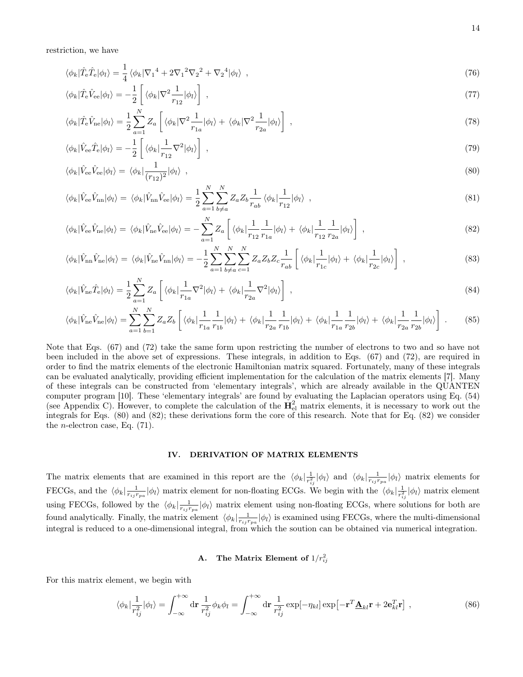restriction, we have

$$
\langle \phi_k | \hat{T}_e \hat{T}_e | \phi_l \rangle = \frac{1}{4} \langle \phi_k | \nabla_1^4 + 2 \nabla_1^2 \nabla_2^2 + \nabla_2^4 | \phi_l \rangle \tag{76}
$$

$$
\langle \phi_k | \hat{T}_e \hat{V}_{ee} | \phi_l \rangle = -\frac{1}{2} \left[ \langle \phi_k | \nabla^2 \frac{1}{r_{12}} | \phi_l \rangle \right] \;, \tag{77}
$$

$$
\langle \phi_k | \hat{T}_e \hat{V}_{ne} | \phi_l \rangle = \frac{1}{2} \sum_{a=1}^N Z_a \left[ \langle \phi_k | \nabla^2 \frac{1}{r_{1a}} | \phi_l \rangle + \langle \phi_k | \nabla^2 \frac{1}{r_{2a}} | \phi_l \rangle \right], \tag{78}
$$

$$
\langle \phi_k | \hat{V}_{ee} \hat{T}_e | \phi_l \rangle = -\frac{1}{2} \left[ \langle \phi_k | \frac{1}{r_{12}} \nabla^2 | \phi_l \rangle \right] \tag{79}
$$

<span id="page-13-1"></span>
$$
\langle \phi_k | \hat{V}_{ee} \hat{V}_{ee} | \phi_l \rangle = \langle \phi_k | \frac{1}{(r_{12})^2} | \phi_l \rangle \quad , \tag{80}
$$

$$
\langle \phi_k | \hat{V}_{\text{ee}} \hat{V}_{\text{nn}} | \phi_l \rangle = \langle \phi_k | \hat{V}_{\text{nn}} \hat{V}_{\text{ee}} | \phi_l \rangle = \frac{1}{2} \sum_{a=1}^N \sum_{b \neq a}^N Z_a Z_b \frac{1}{r_{ab}} \langle \phi_k | \frac{1}{r_{12}} | \phi_l \rangle \tag{81}
$$

$$
\langle \phi_k | \hat{V}_{ee} \hat{V}_{ne} | \phi_l \rangle = \langle \phi_k | \hat{V}_{ne} \hat{V}_{ee} | \phi_l \rangle = -\sum_{a=1}^N Z_a \left[ \langle \phi_k | \frac{1}{r_{12}} \frac{1}{r_{1a}} | \phi_l \rangle + \langle \phi_k | \frac{1}{r_{12}} \frac{1}{r_{2a}} | \phi_l \rangle \right], \tag{82}
$$

$$
\langle \phi_k | \hat{V}_{\rm nn} \hat{V}_{\rm ne} | \phi_l \rangle = \langle \phi_k | \hat{V}_{\rm ne} \hat{V}_{\rm nn} | \phi_l \rangle = -\frac{1}{2} \sum_{a=1}^N \sum_{b \neq a}^N \sum_{c=1}^N Z_a Z_b Z_c \frac{1}{r_{ab}} \left[ \langle \phi_k | \frac{1}{r_{1c}} | \phi_l \rangle + \langle \phi_k | \frac{1}{r_{2c}} | \phi_l \rangle \right] , \qquad (83)
$$

$$
\langle \phi_k | \hat{V}_{\text{ne}} \hat{T}_{\text{e}} | \phi_l \rangle = \frac{1}{2} \sum_{a=1}^N Z_a \left[ \langle \phi_k | \frac{1}{r_{1a}} \nabla^2 | \phi_l \rangle + \langle \phi_k | \frac{1}{r_{2a}} \nabla^2 | \phi_l \rangle \right], \tag{84}
$$

$$
\langle \phi_k | \hat{V}_{\text{ne}} \hat{V}_{\text{ne}} | \phi_l \rangle = \sum_{a=1}^N \sum_{b=1}^N Z_a Z_b \left[ \langle \phi_k | \frac{1}{r_{1a}} \frac{1}{r_{1b}} | \phi_l \rangle + \langle \phi_k | \frac{1}{r_{2a}} \frac{1}{r_{1b}} | \phi_l \rangle + \langle \phi_k | \frac{1}{r_{1a}} \frac{1}{r_{2b}} | \phi_l \rangle + \langle \phi_k | \frac{1}{r_{2a}} \frac{1}{r_{2b}} | \phi_l \rangle \right]. \tag{85}
$$

Note that Eqs. [\(67\)](#page-12-3) and [\(72\)](#page-12-4) take the same form upon restricting the number of electrons to two and so have not been included in the above set of expressions. These integrals, in addition to Eqs. [\(67\)](#page-12-3) and [\(72\)](#page-12-4), are required in order to find the matrix elements of the electronic Hamiltonian matrix squared. Fortunately, many of these integrals can be evaluated analytically, providing efficient implementation for the calculation of the matrix elements [\[7\]](#page-26-6). Many of these integrals can be constructed from 'elementary integrals', which are already available in the QUANTEN computer program [\[10\]](#page-26-8). These 'elementary integrals' are found by evaluating the Laplacian operators using Eq. [\(54\)](#page-10-5) (see Appendix [C\)](#page-34-0). However, to complete the calculation of the  $H_{el}^2$  matrix elements, it is necessary to work out the integrals for Eqs. [\(80\)](#page-13-1) and [\(82\)](#page-13-2); these derivations form the core of this research. Note that for Eq. [\(82\)](#page-13-2) we consider the *n*-electron case, Eq.  $(71)$ .

# <span id="page-13-2"></span><span id="page-13-0"></span>IV. DERIVATION OF MATRIX ELEMENTS

The matrix elements that are examined in this report are the  $\langle \phi_k | \frac{1}{r_{ij}^2} | \phi_l \rangle$  and  $\langle \phi_k | \frac{1}{r_{ij}r_{pa}} | \phi_l \rangle$  matrix elements for FECGs, and the  $\langle \phi_k | \frac{1}{r_{ij}r_{pa}} | \phi_l \rangle$  matrix element for non-floating ECGs. We begin with the  $\langle \phi_k | \frac{1}{r_{ij}^2} | \phi_l \rangle$  matrix element using FECGs, followed by the  $\langle \phi_k | \frac{1}{r_{ij}r_{pa}} | \phi_l \rangle$  matrix element using non-floating ECGs, where solutions for both are found analytically. Finally, the matrix element  $\langle \phi_k | \frac{1}{r_{ij} r_{pa}} | \phi_l \rangle$  is examined using FECGs, where the multi-dimensional integral is reduced to a one-dimensional integral, from which the soution can be obtained via numerical integration.

# <span id="page-13-3"></span>A. The Matrix Element of  $1/r_{ij}^2$

For this matrix element, we begin with

$$
\langle \phi_k | \frac{1}{r_{ij}^2} | \phi_l \rangle = \int_{-\infty}^{+\infty} d\mathbf{r} \frac{1}{r_{ij}^2} \phi_k \phi_l = \int_{-\infty}^{+\infty} d\mathbf{r} \frac{1}{r_{ij}^2} \exp[-\eta_{kl}] \exp[-\mathbf{r}^T \underline{\mathbf{A}}_{kl} \mathbf{r} + 2\mathbf{e}_{kl}^T \mathbf{r}]. \tag{86}
$$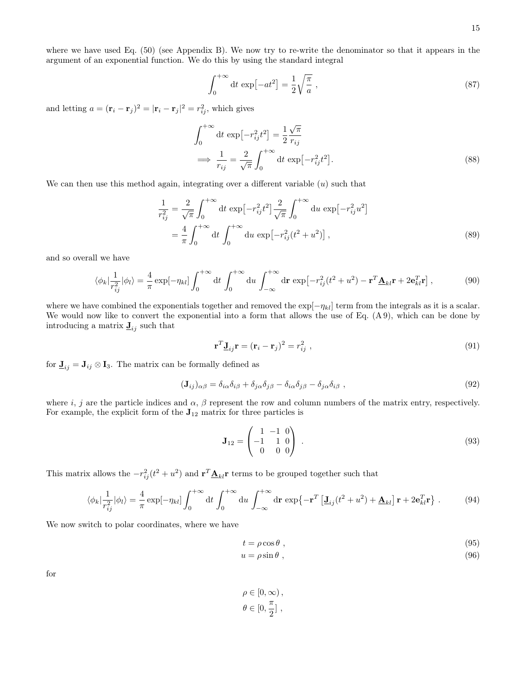where we have used Eq. [\(50\)](#page-10-6) (see Appendix [B\)](#page-33-0). We now try to re-write the denominator so that it appears in the argument of an exponential function. We do this by using the standard integral

$$
\int_0^{+\infty} dt \, \exp\left[-at^2\right] = \frac{1}{2} \sqrt{\frac{\pi}{a}} \,,\tag{87}
$$

and letting  $a = (\mathbf{r}_i - \mathbf{r}_j)^2 = |\mathbf{r}_i - \mathbf{r}_j|^2 = r_{ij}^2$ , which gives

$$
\int_0^{+\infty} dt \exp\left[-r_{ij}^2 t^2\right] = \frac{1}{2} \frac{\sqrt{\pi}}{r_{ij}}
$$
  
\n
$$
\implies \frac{1}{r_{ij}} = \frac{2}{\sqrt{\pi}} \int_0^{+\infty} dt \exp\left[-r_{ij}^2 t^2\right].
$$
\n(88)

We can then use this method again, integrating over a different variable  $(u)$  such that

$$
\frac{1}{r_{ij}^2} = \frac{2}{\sqrt{\pi}} \int_0^{+\infty} dt \exp\left[-r_{ij}^2 t^2\right] \frac{2}{\sqrt{\pi}} \int_0^{+\infty} du \exp\left[-r_{ij}^2 u^2\right]
$$

$$
= \frac{4}{\pi} \int_0^{+\infty} dt \int_0^{+\infty} du \exp\left[-r_{ij}^2 (t^2 + u^2)\right],
$$
(89)

and so overall we have

$$
\langle \phi_k | \frac{1}{r_{ij}^2} | \phi_l \rangle = \frac{4}{\pi} \exp[-\eta_{kl}] \int_0^{+\infty} dt \int_0^{+\infty} du \int_{-\infty}^{+\infty} dr \exp[-r_{ij}^2(t^2 + u^2) - \mathbf{r}^T \underline{\mathbf{A}}_{kl} \mathbf{r} + 2\mathbf{e}_{kl}^T \mathbf{r}], \tag{90}
$$

where we have combined the exponentials together and removed the  $\exp[-\eta_{kl}]$  term from the integrals as it is a scalar. We would now like to convert the exponential into a form that allows the use of Eq. [\(A 9\)](#page-32-0), which can be done by introducing a matrix  $\mathbf{J}_{ij}$  such that

<span id="page-14-0"></span>
$$
\mathbf{r}^T \mathbf{J}_{ij} \mathbf{r} = (\mathbf{r}_i - \mathbf{r}_j)^2 = r_{ij}^2 \tag{91}
$$

for  $\mathbf{J}_{ij} = \mathbf{J}_{ij} \otimes \mathbf{I}_3$ . The matrix can be formally defined as

$$
(\mathbf{J}_{ij})_{\alpha\beta} = \delta_{i\alpha}\delta_{i\beta} + \delta_{j\alpha}\delta_{j\beta} - \delta_{i\alpha}\delta_{j\beta} - \delta_{j\alpha}\delta_{i\beta} , \qquad (92)
$$

where i, j are the particle indices and  $\alpha$ ,  $\beta$  represent the row and column numbers of the matrix entry, respectively. For example, the explicit form of the  $J_{12}$  matrix for three particles is

<span id="page-14-1"></span>
$$
\mathbf{J}_{12} = \begin{pmatrix} 1 & -1 & 0 \\ -1 & 1 & 0 \\ 0 & 0 & 0 \end{pmatrix} . \tag{93}
$$

This matrix allows the  $-r_{ij}^2(t^2 + u^2)$  and  $\mathbf{r}^T \underline{\mathbf{A}}_{kl} \mathbf{r}$  terms to be grouped together such that

$$
\langle \phi_k | \frac{1}{r_{ij}^2} | \phi_l \rangle = \frac{4}{\pi} \exp[-\eta_{kl}] \int_0^{+\infty} dt \int_0^{+\infty} du \int_{-\infty}^{+\infty} dr \exp\{-\mathbf{r}^T \left[\mathbf{J}_{ij}(t^2 + u^2) + \mathbf{\underline{A}}_{kl}\right] \mathbf{r} + 2\mathbf{e}_{kl}^T \mathbf{r}\} \ . \tag{94}
$$

We now switch to polar coordinates, where we have

$$
t = \rho \cos \theta \tag{95}
$$

$$
u = \rho \sin \theta \tag{96}
$$

for

$$
\rho \in [0, \infty),
$$
  

$$
\theta \in [0, \frac{\pi}{2}],
$$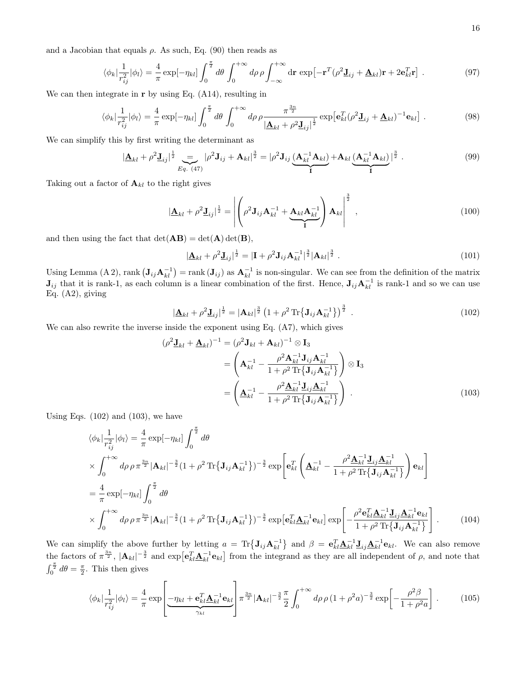and a Jacobian that equals  $\rho$ . As such, Eq. [\(90\)](#page-14-0) then reads as

$$
\langle \phi_k | \frac{1}{r_{ij}^2} | \phi_l \rangle = \frac{4}{\pi} \exp[-\eta_{kl}] \int_0^{\frac{\pi}{2}} d\theta \int_0^{+\infty} d\rho \, \rho \int_{-\infty}^{+\infty} dr \, \exp[-\mathbf{r}^T (\rho^2 \mathbf{J}_{ij} + \mathbf{\underline{A}}_{kl}) \mathbf{r} + 2\mathbf{e}_{kl}^T \mathbf{r}]. \tag{97}
$$

We can then integrate in  $\bf{r}$  by using Eq. [\(A14\)](#page-32-1), resulting in

$$
\langle \phi_k | \frac{1}{r_{ij}^2} | \phi_l \rangle = \frac{4}{\pi} \exp[-\eta_{kl}] \int_0^{\frac{\pi}{2}} d\theta \int_0^{+\infty} d\rho \rho \frac{\pi^{\frac{3n}{2}}}{\left| \underline{\mathbf{A}}_{kl} + \rho^2 \underline{\mathbf{J}}_{ij} \right|^{\frac{1}{2}}} \exp\left[ \mathbf{e}_{kl}^T (\rho^2 \underline{\mathbf{J}}_{ij} + \underline{\mathbf{A}}_{kl})^{-1} \mathbf{e}_{kl} \right]. \tag{98}
$$

We can simplify this by first writing the determinant as

$$
|\underline{\mathbf{A}}_{kl} + \rho^2 \underline{\mathbf{J}}_{ij}|^{\frac{1}{2}} \sum_{Eq. (47)} |\rho^2 \mathbf{J}_{ij} + \mathbf{A}_{kl}|^{\frac{3}{2}} = |\rho^2 \mathbf{J}_{ij} \underbrace{(\mathbf{A}_{kl}^{-1} \mathbf{A}_{kl})}_{\mathbf{I}} + \mathbf{A}_{kl} \underbrace{(\mathbf{A}_{kl}^{-1} \mathbf{A}_{kl})}_{\mathbf{I}}|^{\frac{3}{2}}.
$$
 (99)

Taking out a factor of  $\mathbf{A}_{kl}$  to the right gives

$$
\left|\underline{\mathbf{A}}_{kl} + \rho^2 \underline{\mathbf{J}}_{ij}\right|^{\frac{1}{2}} = \left| \left( \rho^2 \mathbf{J}_{ij} \mathbf{A}_{kl}^{-1} + \underbrace{\mathbf{A}_{kl} \mathbf{A}_{kl}^{-1}}_{\mathbf{I}} \right) \mathbf{A}_{kl} \right|^{\frac{3}{2}}, \qquad (100)
$$

and then using the fact that  $det(AB) = det(A) det(B)$ ,

<span id="page-15-0"></span>
$$
|\underline{\mathbf{A}}_{kl} + \rho^2 \underline{\mathbf{J}}_{ij}|^{\frac{1}{2}} = |\mathbf{I} + \rho^2 \mathbf{J}_{ij} \mathbf{A}_{kl}^{-1}|^{\frac{3}{2}} |\mathbf{A}_{kl}|^{\frac{3}{2}}.
$$
 (101)

Using Lemma [\(A 2\)](#page-28-0), rank  $(\mathbf{J}_{ij}\mathbf{A}_{kl}^{-1}) = \text{rank}(\mathbf{J}_{ij})$  as  $\mathbf{A}_{kl}^{-1}$  is non-singular. We can see from the definition of the matrix  $J_{ij}$  that it is rank-1, as each column is a linear combination of the first. Hence,  $J_{ij}A_{kl}^{-1}$  is rank-1 and so we can use Eq. [\(A2\)](#page-28-1), giving

<span id="page-15-1"></span>
$$
|\underline{\mathbf{A}}_{kl} + \rho^2 \underline{\mathbf{J}}_{ij}|^{\frac{1}{2}} = |\mathbf{A}_{kl}|^{\frac{3}{2}} \left(1 + \rho^2 \operatorname{Tr} \{ \mathbf{J}_{ij} \mathbf{A}_{kl}^{-1} \} \right)^{\frac{3}{2}} . \tag{102}
$$

We can also rewrite the inverse inside the exponent using Eq. [\(A7\)](#page-29-0), which gives

$$
(\rho^2 \mathbf{J}_{kl} + \mathbf{\underline{A}}_{kl})^{-1} = (\rho^2 \mathbf{J}_{kl} + \mathbf{A}_{kl})^{-1} \otimes \mathbf{I}_3
$$
  

$$
= \left(\mathbf{A}_{kl}^{-1} - \frac{\rho^2 \mathbf{A}_{kl}^{-1} \mathbf{J}_{ij} \mathbf{A}_{kl}^{-1}}{1 + \rho^2 \operatorname{Tr} {\{\mathbf{J}_{ij} \mathbf{A}_{kl}^{-1}\}}}\right) \otimes \mathbf{I}_3
$$
  

$$
= \left(\mathbf{\underline{A}}_{kl}^{-1} - \frac{\rho^2 \mathbf{\underline{A}}_{kl}^{-1} \mathbf{\underline{J}}_{ij} \mathbf{\underline{A}}_{kl}^{-1}}{1 + \rho^2 \operatorname{Tr} {\{\mathbf{J}_{ij} \mathbf{A}_{kl}^{-1}\}}}\right) .
$$
 (103)

Using Eqs.  $(102)$  and  $(103)$ , we have

$$
\langle \phi_k | \frac{1}{r_{ij}^2} | \phi_l \rangle = \frac{4}{\pi} \exp[-\eta_{kl}] \int_0^{\frac{\pi}{2}} d\theta
$$
  
\n
$$
\times \int_0^{+\infty} d\rho \rho \pi^{\frac{3n}{2}} |\mathbf{A}_{kl}|^{-\frac{3}{2}} (1 + \rho^2 \text{Tr} {\{\mathbf{J}_{ij} \mathbf{A}_{kl}^{-1}\}})^{-\frac{3}{2}} \exp\left[ \mathbf{e}_{kl}^T \left( \mathbf{\underline{A}}_{kl}^{-1} - \frac{\rho^2 \mathbf{\underline{A}}_{kl}^{-1} \mathbf{\underline{J}}_{ij} \mathbf{\underline{A}}_{kl}^{-1}}{1 + \rho^2 \text{Tr} {\{\mathbf{J}_{ij} \mathbf{A}_{kl}^{-1}\}} } \right) \mathbf{e}_{kl} \right]
$$
  
\n
$$
= \frac{4}{\pi} \exp[-\eta_{kl}] \int_0^{\frac{\pi}{2}} d\theta
$$
  
\n
$$
\times \int_0^{+\infty} d\rho \rho \pi^{\frac{3n}{2}} |\mathbf{A}_{kl}|^{-\frac{3}{2}} (1 + \rho^2 \text{Tr} {\{\mathbf{J}_{ij} \mathbf{A}_{kl}^{-1}\}})^{-\frac{3}{2}} \exp[\mathbf{e}_{kl}^T \mathbf{\underline{A}}_{kl}^{-1} \mathbf{e}_{kl}] \exp\left[ -\frac{\rho^2 \mathbf{e}_{kl}^T \mathbf{\underline{A}}_{kl}^{-1} \mathbf{\underline{J}}_{ij} \mathbf{\underline{A}}_{kl}^{-1} \mathbf{e}_{kl}}{1 + \rho^2 \text{Tr} {\{\mathbf{J}_{ij} \mathbf{A}_{kl}^{-1}\}} \right].
$$
 (104)

We can simplify the above further by letting  $a = \text{Tr}\{\mathbf{J}_{ij}\mathbf{A}_{kl}^{-1}\}\$  and  $\beta = \mathbf{e}_{kl}^T \mathbf{\underline{A}}_{kl}^{-1} \mathbf{\underline{J}}_{ij} \mathbf{\underline{A}}_{kl}^{-1} \mathbf{e}_{kl}$ . We can also remove the factors of  $\pi^{\frac{3n}{2}}$ ,  $|\mathbf{A}_{kl}|^{-\frac{3}{2}}$  and  $\exp[\mathbf{e}_{kl}^T \mathbf{\underline{A}}_{kl}^{-1} \mathbf{e}_{kl}]$  from the integrand as they are all independent of  $\rho$ , and note that  $\int_0^{\frac{\pi}{2}} d\theta = \frac{\pi}{2}$ . This then gives

$$
\langle \phi_k | \frac{1}{r_{ij}^2} | \phi_l \rangle = \frac{4}{\pi} \exp \left[ \frac{-\eta_{kl} + \mathbf{e}_{kl}^T \mathbf{A}_{kl}^{-1} \mathbf{e}_{kl}}{\gamma_{kl}} \right] \pi^{\frac{3n}{2}} |\mathbf{A}_{kl}|^{-\frac{3}{2}} \frac{\pi}{2} \int_0^{+\infty} d\rho \, \rho \, (1 + \rho^2 a)^{-\frac{3}{2}} \exp \left[ -\frac{\rho^2 \beta}{1 + \rho^2 a} \right] \,. \tag{105}
$$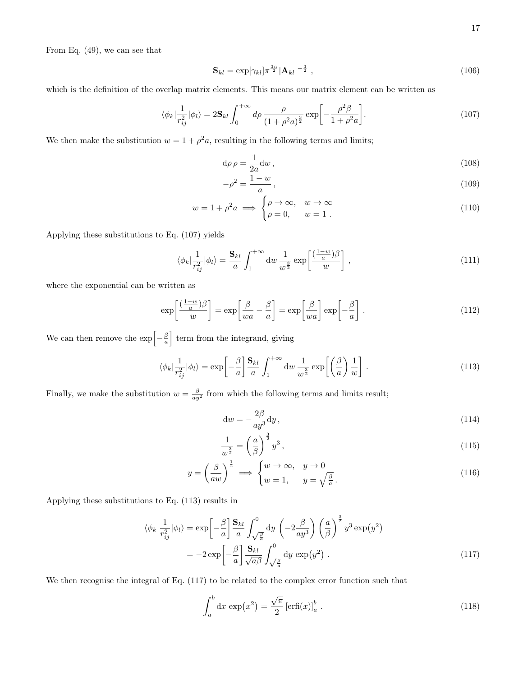From Eq. [\(49\)](#page-10-8), we can see that

$$
\mathbf{S}_{kl} = \exp[\gamma_{kl}] \pi^{\frac{3n}{2}} |\mathbf{A}_{kl}|^{-\frac{3}{2}}, \qquad (106)
$$

which is the definition of the overlap matrix elements. This means our matrix element can be written as

$$
\langle \phi_k | \frac{1}{r_{ij}^2} | \phi_l \rangle = 2\mathbf{S}_{kl} \int_0^{+\infty} d\rho \, \frac{\rho}{(1+\rho^2 a)^{\frac{3}{2}}} \exp\left[-\frac{\rho^2 \beta}{1+\rho^2 a}\right]. \tag{107}
$$

We then make the substitution  $w = 1 + \rho^2 a$ , resulting in the following terms and limits;

<span id="page-16-0"></span>
$$
d\rho \rho = \frac{1}{2a} dw, \qquad (108)
$$

$$
-\rho^2 = \frac{1-w}{a},
$$
\n(109)

$$
w = 1 + \rho^2 a \implies \begin{cases} \rho \to \infty, & w \to \infty \\ \rho = 0, & w = 1 \end{cases}
$$
 (110)

Applying these substitutions to Eq. [\(107\)](#page-16-0) yields

$$
\langle \phi_k | \frac{1}{r_{ij}^2} | \phi_l \rangle = \frac{\mathbf{S}_{kl}}{a} \int_1^{+\infty} \mathrm{d}w \, \frac{1}{w^{\frac{3}{2}}} \exp\left[\frac{(\frac{1-w}{a})\beta}{w}\right] \,,\tag{111}
$$

where the exponential can be written as

$$
\exp\left[\frac{(\frac{1-w}{a})\beta}{w}\right] = \exp\left[\frac{\beta}{wa} - \frac{\beta}{a}\right] = \exp\left[\frac{\beta}{wa}\right] \exp\left[-\frac{\beta}{a}\right].
$$
\n(112)

We can then remove the  $\exp\left[-\frac{\beta}{a}\right]$  term from the integrand, giving

$$
\langle \phi_k | \frac{1}{r_{ij}^2} | \phi_l \rangle = \exp\left[ -\frac{\beta}{a} \right] \frac{\mathbf{S}_{kl}}{a} \int_1^{+\infty} \mathrm{d}w \, \frac{1}{w^{\frac{3}{2}}} \exp\left[ \left( \frac{\beta}{a} \right) \frac{1}{w} \right] \,. \tag{113}
$$

Finally, we make the substitution  $w = \frac{\beta}{ay^2}$  from which the following terms and limits result;

<span id="page-16-1"></span>
$$
dw = -\frac{2\beta}{ay^3}dy,
$$
\n(114)

$$
\frac{1}{w^{\frac{3}{2}}} = \left(\frac{a}{\beta}\right)^{\frac{3}{2}} y^3,
$$
\n(115)

$$
y = \left(\frac{\beta}{aw}\right)^{\frac{1}{2}} \implies \begin{cases} w \to \infty, & y \to 0\\ w = 1, & y = \sqrt{\frac{\beta}{a}} \end{cases}.
$$
 (116)

Applying these substitutions to Eq. [\(113\)](#page-16-1) results in

$$
\langle \phi_k | \frac{1}{r_{ij}^2} | \phi_l \rangle = \exp\left[ -\frac{\beta}{a} \right] \frac{\mathbf{S}_{kl}}{a} \int_{\sqrt{\frac{\beta}{a}}}^0 dy \left( -2\frac{\beta}{ay^3} \right) \left( \frac{a}{\beta} \right)^{\frac{3}{2}} y^3 \exp\left(y^2\right) \n= -2 \exp\left[ -\frac{\beta}{a} \right] \frac{\mathbf{S}_{kl}}{\sqrt{a\beta}} \int_{\sqrt{\frac{\beta}{a}}}^0 dy \exp\left(y^2\right).
$$
\n(117)

We then recognise the integral of Eq. [\(117\)](#page-16-2) to be related to the complex error function such that

<span id="page-16-2"></span>
$$
\int_{a}^{b} dx \exp\left(x^{2}\right) = \frac{\sqrt{\pi}}{2} \left[\operatorname{erfi}(x)\right]_{a}^{b} . \tag{118}
$$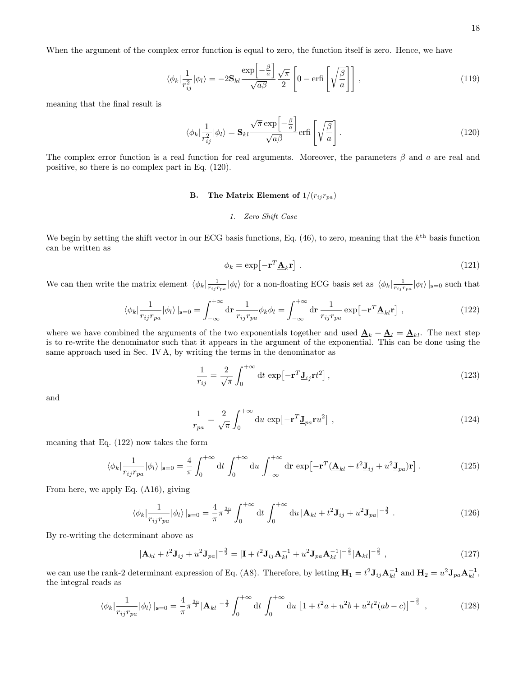When the argument of the complex error function is equal to zero, the function itself is zero. Hence, we have

$$
\langle \phi_k | \frac{1}{r_{ij}^2} | \phi_l \rangle = -2 \mathbf{S}_{kl} \frac{\exp\left[-\frac{\beta}{a}\right]}{\sqrt{a\beta}} \frac{\sqrt{\pi}}{2} \left[ 0 - \text{erfi}\left[ \sqrt{\frac{\beta}{a}} \right] \right] \,, \tag{119}
$$

meaning that the final result is

$$
\langle \phi_k | \frac{1}{r_{ij}^2} | \phi_l \rangle = \mathbf{S}_{kl} \frac{\sqrt{\pi} \exp\left[-\frac{\beta}{a}\right]}{\sqrt{a\beta}} \text{erfi}\left[\sqrt{\frac{\beta}{a}}\right]. \tag{120}
$$

The complex error function is a real function for real arguments. Moreover, the parameters  $\beta$  and a are real and positive, so there is no complex part in Eq. [\(120\)](#page-17-0).

# B. The Matrix Element of  $1/(r_{ij}r_{pa})$

# <span id="page-17-0"></span>1. Zero Shift Case

We begin by setting the shift vector in our ECG basis functions, Eq.  $(46)$ , to zero, meaning that the  $k^{\text{th}}$  basis function can be written as

<span id="page-17-1"></span>
$$
\phi_k = \exp\left[-\mathbf{r}^T \underline{\mathbf{A}}_k \mathbf{r}\right] \,. \tag{121}
$$

We can then write the matrix element  $\langle \phi_k | \frac{1}{r_{ij} r_{pa}} | \phi_l \rangle$  for a non-floating ECG basis set as  $\langle \phi_k | \frac{1}{r_{ij} r_{pa}} | \phi_l \rangle |_{s=0}$  such that

$$
\langle \phi_k | \frac{1}{r_{ij} r_{pa}} | \phi_l \rangle |_{\mathbf{s}=0} = \int_{-\infty}^{+\infty} d\mathbf{r} \, \frac{1}{r_{ij} r_{pa}} \phi_k \phi_l = \int_{-\infty}^{+\infty} d\mathbf{r} \, \frac{1}{r_{ij} r_{pa}} \exp\left[-\mathbf{r}^T \mathbf{\underline{A}}_{kl} \mathbf{r}\right] \,, \tag{122}
$$

where we have combined the arguments of the two exponentials together and used  $\underline{\mathbf{A}}_k + \underline{\mathbf{A}}_l = \underline{\mathbf{A}}_{kl}$ . The next step is to re-write the denominator such that it appears in the argument of the exponential. This can be done using the same approach used in Sec. [IV A,](#page-13-3) by writing the terms in the denominator as

$$
\frac{1}{r_{ij}} = \frac{2}{\sqrt{\pi}} \int_0^{+\infty} dt \, \exp\left[-\mathbf{r}^T \mathbf{J}_{ij} \mathbf{r} t^2\right],\tag{123}
$$

and

$$
\frac{1}{r_{pa}} = \frac{2}{\sqrt{\pi}} \int_0^{+\infty} du \, \exp\left[-\mathbf{r}^T \mathbf{J}_{pa} \mathbf{r} u^2\right] \,, \tag{124}
$$

meaning that Eq. [\(122\)](#page-17-1) now takes the form

$$
\langle \phi_k | \frac{1}{r_{ij} r_{pa}} | \phi_l \rangle |_{\mathbf{s}=0} = \frac{4}{\pi} \int_0^{+\infty} dt \int_0^{+\infty} du \int_{-\infty}^{+\infty} dr \, \exp\left[-\mathbf{r}^T (\mathbf{\underline{A}}_{kl} + t^2 \mathbf{\underline{J}}_{ij} + u^2 \mathbf{\underline{J}}_{pa}) \mathbf{r}\right]. \tag{125}
$$

From here, we apply Eq. [\(A16\)](#page-32-2), giving

$$
\langle \phi_k | \frac{1}{r_{ij} r_{pa}} | \phi_l \rangle |_{\mathbf{s}=0} = \frac{4}{\pi} \pi^{\frac{3n}{2}} \int_0^{+\infty} dt \int_0^{+\infty} du \, |\mathbf{A}_{kl} + t^2 \mathbf{J}_{ij} + u^2 \mathbf{J}_{pa}|^{-\frac{3}{2}} . \tag{126}
$$

By re-writing the determinant above as

$$
|\mathbf{A}_{kl} + t^2 \mathbf{J}_{ij} + u^2 \mathbf{J}_{pa}|^{-\frac{3}{2}} = |\mathbf{I} + t^2 \mathbf{J}_{ij} \mathbf{A}_{kl}^{-1} + u^2 \mathbf{J}_{pa} \mathbf{A}_{kl}^{-1}|^{-\frac{3}{2}} |\mathbf{A}_{kl}|^{-\frac{3}{2}}, \qquad (127)
$$

we can use the rank-2 determinant expression of Eq. [\(A8\)](#page-29-1). Therefore, by letting  $\mathbf{H}_1 = t^2 \mathbf{J}_{ij} \mathbf{A}_{kl}^{-1}$  and  $\mathbf{H}_2 = u^2 \mathbf{J}_{pa} \mathbf{A}_{kl}^{-1}$ , the integral reads as

$$
\langle \phi_k | \frac{1}{r_{ij} r_{pa}} | \phi_l \rangle |_{\mathbf{s}=0} = \frac{4}{\pi} \pi^{\frac{3n}{2}} |\mathbf{A}_{kl}|^{-\frac{3}{2}} \int_0^{+\infty} dt \int_0^{+\infty} du \left[ 1 + t^2 a + u^2 b + u^2 t^2 (ab - c) \right]^{-\frac{3}{2}}, \tag{128}
$$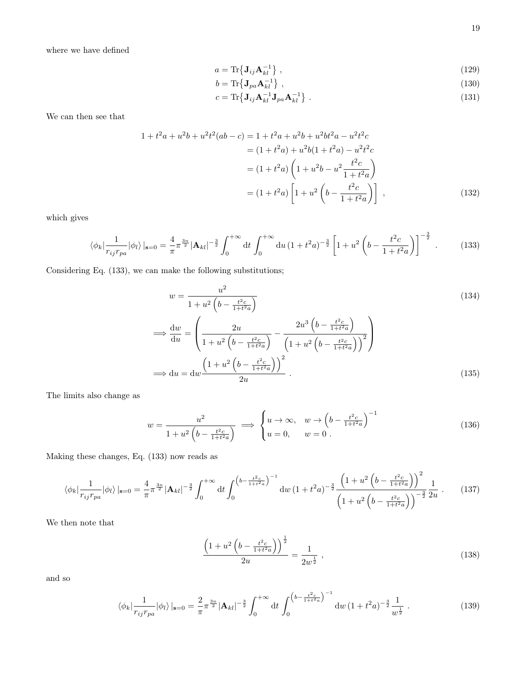<span id="page-18-3"></span><span id="page-18-2"></span><span id="page-18-1"></span>
$$
a = \text{Tr}\{\mathbf{J}_{ij}\mathbf{A}_{kl}^{-1}\},\tag{129}
$$

$$
b = \text{Tr}\left\{\mathbf{J}_{pa}\mathbf{A}_{kl}^{-1}\right\},\tag{130}
$$

<span id="page-18-0"></span>
$$
c = \text{Tr}\{\mathbf{J}_{ij}\mathbf{A}_{kl}^{-1}\mathbf{J}_{pa}\mathbf{A}_{kl}^{-1}\} \tag{131}
$$

We can then see that

$$
1 + t2a + u2b + u2t2(ab - c) = 1 + t2a + u2b + u2bt2a - u2t2c
$$
  
= (1 + t<sup>2</sup>a) + u<sup>2</sup>b(1 + t<sup>2</sup>a) - u<sup>2</sup>t<sup>2</sup>c  
= (1 + t<sup>2</sup>a) \left(1 + u<sup>2</sup>b - u<sup>2</sup> \frac{t<sup>2</sup>c}{1 + t<sup>2</sup>a}\right)  
= (1 + t<sup>2</sup>a) \left[1 + u<sup>2</sup> \left(b - \frac{t<sup>2</sup>c}{1 + t<sup>2</sup>a}\right)\right], (132)

which gives

$$
\langle \phi_k | \frac{1}{r_{ij} r_{pa}} | \phi_l \rangle |_{\mathbf{s}=0} = \frac{4}{\pi} \pi^{\frac{3n}{2}} |\mathbf{A}_{kl}|^{-\frac{3}{2}} \int_0^{+\infty} dt \int_0^{+\infty} du \left(1 + t^2 a\right)^{-\frac{3}{2}} \left[1 + u^2 \left(b - \frac{t^2 c}{1 + t^2 a}\right)\right]^{-\frac{3}{2}}.
$$
 (133)

Considering Eq. [\(133\)](#page-18-0), we can make the following substitutions;

$$
w = \frac{u^2}{1 + u^2 \left(b - \frac{t^2 c}{1 + t^2 a}\right)}
$$
  
\n
$$
\implies \frac{dw}{du} = \left(\frac{2u}{1 + u^2 \left(b - \frac{t^2 c}{1 + t^2 a}\right)} - \frac{2u^3 \left(b - \frac{t^2 c}{1 + t^2 a}\right)}{\left(1 + u^2 \left(b - \frac{t^2 c}{1 + t^2 a}\right)\right)^2}\right)
$$
  
\n
$$
\implies du = dw \frac{\left(1 + u^2 \left(b - \frac{t^2 c}{1 + t^2 a}\right)\right)^2}{2u}.
$$
\n(135)

The limits also change as

$$
w = \frac{u^2}{1 + u^2 \left(b - \frac{t^2 c}{1 + t^2 a}\right)} \implies \begin{cases} u \to \infty, & w \to \left(b - \frac{t^2 c}{1 + t^2 a}\right)^{-1} \\ u = 0, & w = 0 \end{cases}
$$
 (136)

Making these changes, Eq. [\(133\)](#page-18-0) now reads as

$$
\langle \phi_k | \frac{1}{r_{ij}r_{pa}} | \phi_l \rangle |_{\mathbf{s}=0} = \frac{4}{\pi} \pi^{\frac{3n}{2}} |\mathbf{A}_{kl}|^{-\frac{3}{2}} \int_0^{+\infty} dt \int_0^{\left(b - \frac{t^2 c}{1 + t^2 a}\right)^{-1}} dw \left(1 + t^2 a\right)^{-\frac{3}{2}} \frac{\left(1 + u^2 \left(b - \frac{t^2 c}{1 + t^2 a}\right)\right)^2}{\left(1 + u^2 \left(b - \frac{t^2 c}{1 + t^2 a}\right)\right)^{-\frac{3}{2}}} \frac{1}{2u} . \tag{137}
$$

We then note that

$$
\frac{\left(1+u^2\left(b-\frac{t^2c}{1+t^2a}\right)\right)^{\frac{1}{2}}}{2u} = \frac{1}{2w^{\frac{1}{2}}},\tag{138}
$$

and so

$$
\langle \phi_k | \frac{1}{r_{ij} r_{pa}} | \phi_l \rangle |_{\mathbf{s}=0} = \frac{2}{\pi} \pi^{\frac{3n}{2}} |\mathbf{A}_{kl}|^{-\frac{3}{2}} \int_0^{+\infty} dt \int_0^{\left(b - \frac{t^2 c}{1 + t^2 a}\right)^{-1}} dw \left(1 + t^2 a\right)^{-\frac{3}{2}} \frac{1}{w^{\frac{1}{2}}} \,. \tag{139}
$$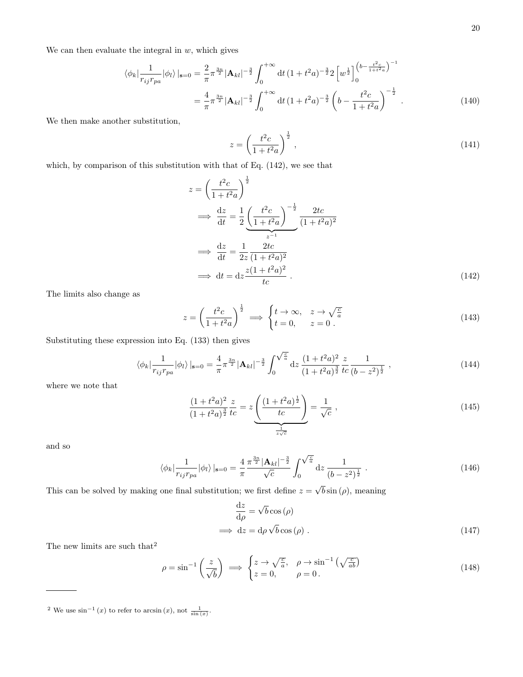We can then evaluate the integral in  $w$ , which gives

$$
\langle \phi_k | \frac{1}{r_{ij}r_{pa}} | \phi_l \rangle |_{\mathbf{s}=0} = \frac{2}{\pi} \pi^{\frac{3n}{2}} |\mathbf{A}_{kl}|^{-\frac{3}{2}} \int_0^{+\infty} dt \, (1+t^2a)^{-\frac{3}{2}} 2 \left[ w^{\frac{1}{2}} \right]_0^{(b-\frac{t^2c}{1+t^2a})^{-1}} = \frac{4}{\pi} \pi^{\frac{3n}{2}} |\mathbf{A}_{kl}|^{-\frac{3}{2}} \int_0^{+\infty} dt \, (1+t^2a)^{-\frac{3}{2}} \left( b - \frac{t^2c}{1+t^2a} \right)^{-\frac{1}{2}} .
$$
(140)

We then make another substitution,

<span id="page-19-0"></span>
$$
z = \left(\frac{t^2c}{1+t^2a}\right)^{\frac{1}{2}},\tag{141}
$$

which, by comparison of this substitution with that of Eq. [\(142\)](#page-19-0), we see that

$$
z = \left(\frac{t^2c}{1+t^2a}\right)^{\frac{1}{2}}
$$
  
\n
$$
\implies \frac{dz}{dt} = \frac{1}{2} \underbrace{\left(\frac{t^2c}{1+t^2a}\right)^{-\frac{1}{2}}}_{z^{-1}} \underbrace{\frac{2tc}{(1+t^2a)^2}}_{(1+t^2a)^2}
$$
  
\n
$$
\implies \frac{dz}{dt} = \frac{1}{2z} \frac{2tc}{(1+t^2a)^2}
$$
  
\n
$$
\implies dt = dz \frac{z(1+t^2a)^2}{tc} . \tag{142}
$$

The limits also change as

$$
z = \left(\frac{t^2c}{1+t^2a}\right)^{\frac{1}{2}} \implies \begin{cases} t \to \infty, & z \to \sqrt{\frac{c}{a}}\\ t = 0, & z = 0 \end{cases}.
$$
 (143)

Substituting these expression into Eq. [\(133\)](#page-18-0) then gives

$$
\langle \phi_k | \frac{1}{r_{ij} r_{pa}} | \phi_l \rangle |_{\mathbf{s}=0} = \frac{4}{\pi} \pi^{\frac{3n}{2}} |\mathbf{A}_{kl}|^{-\frac{3}{2}} \int_0^{\sqrt{\frac{c}{a}}} dz \, \frac{(1+t^2a)^2}{(1+t^2a)^{\frac{3}{2}}} \frac{z}{tc} \frac{1}{(b-z^2)^{\frac{1}{2}}},\tag{144}
$$

where we note that

$$
\frac{(1+t^2a)^2}{(1+t^2a)^{\frac{3}{2}}} \frac{z}{tc} = z \underbrace{\left(\frac{(1+t^2a)^{\frac{1}{2}}}{tc}\right)}_{\frac{1}{z\sqrt{c}}} = \frac{1}{\sqrt{c}},
$$
\n(145)

and so

$$
\langle \phi_k | \frac{1}{r_{ij} r_{pa}} | \phi_l \rangle |_{\mathbf{s}=0} = \frac{4}{\pi} \frac{\pi^{\frac{3n}{2}} |\mathbf{A}_{kl}|^{-\frac{3}{2}}}{\sqrt{c}} \int_0^{\sqrt{\frac{c}{a}}} dz \frac{1}{(b-z^2)^{\frac{1}{2}}} . \tag{146}
$$

This can be solved by making one final substitution; we first define  $z = \sqrt{b} \sin(\rho)$ , meaning

<span id="page-19-3"></span><span id="page-19-2"></span>
$$
\frac{\mathrm{d}z}{\mathrm{d}\rho} = \sqrt{b}\cos(\rho)
$$
  

$$
\implies \mathrm{d}z = \mathrm{d}\rho\sqrt{b}\cos(\rho) .
$$
 (147)

The new limits are such that  $\rm^2$  $\rm^2$ 

$$
\rho = \sin^{-1}\left(\frac{z}{\sqrt{b}}\right) \implies \begin{cases} z \to \sqrt{\frac{c}{a}}, & \rho \to \sin^{-1}\left(\sqrt{\frac{c}{ab}}\right) \\ z = 0, & \rho = 0 \end{cases}
$$
\n(148)

<span id="page-19-1"></span><sup>&</sup>lt;sup>2</sup> We use sin<sup>-1</sup> (*x*) to refer to arcsin (*x*), not  $\frac{1}{\sin(x)}$ .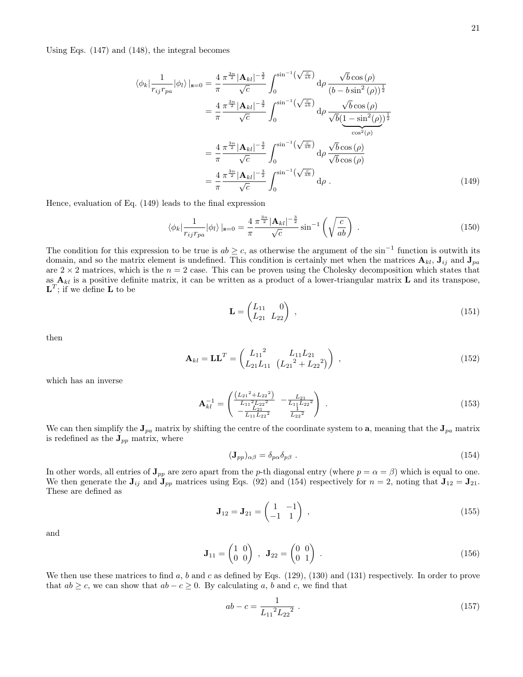Using Eqs. [\(147\)](#page-19-2) and [\(148\)](#page-19-3), the integral becomes

$$
\langle \phi_k | \frac{1}{r_{ij}r_{pa}} | \phi_l \rangle |_{\mathbf{s}=0} = \frac{4}{\pi} \frac{\pi^{\frac{3n}{2}} |\mathbf{A}_{kl}|^{-\frac{3}{2}}}{\sqrt{c}} \int_0^{\sin^{-1}(\sqrt{\frac{c}{ab}})} d\rho \frac{\sqrt{b} \cos(\rho)}{(b-b \sin^2(\rho))^{\frac{1}{2}}}
$$
  
\n
$$
= \frac{4}{\pi} \frac{\pi^{\frac{3n}{2}} |\mathbf{A}_{kl}|^{-\frac{3}{2}}}{\sqrt{c}} \int_0^{\sin^{-1}(\sqrt{\frac{c}{ab}})} d\rho \frac{\sqrt{b} \cos(\rho)}{\sqrt{b(1-\sin^2(\rho))^{\frac{1}{2}}}}
$$
  
\n
$$
= \frac{4}{\pi} \frac{\pi^{\frac{3n}{2}} |\mathbf{A}_{kl}|^{-\frac{3}{2}}}{\sqrt{c}} \int_0^{\sin^{-1}(\sqrt{\frac{c}{ab}})} d\rho \frac{\sqrt{b} \cos(\rho)}{\sqrt{b} \cos(\rho)}
$$
  
\n
$$
= \frac{4}{\pi} \frac{\pi^{\frac{3n}{2}} |\mathbf{A}_{kl}|^{-\frac{3}{2}}}{\sqrt{c}} \int_0^{\sin^{-1}(\sqrt{\frac{c}{ab}})} d\rho .
$$
  
\n(149)

Hence, evaluation of Eq. [\(149\)](#page-20-0) leads to the final expression

$$
\langle \phi_k | \frac{1}{r_{ij} r_{pa}} | \phi_l \rangle |_{\mathbf{s}=0} = \frac{4}{\pi} \frac{\pi^{\frac{3n}{2}} |\mathbf{A}_{kl}|^{-\frac{3}{2}}}{\sqrt{c}} \sin^{-1} \left( \sqrt{\frac{c}{ab}} \right) . \tag{150}
$$

The condition for this expression to be true is  $ab \geq c$ , as otherwise the argument of the sin<sup>-1</sup> function is outwith its domain, and so the matrix element is undefined. This condition is certainly met when the matrices  $\mathbf{A}_{kl}$ ,  $\mathbf{J}_{ij}$  and  $\mathbf{J}_{pa}$ are  $2 \times 2$  matrices, which is the  $n = 2$  case. This can be proven using the Cholesky decomposition which states that as  $A_{kl}$  is a positive definite matrix, it can be written as a product of a lower-triangular matrix  $L$  and its transpose,  ${\bf L}^T$ ; if we define **L** to be

<span id="page-20-0"></span>
$$
\mathbf{L} = \begin{pmatrix} L_{11} & 0 \\ L_{21} & L_{22} \end{pmatrix} , \tag{151}
$$

then

$$
\mathbf{A}_{kl} = \mathbf{L}\mathbf{L}^T = \begin{pmatrix} L_{11}^2 & L_{11}L_{21} \\ L_{21}L_{11} & (L_{21}^2 + L_{22}^2) \end{pmatrix} , \qquad (152)
$$

which has an inverse

$$
\mathbf{A}_{kl}^{-1} = \begin{pmatrix} \frac{(L_{21}^2 + L_{22}^2)}{L_{11}^2 L_{22}^2} & -\frac{L_{21}}{L_{11}^2 L_{22}^2} \\ -\frac{L_{21}}{L_{11}^2 L_{22}^2} & \frac{L_{22}}{L_{22}^2} \end{pmatrix} .
$$
 (153)

We can then simplify the  $J_{pa}$  matrix by shifting the centre of the coordinate system to a, meaning that the  $J_{pa}$  matrix is redefined as the  $J_{pp}$  matrix, where

<span id="page-20-1"></span>
$$
(\mathbf{J}_{pp})_{\alpha\beta} = \delta_{p\alpha}\delta_{p\beta} \tag{154}
$$

In other words, all entries of  $J_{pp}$  are zero apart from the p-th diagonal entry (where  $p = \alpha = \beta$ ) which is equal to one. We then generate the  $J_{ij}$  and  $J_{pp}$  matrices using Eqs. [\(92\)](#page-14-1) and [\(154\)](#page-20-1) respectively for  $n = 2$ , noting that  $J_{12} = J_{21}$ . These are defined as

$$
\mathbf{J}_{12} = \mathbf{J}_{21} = \begin{pmatrix} 1 & -1 \\ -1 & 1 \end{pmatrix} , \qquad (155)
$$

and

$$
\mathbf{J}_{11} = \begin{pmatrix} 1 & 0 \\ 0 & 0 \end{pmatrix} , \quad \mathbf{J}_{22} = \begin{pmatrix} 0 & 0 \\ 0 & 1 \end{pmatrix} . \tag{156}
$$

We then use these matrices to find a, b and c as defined by Eqs.  $(129)$ ,  $(130)$  and  $(131)$  respectively. In order to prove that  $ab \geq c$ , we can show that  $ab - c \geq 0$ . By calculating a, b and c, we find that

$$
ab - c = \frac{1}{L_{11}^2 L_{22}^2} \tag{157}
$$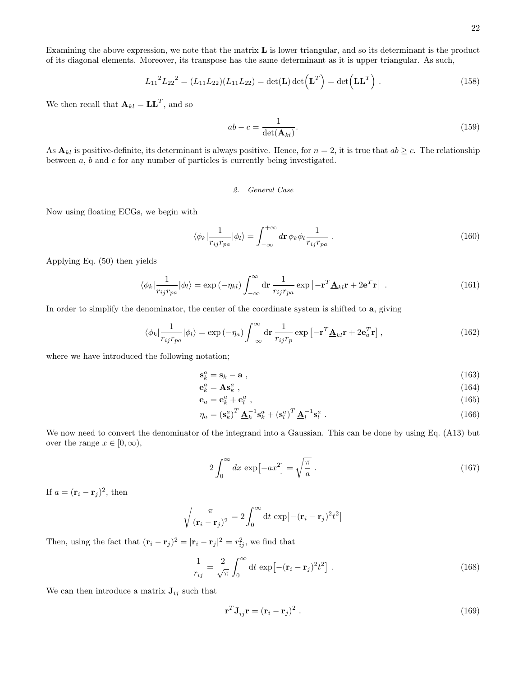Examining the above expression, we note that the matrix L is lower triangular, and so its determinant is the product of its diagonal elements. Moreover, its transpose has the same determinant as it is upper triangular. As such,

$$
L_{11}{}^{2}L_{22}{}^{2} = (L_{11}L_{22})(L_{11}L_{22}) = \det(\mathbf{L}) \det(\mathbf{L}^{T}) = \det(\mathbf{L}\mathbf{L}^{T}).
$$
\n(158)

We then recall that  $\mathbf{A}_{kl} = \mathbf{L}\mathbf{L}^T$ , and so

$$
ab - c = \frac{1}{\det(\mathbf{A}_{kl})}.
$$
\n(159)

As  $\mathbf{A}_{kl}$  is positive-definite, its determinant is always positive. Hence, for  $n = 2$ , it is true that  $ab \geq c$ . The relationship between a, b and c for any number of particles is currently being investigated.

### 2. General Case

Now using floating ECGs, we begin with

$$
\langle \phi_k | \frac{1}{r_{ij} r_{pa}} | \phi_l \rangle = \int_{-\infty}^{+\infty} d\mathbf{r} \, \phi_k \phi_l \frac{1}{r_{ij} r_{pa}} \ . \tag{160}
$$

Applying Eq. [\(50\)](#page-10-6) then yields

$$
\langle \phi_k | \frac{1}{r_{ij} r_{pa}} | \phi_l \rangle = \exp(-\eta_{kl}) \int_{-\infty}^{\infty} d\mathbf{r} \frac{1}{r_{ij} r_{pa}} \exp\left[-\mathbf{r}^T \underline{\mathbf{A}}_{kl} \mathbf{r} + 2 \mathbf{e}^T \mathbf{r}\right] . \tag{161}
$$

In order to simplify the denominator, the center of the coordinate system is shifted to a, giving

$$
\langle \phi_k | \frac{1}{r_{ij} r_{pa}} | \phi_l \rangle = \exp(-\eta_a) \int_{-\infty}^{\infty} d\mathbf{r} \frac{1}{r_{ij} r_p} \exp\left[-\mathbf{r}^T \underline{\mathbf{A}}_{kl} \mathbf{r} + 2 \mathbf{e}_a^T \mathbf{r}\right],
$$
(162)

where we have introduced the following notation;

$$
\mathbf{s}_k^a = \mathbf{s}_k - \mathbf{a} \tag{163}
$$

$$
\mathbf{e}_k^a = \mathbf{A}\mathbf{s}_k^a \,, \tag{164}
$$

$$
\mathbf{e}_a = \mathbf{e}_k^a + \mathbf{e}_l^a \tag{165}
$$

$$
\eta_a = \left(\mathbf{s}_k^a\right)^T \underline{\mathbf{A}}_k^{-1} \mathbf{s}_k^a + \left(\mathbf{s}_l^a\right)^T \underline{\mathbf{A}}_l^{-1} \mathbf{s}_l^a \tag{166}
$$

We now need to convert the denominator of the integrand into a Gaussian. This can be done by using Eq. [\(A13\)](#page-31-0) but over the range  $x \in [0, \infty)$ ,

$$
2\int_0^\infty dx \, \exp\left[-ax^2\right] = \sqrt{\frac{\pi}{a}} \,. \tag{167}
$$

If  $a = (\mathbf{r}_i - \mathbf{r}_j)^2$ , then

$$
\sqrt{\frac{\pi}{(\mathbf{r}_i - \mathbf{r}_j)^2}} = 2 \int_0^\infty dt \, \exp[-(\mathbf{r}_i - \mathbf{r}_j)^2 t^2]
$$

Then, using the fact that  $(\mathbf{r}_i - \mathbf{r}_j)^2 = |\mathbf{r}_i - \mathbf{r}_j|^2 = r_{ij}^2$ , we find that

$$
\frac{1}{r_{ij}} = \frac{2}{\sqrt{\pi}} \int_0^\infty dt \, \exp\left[-(\mathbf{r}_i - \mathbf{r}_j)^2 t^2\right] \,. \tag{168}
$$

We can then introduce a matrix  $J_{ij}$  such that

<span id="page-21-0"></span>
$$
\mathbf{r}^T \mathbf{J}_{ij} \mathbf{r} = (\mathbf{r}_i - \mathbf{r}_j)^2 \ . \tag{169}
$$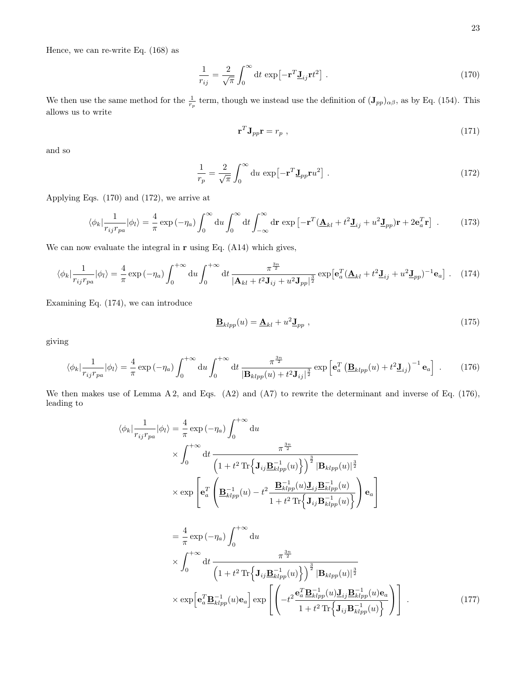Hence, we can re-write Eq. [\(168\)](#page-21-0) as

$$
\frac{1}{r_{ij}} = \frac{2}{\sqrt{\pi}} \int_0^\infty dt \, \exp\left[-\mathbf{r}^T \mathbf{J}_{ij} \mathbf{r} t^2\right] \,. \tag{170}
$$

We then use the same method for the  $\frac{1}{r_p}$  term, though we instead use the definition of  $(\mathbf{J}_{pp})_{\alpha\beta}$ , as by Eq. [\(154\)](#page-20-1). This allows us to write

<span id="page-22-1"></span><span id="page-22-0"></span>
$$
\mathbf{r}^T \mathbf{J}_{pp} \mathbf{r} = r_p \tag{171}
$$

and so

$$
\frac{1}{r_p} = \frac{2}{\sqrt{\pi}} \int_0^\infty \mathrm{d}u \, \exp\left[-\mathbf{r}^T \mathbf{J}_{pp} \mathbf{r} u^2\right] \,. \tag{172}
$$

Applying Eqs. [\(170\)](#page-22-0) and [\(172\)](#page-22-1), we arrive at

$$
\langle \phi_k | \frac{1}{r_{ij}r_{pa}} | \phi_l \rangle = \frac{4}{\pi} \exp(-\eta_a) \int_0^\infty du \int_0^\infty dt \int_{-\infty}^\infty dr \exp\left[-\mathbf{r}^T (\mathbf{\underline{A}}_{kl} + t^2 \mathbf{\underline{J}}_{ij} + u^2 \mathbf{\underline{J}}_{pp}) \mathbf{r} + 2\mathbf{e}_a^T \mathbf{r}\right].
$$
 (173)

We can now evaluate the integral in  $\bf{r}$  using Eq. [\(A14\)](#page-32-1) which gives,

$$
\langle \phi_k | \frac{1}{r_{ij}r_{pa}} | \phi_l \rangle = \frac{4}{\pi} \exp\left(-\eta_a\right) \int_0^{+\infty} \mathrm{d}u \int_0^{+\infty} \mathrm{d}t \, \frac{\pi^{\frac{3n}{2}}}{|\mathbf{A}_{kl} + t^2 \mathbf{J}_{ij} + u^2 \mathbf{J}_{pp}|^{\frac{3}{2}}} \exp\left[\mathbf{e}_a^T (\mathbf{\underline{A}}_{kl} + t^2 \mathbf{\underline{J}}_{ij} + u^2 \mathbf{\underline{J}}_{pp})^{-1} \mathbf{e}_a\right]. \tag{174}
$$

Examining Eq. [\(174\)](#page-22-2), we can introduce

<span id="page-22-3"></span><span id="page-22-2"></span>
$$
\underline{\mathbf{B}}_{klpp}(u) = \underline{\mathbf{A}}_{kl} + u^2 \underline{\mathbf{J}}_{pp} \tag{175}
$$

giving

$$
\langle \phi_k | \frac{1}{r_{ij}r_{pa}} | \phi_l \rangle = \frac{4}{\pi} \exp(-\eta_a) \int_0^{+\infty} du \int_0^{+\infty} dt \frac{\pi^{\frac{3n}{2}}}{|\mathbf{B}_{klpp}(u) + t^2 \mathbf{J}_{ij}|^{\frac{3}{2}}} \exp\left[\mathbf{e}_a^T \left(\mathbf{\underline{B}}_{klpp}(u) + t^2 \mathbf{\underline{J}}_{ij}\right)^{-1} \mathbf{e}_a\right] \ . \tag{176}
$$

We then makes use of Lemma [A 2,](#page-28-0) and Eqs. [\(A2\)](#page-28-1) and [\(A7\)](#page-29-0) to rewrite the determinant and inverse of Eq. [\(176\)](#page-22-3), leading to

$$
\langle \phi_k | \frac{1}{r_{ij}r_{pa}} | \phi_l \rangle = \frac{4}{\pi} \exp(-\eta_a) \int_0^{+\infty} du
$$
  
 
$$
\times \int_0^{+\infty} dt \frac{\pi^{\frac{3n}{2}}}{\left(1 + t^2 \operatorname{Tr} \left\{ \mathbf{J}_{ij} \underline{\mathbf{B}}_{klpp}^{-1}(u) \right\} \right)^{\frac{3}{2}} |\mathbf{B}_{klpp}(u)|^{\frac{3}{2}}}
$$
  
 
$$
\times \exp \left[ \mathbf{e}_a^T \left( \underline{\mathbf{B}}_{klpp}^{-1}(u) - t^2 \frac{\mathbf{B}_{klpp}^{-1}(u) \underline{\mathbf{J}}_{ij} \underline{\mathbf{B}}_{klpp}^{-1}(u)}{1 + t^2 \operatorname{Tr} \left\{ \mathbf{J}_{ij} \mathbf{B}_{klpp}^{-1}(u) \right\}} \right) \mathbf{e}_a \right]
$$
  

$$
= \frac{4}{\pi} \exp(-\eta_a) \int_0^{+\infty} du
$$

$$
\pi \times \int_0^{+\infty} dt \frac{\pi^{\frac{3n}{2}}}{\left(1+t^2 \operatorname{Tr} \left\{ \mathbf{J}_{ij} \underline{\mathbf{B}}_{klpp}^{-1}(u) \right\} \right)^{\frac{3}{2}} |\mathbf{B}_{klpp}(u)|^{\frac{3}{2}}}
$$

$$
\times \exp \left[ \mathbf{e}_a^T \underline{\mathbf{B}}_{klpp}^{-1}(u) \mathbf{e}_a \right] \exp \left[ \left( -t^2 \frac{\mathbf{e}_a^T \underline{\mathbf{B}}_{klpp}^{-1}(u) \underline{\mathbf{J}}_{ij} \underline{\mathbf{B}}_{klpp}^{-1}(u) \mathbf{e}_a}{1+t^2 \operatorname{Tr} \left\{ \mathbf{J}_{ij} \mathbf{B}_{klpp}^{-1}(u) \right\}} \right) \right].
$$
(177)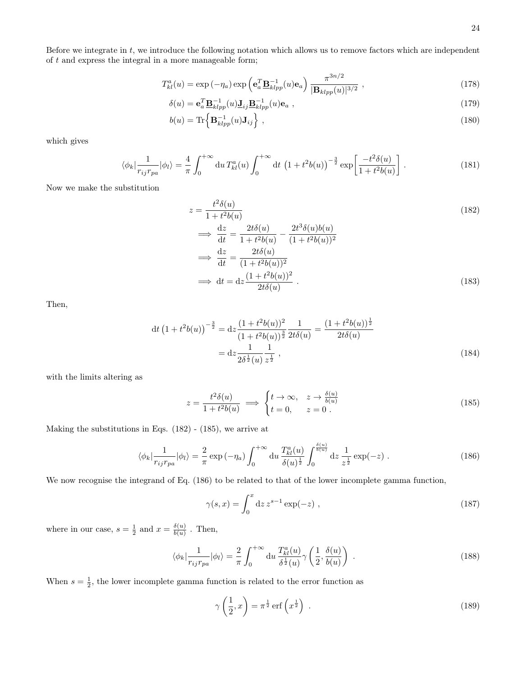Before we integrate in  $t$ , we introduce the following notation which allows us to remove factors which are independent of  $t$  and express the integral in a more manageable form;

$$
T_{kl}^a(u) = \exp\left(-\eta_a\right) \exp\left(\mathbf{e}_a^T \mathbf{B}_{klpp}^{-1}(u)\mathbf{e}_a\right) \frac{\pi^{3n/2}}{|\mathbf{B}_{klpp}(u)|^{3/2}},\tag{178}
$$

$$
\delta(u) = \mathbf{e}_a^T \mathbf{B}_{klpp}^{-1}(u) \mathbf{J}_{ij} \mathbf{B}_{klpp}^{-1}(u) \mathbf{e}_a , \qquad (179)
$$

$$
b(u) = \text{Tr}\left\{\mathbf{B}_{klpp}^{-1}(u)\mathbf{J}_{ij}\right\},\tag{180}
$$

which gives

$$
\langle \phi_k | \frac{1}{r_{ij} r_{pa}} | \phi_l \rangle = \frac{4}{\pi} \int_0^{+\infty} du \, T_{kl}^a(u) \int_0^{+\infty} dt \, \left( 1 + t^2 b(u) \right)^{-\frac{3}{2}} \exp\left[ \frac{-t^2 \delta(u)}{1 + t^2 b(u)} \right] \,. \tag{181}
$$

Now we make the substitution

<span id="page-23-4"></span><span id="page-23-0"></span>
$$
z = \frac{t^2 \delta(u)}{1 + t^2 b(u)}
$$
  
\n
$$
\implies \frac{dz}{dt} = \frac{2t \delta(u)}{1 + t^2 b(u)} - \frac{2t^3 \delta(u) b(u)}{(1 + t^2 b(u))^2}
$$
  
\n
$$
\implies \frac{dz}{dt} = \frac{2t \delta(u)}{(1 + t^2 b(u))^2}
$$
  
\n
$$
\implies dt = dz \frac{(1 + t^2 b(u))^2}{2t \delta(u)}.
$$
\n(183)

Then,

$$
dt \left(1 + t^2 b(u)\right)^{-\frac{3}{2}} = dz \frac{\left(1 + t^2 b(u)\right)^2}{\left(1 + t^2 b(u)\right)^{\frac{3}{2}}} \frac{1}{2t\delta(u)} = \frac{\left(1 + t^2 b(u)\right)^{\frac{1}{2}}}{2t\delta(u)}
$$

$$
= dz \frac{1}{2\delta^{\frac{1}{2}}(u)} \frac{1}{z^{\frac{1}{2}}}, \qquad (184)
$$

with the limits altering as

<span id="page-23-5"></span>
$$
z = \frac{t^2 \delta(u)}{1 + t^2 b(u)} \implies \begin{cases} t \to \infty, & z \to \frac{\delta(u)}{b(u)} \\ t = 0, & z = 0 \end{cases} \tag{185}
$$

Making the substitutions in Eqs. [\(182\)](#page-23-0) - [\(185\)](#page-23-1), we arrive at

$$
\langle \phi_k | \frac{1}{r_{ij} r_{pa}} | \phi_l \rangle = \frac{2}{\pi} \exp(-\eta_a) \int_0^{+\infty} du \, \frac{T_{kl}^a(u)}{\delta(u)^{\frac{1}{2}}} \int_0^{\frac{\delta(u)}{b(u)}} dz \, \frac{1}{z^{\frac{1}{2}}} \exp(-z) \; . \tag{186}
$$

We now recognise the integrand of Eq. [\(186\)](#page-23-2) to be related to that of the lower incomplete gamma function,

<span id="page-23-2"></span><span id="page-23-1"></span>
$$
\gamma(s,x) = \int_0^x dz \, z^{s-1} \exp(-z) \;, \tag{187}
$$

where in our case,  $s = \frac{1}{2}$  and  $x = \frac{\delta(u)}{b(u)}$  $\frac{\partial(u)}{\partial(u)}$  . Then,

$$
\langle \phi_k | \frac{1}{r_{ij}r_{pa}} | \phi_l \rangle = \frac{2}{\pi} \int_0^{+\infty} du \frac{T_{kl}^a(u)}{\delta^{\frac{1}{2}}(u)} \gamma \left( \frac{1}{2}, \frac{\delta(u)}{b(u)} \right) . \tag{188}
$$

When  $s = \frac{1}{2}$ , the lower incomplete gamma function is related to the error function as

<span id="page-23-3"></span>
$$
\gamma\left(\frac{1}{2},x\right) = \pi^{\frac{1}{2}} \operatorname{erf}\left(x^{\frac{1}{2}}\right) \tag{189}
$$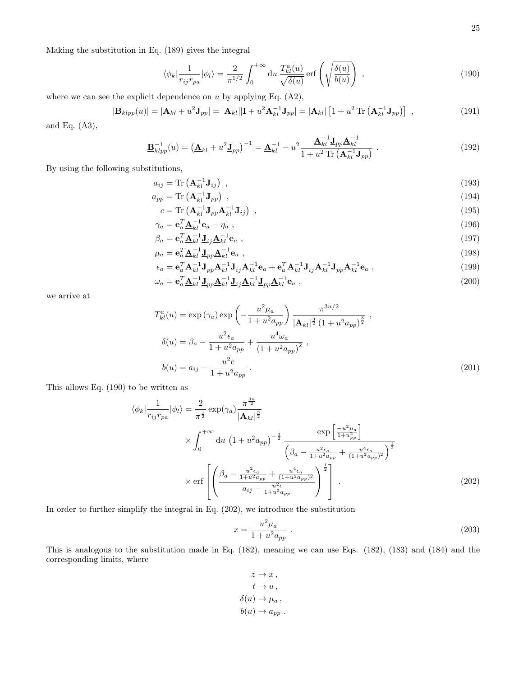Making the substitution in Eq. [\(189\)](#page-23-3) gives the integral

<span id="page-24-0"></span>
$$
\langle \phi_k | \frac{1}{r_{ij} r_{pa}} | \phi_l \rangle = \frac{2}{\pi^{1/2}} \int_0^{+\infty} du \, \frac{T_{kl}^a(u)}{\sqrt{\delta(u)}} \operatorname{erf} \left( \sqrt{\frac{\delta(u)}{b(u)}} \right) , \qquad (190)
$$

where we can see the explicit dependence on  $u$  by applying Eq.  $(A2)$ ,

$$
|\mathbf{B}_{klpp}(u)| = |\mathbf{A}_{kl} + u^2 \mathbf{J}_{pp}| = |\mathbf{A}_{kl}||\mathbf{I} + u^2 \mathbf{A}_{kl}^{-1} \mathbf{J}_{pp}| = |\mathbf{A}_{kl}| \left[1 + u^2 \operatorname{Tr} \left(\mathbf{A}_{kl}^{-1} \mathbf{J}_{pp}\right)\right] , \qquad (191)
$$

and Eq. [\(A3\)](#page-29-2),

$$
\underline{\mathbf{B}}_{klpp}^{-1}(u) = \left(\underline{\mathbf{A}}_{kl} + u^2 \underline{\mathbf{J}}_{pp}\right)^{-1} = \underline{\mathbf{A}}_{kl}^{-1} - u^2 \frac{\underline{\mathbf{A}}_{kl}^{-1} \underline{\mathbf{J}}_{pp} \underline{\mathbf{A}}_{kl}^{-1}}{1 + u^2 \operatorname{Tr}\left(\mathbf{A}_{kl}^{-1} \mathbf{J}_{pp}\right)}\ .
$$
 (192)

By using the following substitutions,

$$
a_{ij} = \text{Tr}\left(\mathbf{A}_{kl}^{-1}\mathbf{J}_{ij}\right) \tag{193}
$$

$$
a_{pp} = \text{Tr}\left(\mathbf{A}_{kl}^{-1}\mathbf{J}_{pp}\right) \tag{194}
$$

$$
c = \text{Tr}\left(\mathbf{A}_{kl}^{-1}\mathbf{J}_{pp}\mathbf{A}_{kl}^{-1}\mathbf{J}_{ij}\right) \tag{195}
$$
\n
$$
T_{\mathbf{A}} = 1 \tag{196}
$$

$$
\gamma_a = \mathbf{e}_a^T \mathbf{\underline{A}}_{kl}^{-1} \mathbf{e}_a - \eta_a \,,\tag{196}
$$

$$
\beta_a = \mathbf{e}_a^T \underline{\mathbf{A}}_{kl}^{-1} \underline{\mathbf{J}}_{ij} \underline{\mathbf{A}}_{kl}^{-1} \mathbf{e}_a \tag{197}
$$

$$
\mu_a = \mathbf{e}_a^T \underline{\mathbf{A}}_{kl}^{-1} \underline{\mathbf{J}}_{pp} \underline{\mathbf{A}}_{kl}^{-1} \mathbf{e}_a ,
$$
\n(198)

$$
\epsilon_a = \mathbf{e}_a^T \underline{\mathbf{A}}_{kl}^{-1} \underline{\mathbf{J}}_{pp} \underline{\mathbf{A}}_{kl}^{-1} \underline{\mathbf{J}}_{ij} \underline{\mathbf{A}}_{kl}^{-1} \mathbf{e}_a + \mathbf{e}_a^T \underline{\mathbf{A}}_{kl}^{-1} \underline{\mathbf{J}}_{ij} \underline{\mathbf{A}}_{kl}^{-1} \underline{\mathbf{J}}_{pp} \underline{\mathbf{A}}_{kl}^{-1} \mathbf{e}_a ,
$$
\n
$$
\omega_a = \mathbf{e}_a^T \underline{\mathbf{A}}_{kl}^{-1} \underline{\mathbf{J}}_{pp} \underline{\mathbf{A}}_{kl}^{-1} \underline{\mathbf{J}}_{ij} \underline{\mathbf{A}}_{kl}^{-1} \underline{\mathbf{I}}_{pp} \underline{\mathbf{A}}_{kl}^{-1} \mathbf{e}_a ,
$$
\n(199)

we arrive at

$$
T_{kl}^{a}(u) = \exp\left(\gamma_a\right) \exp\left(-\frac{u^2 \mu_a}{1 + u^2 a_{pp}}\right) \frac{\pi^{3n/2}}{|\mathbf{A}_{kl}|^{\frac{3}{2}} \left(1 + u^2 a_{pp}\right)^{\frac{3}{2}}},
$$
  
\n
$$
\delta(u) = \beta_a - \frac{u^2 \epsilon_a}{1 + u^2 a_{pp}} + \frac{u^4 \omega_a}{\left(1 + u^2 a_{pp}\right)^2},
$$
  
\n
$$
b(u) = a_{ij} - \frac{u^2 c}{1 + u^2 a_{pp}}.
$$
\n(201)

This allows Eq. [\(190\)](#page-24-0) to be written as

$$
\langle \phi_k | \frac{1}{r_{ij}r_{pa}} | \phi_l \rangle = \frac{2}{\pi^{\frac{1}{2}}} \exp(\gamma_a) \frac{\pi^{\frac{3n}{2}}}{|\mathbf{A}_{kl}|^{\frac{3}{2}}} \times \int_0^{+\infty} du \left(1 + u^2 a_{pp}\right)^{-\frac{3}{2}} \frac{\exp\left[\frac{-u^2 \mu_a}{1 + u_{pp}^2}\right]}{\left(\beta_a - \frac{u^2 \epsilon_a}{1 + u^2 a_{pp}} + \frac{u^4 \epsilon_a}{(1 + u^2 a_{pp})^2}\right)^{\frac{1}{2}}} \times \text{erf}\left[\left(\frac{\beta_a - \frac{u^2 \epsilon_a}{1 + u^2 a_{pp}} + \frac{u^4 \epsilon_a}{(1 + u^2 a_{pp})^2}}{a_{ij} - \frac{u^2 c}{1 + u^2 a_{pp}}}\right)^{\frac{1}{2}}\right]. \tag{202}
$$

In order to further simplify the integral in Eq. [\(202\)](#page-24-1), we introduce the substitution

<span id="page-24-1"></span>
$$
x = \frac{u^2 \mu_a}{1 + u^2 a_{pp}} \tag{203}
$$

This is analogous to the substitution made in Eq. [\(182\)](#page-23-0), meaning we can use Eqs. [\(182\)](#page-23-0), [\(183\)](#page-23-4) and [\(184\)](#page-23-5) and the corresponding limits, where

$$
z \to x ,
$$
  
\n
$$
t \to u ,
$$
  
\n
$$
\delta(u) \to \mu_a ,
$$
  
\n
$$
b(u) \to a_{pp} .
$$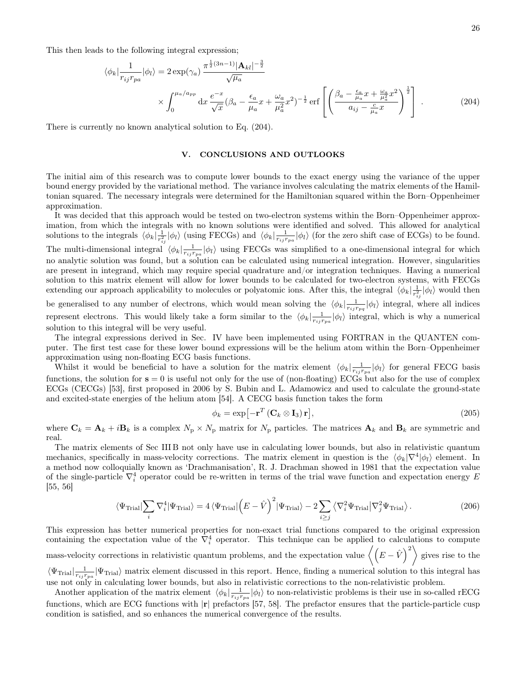This then leads to the following integral expression;

$$
\langle \phi_k | \frac{1}{r_{ij}r_{pa}} | \phi_l \rangle = 2 \exp(\gamma_a) \frac{\pi^{\frac{1}{2}(3n-1)} |\mathbf{A}_{kl}|^{-\frac{3}{2}}}{\sqrt{\mu_a}} \times \int_0^{\mu_a/a_{pp}} dx \frac{e^{-x}}{\sqrt{x}} (\beta_a - \frac{\epsilon_a}{\mu_a} x + \frac{\omega_a}{\mu_a^2} x^2)^{-\frac{1}{2}} \text{erf}\left[ \left(\frac{\beta_a - \frac{\epsilon_a}{\mu_a} x + \frac{\omega_a}{\mu_a^2} x^2}{a_{ij} - \frac{c}{\mu_a} x}\right)^{\frac{1}{2}} \right].
$$
 (204)

There is currently no known analytical solution to Eq. [\(204\)](#page-25-1).

# <span id="page-25-1"></span><span id="page-25-0"></span>V. CONCLUSIONS AND OUTLOOKS

The initial aim of this research was to compute lower bounds to the exact energy using the variance of the upper bound energy provided by the variational method. The variance involves calculating the matrix elements of the Hamiltonian squared. The necessary integrals were determined for the Hamiltonian squared within the Born–Oppenheimer approximation.

It was decided that this approach would be tested on two-electron systems within the Born–Oppenheimer approximation, from which the integrals with no known solutions were identified and solved. This allowed for analytical solutions to the integrals  $\langle \phi_k | \frac{1}{r_{ij}^2} | \phi_l \rangle$  (using FECGs) and  $\langle \phi_k | \frac{1}{r_{ij}r_{pa}} | \phi_l \rangle$  (for the zero shift case of ECGs) to be found. The multi-dimensional integral  $\langle \phi_k | \frac{1}{r_{ij}r_{pa}} | \phi_l \rangle$  using FECGs was simplified to a one-dimensional integral for which no analytic solution was found, but a solution can be calculated using numerical integration. However, singularities are present in integrand, which may require special quadrature and/or integration techniques. Having a numerical solution to this matrix element will allow for lower bounds to be calculated for two-electron systems, with FECGs extending our approach applicability to molecules or polyatomic ions. After this, the integral  $\langle \phi_k | \frac{1}{r_{i,j}^2} | \phi_l \rangle$  would then be generalised to any number of electrons, which would mean solving the  $\langle \phi_k | \frac{1}{r_{ij}r_{pq}} | \phi_l \rangle$  integral, where all indices represent electrons. This would likely take a form similar to the  $\langle \phi_k | \frac{1}{r_{ij}r_{pa}} | \phi_l \rangle$  integral, which is why a numerical solution to this integral will be very useful.

The integral expressions derived in Sec. [IV](#page-13-0) have been implemented using FORTRAN in the QUANTEN computer. The first test case for these lower bound expressions will be the helium atom within the Born–Oppenheimer approximation using non-floating ECG basis functions.

Whilst it would be beneficial to have a solution for the matrix element  $\langle \phi_k | \frac{1}{r_{ij} r_{pa}} | \phi_l \rangle$  for general FECG basis functions, the solution for  $s = 0$  is useful not only for the use of (non-floating) ECGs but also for the use of complex ECGs (CECGs) [\[53\]](#page-27-15), first proposed in 2006 by S. Bubin and L. Adamowicz and used to calculate the ground-state and excited-state energies of the helium atom [\[54\]](#page-27-16). A CECG basis function takes the form

$$
\phi_k = \exp\left[-\mathbf{r}^T \left(\mathbf{C}_k \otimes \mathbf{I}_3\right) \mathbf{r}\right],\tag{205}
$$

where  $\mathbf{C}_k = \mathbf{A}_k + i\mathbf{B}_k$  is a complex  $N_p \times N_p$  matrix for  $N_p$  particles. The matrices  $\mathbf{A}_k$  and  $\mathbf{B}_k$  are symmetric and real.

The matrix elements of Sec [III B](#page-11-0) not only have use in calculating lower bounds, but also in relativistic quantum mechanics, specifically in mass-velocity corrections. The matrix element in question is the  $\langle \phi_k | \nabla^4 | \phi_l \rangle$  element. In a method now colloquially known as 'Drachmanisation', R. J. Drachman showed in 1981 that the expectation value of the single-particle  $\nabla_i^4$  operator could be re-written in terms of the trial wave function and expectation energy E [\[55,](#page-27-17) [56\]](#page-27-18)

$$
\langle \Psi_{\text{Trial}} | \sum_{i} \nabla_{i}^{4} | \Psi_{\text{Trial}} \rangle = 4 \langle \Psi_{\text{Trial}} | \left( E - \hat{V} \right)^{2} | \Psi_{\text{Trial}} \rangle - 2 \sum_{i \geq j} \langle \nabla_{i}^{2} \Psi_{\text{Trial}} | \nabla_{j}^{2} \Psi_{\text{Trial}} \rangle. \tag{206}
$$

This expression has better numerical properties for non-exact trial functions compared to the original expression containing the expectation value of the  $\nabla_i^4$  operator. This technique can be applied to calculations to compute mass-velocity corrections in relativistic quantum problems, and the expectation value  $\left\langle \left(E-\hat{V}\right)^2\right\rangle$  gives rise to the  $\langle \Psi_{\text{Trial}}|_{\overline{r_{ij}r_{pa}}} |\Psi_{\text{Trial}}\rangle$  matrix element discussed in this report. Hence, finding a numerical solution to this integral has

use not only in calculating lower bounds, but also in relativistic corrections to the non-relativistic problem.

Another application of the matrix element  $\langle \phi_k | \frac{1}{r_{ij} r_{pa}} | \phi_l \rangle$  to non-relativistic problems is their use in so-called rECG functions, which are ECG functions with  $|\mathbf{r}|$  prefactors [\[57,](#page-27-19) [58\]](#page-27-20). The prefactor ensures that the particle-particle cusp condition is satisfied, and so enhances the numerical convergence of the results.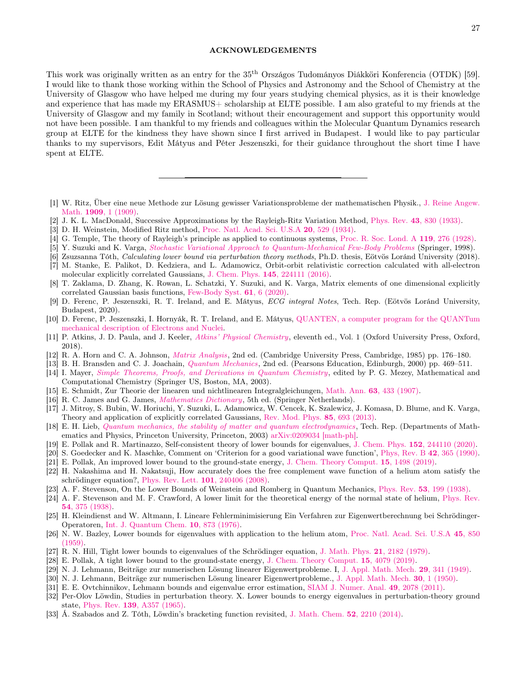### ACKNOWLEDGEMENTS

This work was originally written as an entry for the 35th Országos Tudományos Diákköri Konferencia (OTDK) [\[59\]](#page-27-21). I would like to thank those working within the School of Physics and Astronomy and the School of Chemistry at the University of Glasgow who have helped me during my four years studying chemical physics, as it is their knowledge and experience that has made my ERASMUS+ scholarship at ELTE possible. I am also grateful to my friends at the University of Glasgow and my family in Scotland; without their encouragement and support this opportunity would not have been possible. I am thankful to my friends and colleagues within the Molecular Quantum Dynamics research group at ELTE for the kindness they have shown since I first arrived in Budapest. I would like to pay particular thanks to my supervisors, Edit Mátyus and Péter Jeszenszki, for their guidance throughout the short time I have spent at ELTE.

- <span id="page-26-0"></span>[1] W. Ritz, Über eine neue Methode zur Lösung gewisser Variationsprobleme der mathematischen Physik., [J. Reine Angew.](https://doi.org/10.1515/crll.1909.135.1) Math. 1909[, 1 \(1909\).](https://doi.org/10.1515/crll.1909.135.1)
- <span id="page-26-1"></span>[2] J. K. L. MacDonald, Successive Approximations by the Rayleigh-Ritz Variation Method, Phys. Rev. 43[, 830 \(1933\).](https://doi.org/10.1103/PhysRev.43.830)
- <span id="page-26-2"></span>[3] D. H. Weinstein, Modified Ritz method, [Proc. Natl. Acad. Sci. U.S.A](https://doi.org/10.1073/pnas.20.9.529) 20, 529 (1934).
- <span id="page-26-3"></span>[4] G. Temple, The theory of Rayleigh's principle as applied to continuous systems, [Proc. R. Soc. Lond. A](https://doi.org/https://doi.org/10.1098/rspa.1928.0098) 119, 276 (1928).
- <span id="page-26-4"></span>[5] Y. Suzuki and K. Varga, [Stochastic Variational Approach to Quantum-Mechanical Few-Body Problems](https://www.springer.com/gp/book/9783540651529) (Springer, 1998).
- <span id="page-26-5"></span>[6] Zsuzsanna Tóth, Calculating lower bound via perturbation theory methods, Ph.D. thesis, Eötvös Loránd University (2018).
- <span id="page-26-6"></span>[7] M. Stanke, E. Palikot, D. Kedziera, and L. Adamowicz, Orbit-orbit relativistic correction calculated with all-electron molecular explicitly correlated Gaussians, J. Chem. Phys. 145[, 224111 \(2016\).](https://doi.org/10.1063/1.4971376)
- [8] T. Zaklama, D. Zhang, K. Rowan, L. Schatzki, Y. Suzuki, and K. Varga, Matrix elements of one dimensional explicitly correlated Gaussian basis functions, [Few-Body Syst.](https://doi.org/10.1007/s00601-019-1539-3) 61, 6 (2020).
- <span id="page-26-7"></span>[9] D. Ferenc, P. Jeszenszki, R. T. Ireland, and E. Mátyus, ECG integral Notes, Tech. Rep. (Eötvös Loránd University, Budapest, 2020).
- <span id="page-26-8"></span>[10] D. Ferenc, P. Jeszenszki, I. Hornyák, R. T. Ireland, and E. Mátyus, [QUANTEN, a computer program for the QUANTum](www.compchem.hu) [mechanical description of Electrons and Nuclei.](www.compchem.hu)
- <span id="page-26-9"></span>[11] P. Atkins, J. D. Paula, and J. Keeler, [Atkins' Physical Chemistry](https://global.oup.com/academic/product/atkins-physical-chemistry-9780198769866?cc=gb&lang=en&]), eleventh ed., Vol. 1 (Oxford University Press, Oxford, 2018).
- [12] R. A. Horn and C. A. Johnson, [Matrix Analysis](https://doi.org/10.1017/CBO9780511810817), 2nd ed. (Cambridge University Press, Cambridge, 1985) pp. 176–180.
- <span id="page-26-10"></span>[13] B. H. Bransden and C. J. Joachain, [Quantum Mechanics](https://www.pearson.com/uk/educators/higher-education-educators/product/9780582356917.html), 2nd ed. (Pearsons Education, Edinburgh, 2000) pp. 469–511.
- <span id="page-26-11"></span>[14] I. Mayer, [Simple Theorems, Proofs, and Derivations in Quantum Chemistry](https://doi.org/10.1007/978-1-4757-6519-9), edited by P. G. Mezey, Mathematical and Computational Chemistry (Springer US, Boston, MA, 2003).
- <span id="page-26-12"></span>[15] E. Schmidt, Zur Theorie der linearen und nichtlinearen Integralgleichungen, Math. Ann. 63[, 433 \(1907\).](https://doi.org/10.1007/BF01449770)
- <span id="page-26-13"></span>[16] R. C. James and G. James, [Mathematics Dictionary](https://www.springer.com/gp/book/9780412990410), 5th ed. (Springer Netherlands).
- <span id="page-26-14"></span>[17] J. Mitroy, S. Bubin, W. Horiuchi, Y. Suzuki, L. Adamowicz, W. Cencek, K. Szalewicz, J. Komasa, D. Blume, and K. Varga, Theory and application of explicitly correlated Gaussians, [Rev. Mod. Phys.](https://doi.org/10.1103/RevModPhys.85.693) 85, 693 (2013).
- <span id="page-26-15"></span>[18] E. H. Lieb, [Quantum mechanics, the stability of matter and quantum electrodynamics](https://doi.org/10.4310/cdm.2005.v2005.n1.a3), Tech. Rep. (Departments of Mathematics and Physics, Princeton University, Princeton, 2003) [arXiv:0209034 \[math-ph\].](https://arxiv.org/abs/0209034)
- <span id="page-26-16"></span>[19] E. Pollak and R. Martinazzo, Self-consistent theory of lower bounds for eigenvalues, J. Chem. Phys. 152[, 244110 \(2020\).](https://doi.org/10.1063/5.0009436)
- <span id="page-26-17"></span>[20] S. Goedecker and K. Maschke, Comment on 'Criterion for a good variational wave function', [Phys, Rev. B](https://doi.org/https://doi.org/10.1103/PhysRevB.42.6835) 42, 365 (1990).
- <span id="page-26-18"></span>[21] E. Pollak, An improved lower bound to the ground-state energy, [J. Chem. Theory Comput.](https://doi.org/10.1021/acs.jctc.9b00128) 15, 1498 (2019).
- <span id="page-26-19"></span>[22] H. Nakashima and H. Nakatsuji, How accurately does the free complement wave function of a helium atom satisfy the schrödinger equation?, [Phys. Rev. Lett.](https://doi.org/10.1103/PhysRevLett.101.240406) 101, 240406 (2008).
- <span id="page-26-20"></span>[23] A. F. Stevenson, On the Lower Bounds of Weinstein and Romberg in Quantum Mechanics, Phys. Rev. 53[, 199 \(1938\).](https://doi.org/10.1103/PhysRev.53.199.2)
- <span id="page-26-21"></span>[24] A. F. Stevenson and M. F. Crawford, A lower limit for the theoretical energy of the normal state of helium, [Phys. Rev.](https://doi.org/10.1103/PhysRev.54.375) 54[, 375 \(1938\).](https://doi.org/10.1103/PhysRev.54.375)
- <span id="page-26-22"></span>[25] H. Kleindienst and W. Altmann, I. Lineare Fehlerminimisierung Ein Verfahren zur Eigenwertberechnung bei Schrödinger-Operatoren, [Int. J. Quantum Chem.](https://doi.org/10.1002/qua.560100516) 10, 873 (1976).
- <span id="page-26-23"></span>[26] N. W. Bazley, Lower bounds for eigenvalues with application to the helium atom, [Proc. Natl. Acad. Sci. U.S.A](https://doi.org/https://doi.org/10.1073/pnas.45.6.850) 45, 850 [\(1959\).](https://doi.org/https://doi.org/10.1073/pnas.45.6.850)
- <span id="page-26-24"></span>[27] R. N. Hill, Tight lower bounds to eigenvalues of the Schrödinger equation, [J. Math. Phys.](https://doi.org/10.1063/1.524700) 21, 2182 (1979).
- <span id="page-26-25"></span>[28] E. Pollak, A tight lower bound to the ground-state energy, [J. Chem. Theory Comput.](https://doi.org/10.1021/acs.jctc.9b00344) 15, 4079 (2019).
- <span id="page-26-26"></span>[29] N. J. Lehmann, Beiträge zur numerischen Lösung linearer Eigenwertprobleme. I, [J. Appl. Math. Mech.](https://doi.org/10.1002/zamm.19502911005) 29, 341 (1949).
- [30] N. J. Lehmann, Beiträge zur numerischen Lösung linearer Eigenwertprobleme., [J. Appl. Math. Mech.](https://doi.org/10.1002/zamm.19500300101) 30, 1 (1950).
- <span id="page-26-27"></span>[31] E. E. Ovtchinnikov, Lehmann bounds and eigenvalue error estimation, [SIAM J. Numer. Anal.](https://doi.org/10.1137/100793062) 49, 2078 (2011).
- <span id="page-26-28"></span>[32] Per-Olov Löwdin, Studies in perturbation theory. X. Lower bounds to energy eigenvalues in perturbation-theory ground state, Phys. Rev. 139[, A357 \(1965\).](https://doi.org/https://doi.org/10.1103/PhysRev.139.A357)
- <span id="page-26-29"></span>[33] Á. Szabados and Z. Tóth, Löwdin's bracketing function revisited, [J. Math. Chem.](https://doi.org/10.1007/s10910-014-0379-0) 52, 2210 (2014).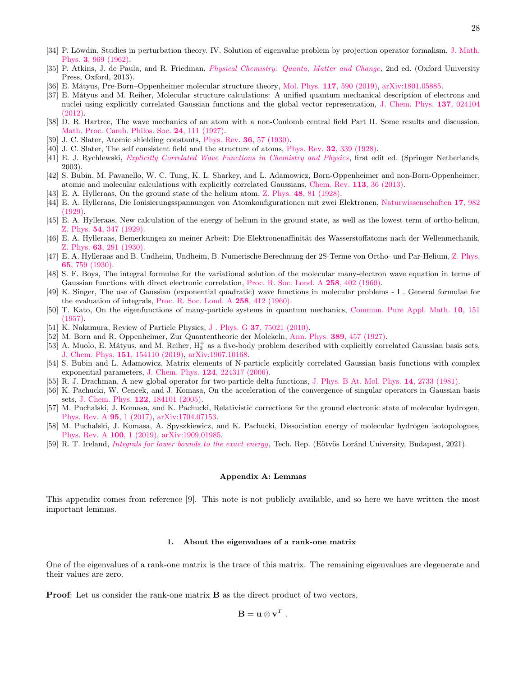- <span id="page-27-0"></span>[34] P. Löwdin, Studies in perturbation theory. IV. Solution of eigenvalue problem by projection operator formalism, [J. Math.](https://doi.org/10.1063/1.1724312) Phys. 3[, 969 \(1962\).](https://doi.org/10.1063/1.1724312)
- <span id="page-27-1"></span>[35] P. Atkins, J. de Paula, and R. Friedman, *[Physical Chemistry: Quanta, Matter and Change](https://global.oup.com/academic/product/physical-chemistry-9780199609819?q=quanta)*, 2nd ed. (Oxford University Press, Oxford, 2013).
- <span id="page-27-2"></span>[36] E. Mátyus, Pre-Born–Oppenheimer molecular structure theory, Mol. Phys. 117[, 590 \(2019\),](https://doi.org/10.1080/00268976.2018.1530461) [arXiv:1801.05885.](https://arxiv.org/abs/1801.05885)
- <span id="page-27-3"></span>[37] E. Mátyus and M. Reiher, Molecular structure calculations: A unified quantum mechanical description of electrons and nuclei using explicitly correlated Gaussian functions and the global vector representation, [J. Chem. Phys.](https://doi.org/10.1063/1.4731696) 137, 024104 [\(2012\).](https://doi.org/10.1063/1.4731696)
- <span id="page-27-4"></span>[38] D. R. Hartree, The wave mechanics of an atom with a non-Coulomb central field Part II. Some results and discussion, [Math. Proc. Camb. Philos. Soc.](https://doi.org/10.1017/S0305004100011920) 24, 111 (1927).
- [39] J. C. Slater, Atomic shielding constants, Phys. Rev. 36[, 57 \(1930\).](https://doi.org/10.1103/PhysRev.36.57)
- <span id="page-27-5"></span>[40] J. C. Slater, The self consistent field and the structure of atoms, Phys. Rev. 32[, 339 \(1928\).](https://doi.org/10.1103/PhysRev.32.339)
- <span id="page-27-6"></span>[41] E. J. Rychlewski, [Explicitly Correlated Wave Functions in Chemistry and Physics](https://www.springer.com/gp/book/9781402016745), first edit ed. (Springer Netherlands, 2003).
- <span id="page-27-7"></span>[42] S. Bubin, M. Pavanello, W. C. Tung, K. L. Sharkey, and L. Adamowicz, Born-Oppenheimer and non-Born-Oppenheimer, atomic and molecular calculations with explicitly correlated Gaussians, [Chem. Rev.](https://doi.org/10.1021/cr200419d) 113, 36 (2013).
- <span id="page-27-8"></span>[43] E. A. Hylleraas, On the ground state of the helium atom, Z. Phys. 48[, 81 \(1928\).](https://doi.org/https://doi.org/10.1007/978-3-642-75471-5_16)
- [44] E. A. Hylleraas, Die Ionisierungsspannungen von Atomkonfigurationen mit zwei Elektronen, [Naturwissenschaften](https://doi.org/https://doi.org/10.1007/BF01506430) 17, 982 [\(1929\).](https://doi.org/https://doi.org/10.1007/BF01506430)
- [45] E. A. Hylleraas, New calculation of the energy of helium in the ground state, as well as the lowest term of ortho-helium, Z. Phys. 54[, 347 \(1929\).](https://doi.org/https://doi.org/10.1142/9789812795762_0006)
- [46] E. A. Hylleraas, Bemerkungen zu meiner Arbeit: Die Elektronenaffinität des Wasserstoffatoms nach der Wellenmechanik, Z. Phys. 63[, 291 \(1930\).](https://doi.org/10.1007/BF01421744)
- <span id="page-27-9"></span>[47] E. A. Hylleraas and B. Undheim, Undheim, B. Numerische Berechnung der 2S-Terme von Ortho- und Par-Helium, [Z. Phys.](https://doi.org/10.1007/BF01397263) 65[, 759 \(1930\).](https://doi.org/10.1007/BF01397263)
- <span id="page-27-10"></span>[48] S. F. Boys, The integral formulae for the variational solution of the molecular many-electron wave equation in terms of Gaussian functions with direct electronic correlation, [Proc. R. Soc. Lond. A](https://doi.org/https://doi.org/10.1098/rspa.1960.0195) 258, 402 (1960).
- <span id="page-27-11"></span>[49] K. Singer, The use of Gaussian (exponential quadratic) wave functions in molecular problems - I . General formulae for the evaluation of integrals, [Proc. R. Soc. Lond. A](https://doi.org/https://doi.org/10.1098/rspa.1960.0196) 258, 412 (1960).
- <span id="page-27-12"></span>[50] T. Kato, On the eigenfunctions of many-particle systems in quantum mechanics, [Commun. Pure Appl. Math.](https://doi.org/10.1002/cpa.3160100201) 10, 151 [\(1957\).](https://doi.org/10.1002/cpa.3160100201)
- <span id="page-27-13"></span>[51] K. Nakamura, Review of Particle Physics, J . Phys. G 37[, 75021 \(2010\).](https://doi.org/10.1088/0954-3899/37/7a/075021)
- <span id="page-27-14"></span>[52] M. Born and R. Oppenheimer, Zur Quantentheorie der Molekeln, Ann. Phys. 389[, 457 \(1927\).](https://doi.org/10.1002/andp.19273892002)
- <span id="page-27-15"></span>[53] A. Muolo, E. Mátyus, and M. Reiher,  $H_3^+$  as a five-body problem described with explicitly correlated Gaussian basis sets, J. Chem. Phys. 151[, 154110 \(2019\),](https://doi.org/10.1063/1.5121318) [arXiv:1907.10168.](https://arxiv.org/abs/1907.10168)
- <span id="page-27-16"></span>[54] S. Bubin and L. Adamowicz, Matrix elements of N-particle explicitly correlated Gaussian basis functions with complex exponential parameters, J. Chem. Phys. 124[, 224317 \(2006\).](https://doi.org/10.1063/1.2204605)
- <span id="page-27-17"></span>[55] R. J. Drachman, A new global operator for two-particle delta functions, [J. Phys. B At. Mol. Phys.](https://doi.org/https://iopscience.iop.org/article/10.1088/0022-3700/14/16/003/meta) 14, 2733 (1981).
- <span id="page-27-18"></span>[56] K. Pachucki, W. Cencek, and J. Komasa, On the acceleration of the convergence of singular operators in Gaussian basis sets, J. Chem. Phys. 122[, 184101 \(2005\).](https://doi.org/10.1063/1.1888572)
- <span id="page-27-19"></span>[57] M. Puchalski, J. Komasa, and K. Pachucki, Relativistic corrections for the ground electronic state of molecular hydrogen, [Phys. Rev. A](https://doi.org/10.1103/PhysRevA.95.052506) 95, 1 (2017), [arXiv:1704.07153.](https://arxiv.org/abs/1704.07153)
- <span id="page-27-20"></span>[58] M. Puchalski, J. Komasa, A. Spyszkiewicz, and K. Pachucki, Dissociation energy of molecular hydrogen isotopologues, [Phys. Rev. A](https://doi.org/10.1103/PhysRevA.100.020503) 100, 1 (2019), [arXiv:1909.01985.](https://arxiv.org/abs/1909.01985)
- <span id="page-27-21"></span>[59] R. T. Ireland, [Integrals for lower bounds to the exact energy](https://doi.org/http://hdl.handle.net/10831/57773), Tech. Rep. (Eötvös Loránd University, Budapest, 2021).

### Appendix A: Lemmas

This appendix comes from reference [\[9\]](#page-26-7). This note is not publicly available, and so here we have written the most important lemmas.

### <span id="page-27-22"></span>1. About the eigenvalues of a rank-one matrix

One of the eigenvalues of a rank-one matrix is the trace of this matrix. The remaining eigenvalues are degenerate and their values are zero.

Proof: Let us consider the rank-one matrix B as the direct product of two vectors,

$$
\mathbf{B} = \mathbf{u} \otimes \mathbf{v}^T.
$$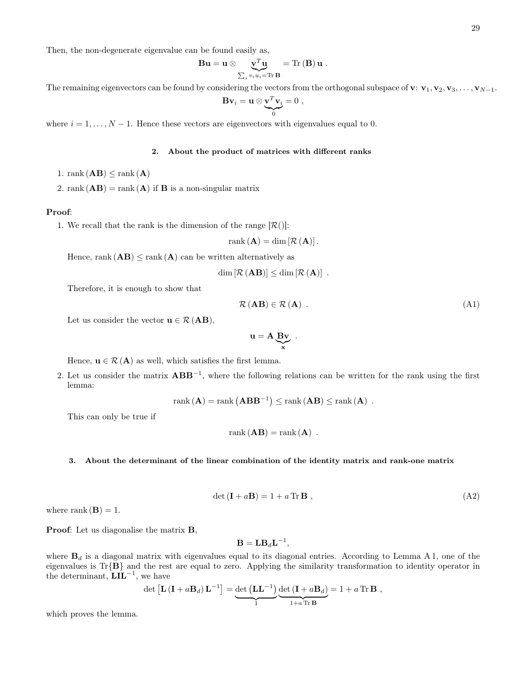Then, the non-degenerate eigenvalue can be found easily as,

$$
\mathbf{B}\mathbf{u} = \mathbf{u} \otimes \underbrace{\mathbf{v}^T \mathbf{u}}_{\sum_i v_i u_i = \text{Tr } \mathbf{B}} = \text{Tr }(\mathbf{B}) \mathbf{u} .
$$

The remaining eigenvectors can be found by considering the vectors from the orthogonal subspace of v:  $v_1, v_2, v_3, \ldots, v_{N-1}$ .

$$
\mathbf{B}\mathbf{v}_i = \mathbf{u} \otimes \underbrace{\mathbf{v}^T \mathbf{v}_i}_{0} = 0 ,
$$

where  $i = 1, \ldots, N - 1$ . Hence these vectors are eigenvectors with eigenvalues equal to 0.

## <span id="page-28-0"></span>2. About the product of matrices with different ranks

- 1. rank  $(AB) \leq$ rank  $(A)$
- 2. rank  $(AB) = \text{rank}(A)$  if **B** is a non-singular matrix

# Proof:

1. We recall that the rank is the dimension of the range  $[\mathcal{R}()]$ :

$$
rank(\mathbf{A}) = dim[\mathcal{R}(\mathbf{A})].
$$

Hence, rank  $(AB) \leq$  rank  $(A)$  can be written alternatively as

$$
\dim [\mathcal{R}(\mathbf{AB})] \leq \dim [\mathcal{R}(\mathbf{A})] .
$$

Therefore, it is enough to show that

$$
\mathcal{R}(\mathbf{AB}) \in \mathcal{R}(\mathbf{A}) \tag{A1}
$$

Let us consider the vector  $\mathbf{u} \in \mathcal{R} (\mathbf{A}\mathbf{B}),$ 

$$
u = A \underbrace{Bv}_{x}.
$$

Hence,  $\mathbf{u} \in \mathcal{R}(\mathbf{A})$  as well, which satisfies the first lemma.

2. Let us consider the matrix  $ABB^{-1}$ , where the following relations can be written for the rank using the first lemma:

$$
rank (\mathbf{A}) = rank (\mathbf{A} \mathbf{B} \mathbf{B}^{-1}) \leq rank (\mathbf{A} \mathbf{B}) \leq rank (\mathbf{A}).
$$

This can only be true if

$$
rank(\mathbf{AB}) = rank(\mathbf{A}) .
$$

### <span id="page-28-2"></span>3. About the determinant of the linear combination of the identity matrix and rank-one matrix

$$
\det(\mathbf{I} + a\mathbf{B}) = 1 + a \operatorname{Tr} \mathbf{B} \tag{A2}
$$

where rank  $(\mathbf{B}) = 1$ .

Proof: Let us diagonalise the matrix **B**,

<span id="page-28-1"></span>
$$
\mathbf{B} = \mathbf{L} \mathbf{B}_d \mathbf{L}^{-1},
$$

where  $\mathbf{B}_d$  is a diagonal matrix with eigenvalues equal to its diagonal entries. According to Lemma [A 1,](#page-27-22) one of the eigenvalues is Tr{B} and the rest are equal to zero. Applying the similarity transformation to identity operator in the determinant,  $\tilde{\mathbf{L}}\tilde{\mathbf{L}}^{-1}$ , we have

$$
\det\left[\mathbf{L}\left(\mathbf{I}+a\mathbf{B}_d\right)\mathbf{L}^{-1}\right] = \underbrace{\det\left(\mathbf{L}\mathbf{L}^{-1}\right)}_{1} \underbrace{\det\left(\mathbf{I}+a\mathbf{B}_d\right)}_{1+a\text{Tr }\mathbf{B}} = 1 + a\text{Tr }\mathbf{B},
$$

which proves the lemma.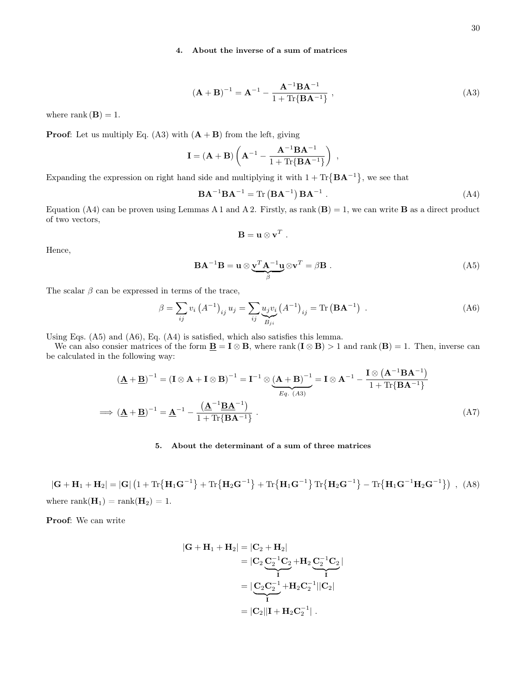# 4. About the inverse of a sum of matrices

<span id="page-29-2"></span>
$$
(\mathbf{A} + \mathbf{B})^{-1} = \mathbf{A}^{-1} - \frac{\mathbf{A}^{-1} \mathbf{B} \mathbf{A}^{-1}}{1 + \text{Tr} \{ \mathbf{B} \mathbf{A}^{-1} \}},
$$
(A3)

where rank  $(\mathbf{B}) = 1$ .

**Proof:** Let us multiply Eq. [\(A3\)](#page-29-2) with  $(A + B)$  from the left, giving

$$
\mathbf{I} = (\mathbf{A} + \mathbf{B}) \left( \mathbf{A}^{-1} - \frac{\mathbf{A}^{-1} \mathbf{B} \mathbf{A}^{-1}}{1 + \text{Tr} \{ \mathbf{B} \mathbf{A}^{-1} \}} \right) ,
$$

Expanding the expression on right hand side and multiplying it with  $1 + \text{Tr} \{ \mathbf{B} \mathbf{A}^{-1} \}$ , we see that

<span id="page-29-3"></span>
$$
\mathbf{BA}^{-1}\mathbf{BA}^{-1} = \text{Tr}\left(\mathbf{BA}^{-1}\right)\mathbf{BA}^{-1} . \tag{A4}
$$

Equation [\(A4\)](#page-29-3) can be proven using Lemmas [A 1](#page-27-22) and [A 2.](#page-28-0) Firstly, as rank  $(\mathbf{B}) = 1$ , we can write **B** as a direct product of two vectors,

<span id="page-29-0"></span>
$$
\mathbf{B} = \mathbf{u} \otimes \mathbf{v}^T.
$$

Hence,

<span id="page-29-4"></span>
$$
\mathbf{BA}^{-1}\mathbf{B} = \mathbf{u} \otimes \underbrace{\mathbf{v}^T \mathbf{A}^{-1} \mathbf{u}}_{\beta} \otimes \mathbf{v}^T = \beta \mathbf{B} . \tag{A5}
$$

The scalar  $\beta$  can be expressed in terms of the trace,

<span id="page-29-5"></span>
$$
\beta = \sum_{ij} v_i (A^{-1})_{ij} u_j = \sum_{ij} \underbrace{u_j v_i}_{B_{ji}} (A^{-1})_{ij} = \text{Tr} (\mathbf{B} \mathbf{A}^{-1}) .
$$
 (A6)

Using Eqs. [\(A5\)](#page-29-4) and [\(A6\)](#page-29-5), Eq. [\(A4\)](#page-29-3) is satisfied, which also satisfies this lemma.

We can also consier matrices of the form  $\underline{\mathbf{B}} = \mathbf{I} \otimes \mathbf{B}$ , where rank  $(\mathbf{I} \otimes \mathbf{B}) > 1$  and rank  $(\mathbf{B}) = 1$ . Then, inverse can be calculated in the following way:

$$
(\underline{\mathbf{A}} + \underline{\mathbf{B}})^{-1} = (\mathbf{I} \otimes \mathbf{A} + \mathbf{I} \otimes \mathbf{B})^{-1} = \mathbf{I}^{-1} \otimes (\underline{\mathbf{A}} + \underline{\mathbf{B}})^{-1} = \mathbf{I} \otimes \mathbf{A}^{-1} - \frac{\mathbf{I} \otimes (\mathbf{A}^{-1} \mathbf{B} \mathbf{A}^{-1})}{1 + \text{Tr} \{\mathbf{B} \mathbf{A}^{-1}\}}
$$
  
\n
$$
\implies (\underline{\mathbf{A}} + \underline{\mathbf{B}})^{-1} = \underline{\mathbf{A}}^{-1} - \frac{(\underline{\mathbf{A}}^{-1} \underline{\mathbf{B}} \underline{\mathbf{A}}^{-1})}{1 + \text{Tr} \{\mathbf{B} \mathbf{A}^{-1}\}}.
$$
\n(A7)

# 5. About the determinant of a sum of three matrices

 $|\mathbf{G} + \mathbf{H}_1 + \mathbf{H}_2| = |\mathbf{G}| \left( 1 + \text{Tr} \{ \mathbf{H}_1 \mathbf{G}^{-1} \} + \text{Tr} \{ \mathbf{H}_2 \mathbf{G}^{-1} \} + \text{Tr} \{ \mathbf{H}_1 \mathbf{G}^{-1} \} \text{Tr} \{ \mathbf{H}_2 \mathbf{G}^{-1} \} - \text{Tr} \{ \mathbf{H}_1 \mathbf{G}^{-1} \mathbf{H}_2 \mathbf{G}^{-1} \} \right)$ , (A8) where rank $(\mathbf{H}_1) = \text{rank}(\mathbf{H}_2) = 1$ .

Proof: We can write

<span id="page-29-1"></span>
$$
|\mathbf{G} + \mathbf{H}_1 + \mathbf{H}_2| = |\mathbf{C}_2 + \mathbf{H}_2|
$$
  
=  $|\mathbf{C}_2 \underbrace{\mathbf{C}_2^{-1} \mathbf{C}_2}_{\mathbf{I}} + \mathbf{H}_2 \underbrace{\mathbf{C}_2^{-1} \mathbf{C}_2}_{\mathbf{I}}|$   
=  $|\underbrace{\mathbf{C}_2 \mathbf{C}_2^{-1}}_{\mathbf{I}} + \mathbf{H}_2 \mathbf{C}_2^{-1}||\mathbf{C}_2|$   
=  $|\mathbf{C}_2||\mathbf{I} + \mathbf{H}_2 \mathbf{C}_2^{-1}|\ .$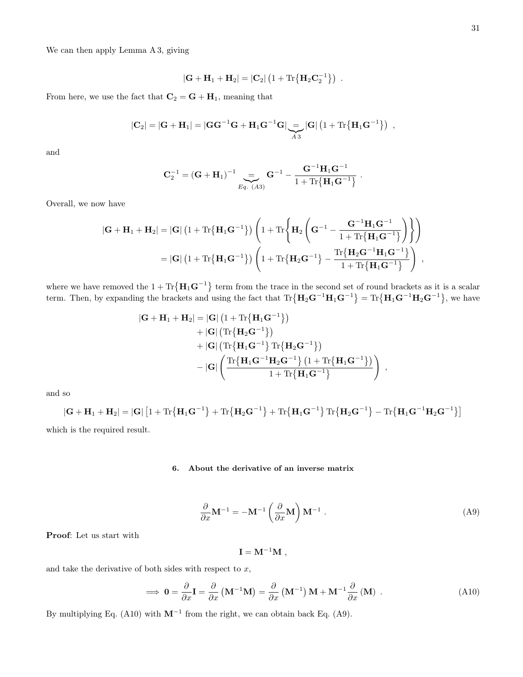We can then apply Lemma [A 3,](#page-28-2) giving

$$
\left|\mathbf{G}+\mathbf{H}_1+\mathbf{H}_2\right| = \left|\mathbf{C}_2\right| \left(1+\mathrm{Tr}\big\{\mathbf{H}_2\mathbf{C}_2^{-1}\big\}\right) \ .
$$

From here, we use the fact that  $\mathbf{C}_2 = \mathbf{G} + \mathbf{H}_1$ , meaning that

$$
|\mathbf{C}_2| = |\mathbf{G} + \mathbf{H}_1| = |\mathbf{G}\mathbf{G}^{-1}\mathbf{G} + \mathbf{H}_1\mathbf{G}^{-1}\mathbf{G}| \underbrace{=} |\mathbf{G}| \left(1 + \text{Tr}\{\mathbf{H}_1\mathbf{G}^{-1}\}\right) ,
$$

and

$$
\mathbf{C}_2^{-1} = (\mathbf{G} + \mathbf{H}_1)^{-1} \underset{Eq. (A3)}{\underbrace{=}} \mathbf{G}^{-1} - \frac{\mathbf{G}^{-1} \mathbf{H}_1 \mathbf{G}^{-1}}{1 + \text{Tr}\{\mathbf{H}_1 \mathbf{G}^{-1}\}}.
$$

Overall, we now have

$$
\begin{aligned} \left| {\bf G} + {\bf H}_1 + {\bf H}_2 \right| &= \left| {\bf G} \right| \left( 1 + \text{Tr}\big\{ {\bf H}_1 {\bf G}^{-1} \big\} \right) \left( 1 + \text{Tr}\bigg\{ {\bf H}_2 \left( {\bf G}^{-1} - \frac{{\bf G}^{-1} {\bf H}_1 {\bf G}^{-1}}{1 + \text{Tr}\big\{ {\bf H}_1 {\bf G}^{-1} \big\}} \right) \right\} \right) \\ &= \left| {\bf G} \right| \left( 1 + \text{Tr}\big\{ {\bf H}_1 {\bf G}^{-1} \big\} \right) \left( 1 + \text{Tr}\big\{ {\bf H}_2 {\bf G}^{-1} \big\} - \frac{\text{Tr}\big\{ {\bf H}_2 {\bf G}^{-1} {\bf H}_1 {\bf G}^{-1} \big\}}{1 + \text{Tr}\big\{ {\bf H}_1 {\bf G}^{-1} \big\}} \right) \ , \end{aligned}
$$

where we have removed the  $1 + \text{Tr} \{ \mathbf{H}_1 \mathbf{G}^{-1} \}$  term from the trace in the second set of round brackets as it is a scalar term. Then, by expanding the brackets and using the fact that  $\text{Tr}\{\mathbf{H}_2\mathbf{G}^{-1}\mathbf{H}_1\mathbf{G}^{-1}\} = \text{Tr}\{\mathbf{H}_1\mathbf{G}^{-1}\mathbf{H}_2\mathbf{G}^{-1}\}$ , we have

$$
\begin{aligned} |\mathbf{G} + \mathbf{H}_1 + \mathbf{H}_2| &= |\mathbf{G}| \left( 1 + \text{Tr}\{ \mathbf{H}_1 \mathbf{G}^{-1} \} \right) \\ &+ |\mathbf{G}| \left( \text{Tr}\{ \mathbf{H}_2 \mathbf{G}^{-1} \} \right) \\ &+ |\mathbf{G}| \left( \text{Tr}\{ \mathbf{H}_1 \mathbf{G}^{-1} \} \, \text{Tr}\{ \mathbf{H}_2 \mathbf{G}^{-1} \} \right) \\ &- |\mathbf{G}| \left( \frac{\text{Tr}\{ \mathbf{H}_1 \mathbf{G}^{-1} \mathbf{H}_2 \mathbf{G}^{-1} \} \left( 1 + \text{Tr}\{ \mathbf{H}_1 \mathbf{G}^{-1} \} \right)}{1 + \text{Tr}\{ \mathbf{H}_1 \mathbf{G}^{-1} \}} \right) \ , \end{aligned}
$$

and so

$$
|\mathbf{G} + \mathbf{H}_1 + \mathbf{H}_2| = |\mathbf{G}| \left[ 1 + \text{Tr} \{ \mathbf{H}_1 \mathbf{G}^{-1} \} + \text{Tr} \{ \mathbf{H}_2 \mathbf{G}^{-1} \} + \text{Tr} \{ \mathbf{H}_1 \mathbf{G}^{-1} \} \text{Tr} \{ \mathbf{H}_2 \mathbf{G}^{-1} \} - \text{Tr} \{ \mathbf{H}_1 \mathbf{G}^{-1} \mathbf{H}_2 \mathbf{G}^{-1} \} \right]
$$
\nwhich is the required result.

### 6. About the derivative of an inverse matrix

<span id="page-30-1"></span>
$$
\frac{\partial}{\partial x} \mathbf{M}^{-1} = -\mathbf{M}^{-1} \left( \frac{\partial}{\partial x} \mathbf{M} \right) \mathbf{M}^{-1} . \tag{A9}
$$

Proof: Let us start with

<span id="page-30-0"></span>
$$
\mathbf{I} = \mathbf{M}^{-1}\mathbf{M} \ ,
$$

and take the derivative of both sides with respect to  $x$ ,

$$
\implies \mathbf{0} = \frac{\partial}{\partial x} \mathbf{I} = \frac{\partial}{\partial x} \left( \mathbf{M}^{-1} \mathbf{M} \right) = \frac{\partial}{\partial x} \left( \mathbf{M}^{-1} \right) \mathbf{M} + \mathbf{M}^{-1} \frac{\partial}{\partial x} \left( \mathbf{M} \right) . \tag{A10}
$$

By multiplying Eq. [\(A10\)](#page-30-0) with  $M^{-1}$  from the right, we can obtain back Eq. [\(A9\)](#page-30-1).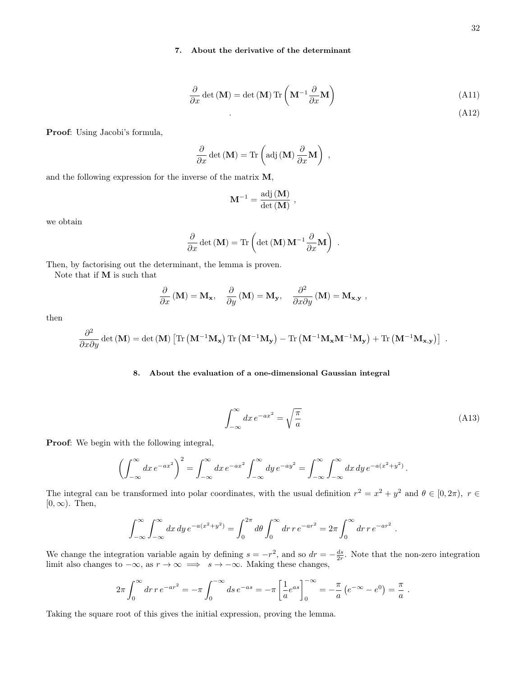# 7. About the derivative of the determinant

$$
\frac{\partial}{\partial x} \det(\mathbf{M}) = \det(\mathbf{M}) \operatorname{Tr}\left(\mathbf{M}^{-1} \frac{\partial}{\partial x} \mathbf{M}\right)
$$
(A11)

.  $(A12)$ 

Proof: Using Jacobi's formula,

$$
\frac{\partial}{\partial x} \det(\mathbf{M}) = \text{Tr} \left( \text{adj} \left( \mathbf{M} \right) \frac{\partial}{\partial x} \mathbf{M} \right) ,
$$

and the following expression for the inverse of the matrix M,

$$
\mathbf{M}^{-1} = \frac{\mathrm{adj}\left(\mathbf{M}\right)}{\det\left(\mathbf{M}\right)} \ ,
$$

we obtain

$$
\frac{\partial}{\partial x} \det(\mathbf{M}) = \text{Tr}\left(\det(\mathbf{M})\mathbf{M}^{-1} \frac{\partial}{\partial x} \mathbf{M}\right) .
$$

Then, by factorising out the determinant, the lemma is proven.

Note that if M is such that

$$
\frac{\partial}{\partial x} \left( \mathbf{M} \right) = \mathbf{M}_{\mathbf{x}}, \quad \frac{\partial}{\partial y} \left( \mathbf{M} \right) = \mathbf{M}_{\mathbf{y}}, \quad \frac{\partial^2}{\partial x \partial y} \left( \mathbf{M} \right) = \mathbf{M}_{\mathbf{x}, \mathbf{y}} ,
$$

then

$$
\frac{\partial^2}{\partial x \partial y} \det(\mathbf{M}) = \det(\mathbf{M}) \left[ \text{Tr} \left( \mathbf{M}^{-1} \mathbf{M_x} \right) \text{Tr} \left( \mathbf{M}^{-1} \mathbf{M_y} \right) - \text{Tr} \left( \mathbf{M}^{-1} \mathbf{M_x} \mathbf{M}^{-1} \mathbf{M_y} \right) + \text{Tr} \left( \mathbf{M}^{-1} \mathbf{M_{x,y}} \right) \right] \; .
$$

### <span id="page-31-1"></span>8. About the evaluation of a one-dimensional Gaussian integral

<span id="page-31-0"></span>
$$
\int_{-\infty}^{\infty} dx \, e^{-ax^2} = \sqrt{\frac{\pi}{a}} \tag{A13}
$$

Proof: We begin with the following integral,

$$
\left(\int_{-\infty}^{\infty} dx \, e^{-ax^2}\right)^2 = \int_{-\infty}^{\infty} dx \, e^{-ax^2} \int_{-\infty}^{\infty} dy \, e^{-ay^2} = \int_{-\infty}^{\infty} \int_{-\infty}^{\infty} dx \, dy \, e^{-a(x^2+y^2)}.
$$

The integral can be transformed into polar coordinates, with the usual definition  $r^2 = x^2 + y^2$  and  $\theta \in [0, 2\pi)$ ,  $r \in \mathbb{R}$  $[0, \infty)$ . Then,

$$
\int_{-\infty}^{\infty} \int_{-\infty}^{\infty} dx \, dy \, e^{-a(x^2 + y^2)} = \int_{0}^{2\pi} d\theta \int_{0}^{\infty} dr \, r \, e^{-ar^2} = 2\pi \int_{0}^{\infty} dr \, r \, e^{-ar^2}.
$$

We change the integration variable again by defining  $s = -r^2$ , and so  $dr = -\frac{ds}{2r}$ . Note that the non-zero integration limit also changes to  $-\infty$ , as  $r \to \infty \implies s \to -\infty$ . Making these changes,

$$
2\pi \int_0^\infty dr \, r \, e^{-ar^2} = -\pi \int_0^{-\infty} ds \, e^{-as} = -\pi \left[ \frac{1}{a} e^{as} \right]_0^{-\infty} = -\frac{\pi}{a} \left( e^{-\infty} - e^0 \right) = \frac{\pi}{a} \; .
$$

Taking the square root of this gives the initial expression, proving the lemma.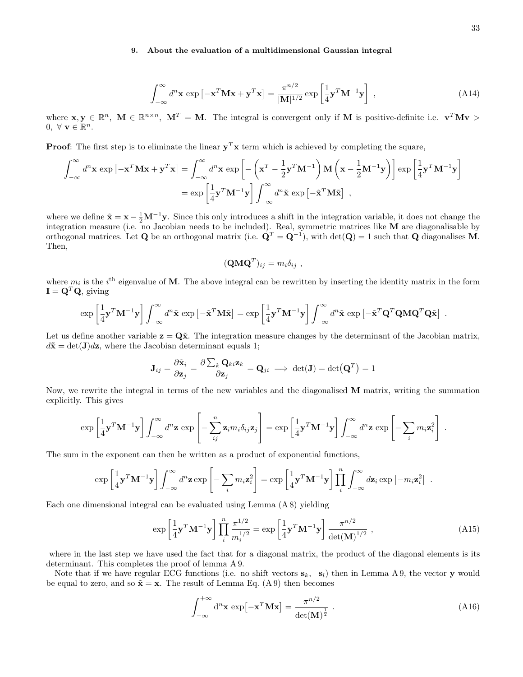# <span id="page-32-0"></span>9. About the evaluation of a multidimensional Gaussian integral

$$
\int_{-\infty}^{\infty} d^n \mathbf{x} \exp\left[-\mathbf{x}^T \mathbf{M} \mathbf{x} + \mathbf{y}^T \mathbf{x}\right] = \frac{\pi^{n/2}}{|\mathbf{M}|^{1/2}} \exp\left[\frac{1}{4} \mathbf{y}^T \mathbf{M}^{-1} \mathbf{y}\right],
$$
\n(A14)

where  $\mathbf{x}, \mathbf{y} \in \mathbb{R}^n$ ,  $\mathbf{M} \in \mathbb{R}^{n \times n}$ ,  $\mathbf{M}^T = \mathbf{M}$ . The integral is convergent only if M is positive-definite i.e.  $\mathbf{v}^T \mathbf{M} \mathbf{v} >$  $0, \forall \mathbf{v} \in \mathbb{R}^n$ .

**Proof:** The first step is to eliminate the linear  $y^T x$  term which is achieved by completing the square,

$$
\int_{-\infty}^{\infty} d^{n} \mathbf{x} \exp \left[ -\mathbf{x}^{T} \mathbf{M} \mathbf{x} + \mathbf{y}^{T} \mathbf{x} \right] = \int_{-\infty}^{\infty} d^{n} \mathbf{x} \exp \left[ -\left( \mathbf{x}^{T} - \frac{1}{2} \mathbf{y}^{T} \mathbf{M}^{-1} \right) \mathbf{M} \left( \mathbf{x} - \frac{1}{2} \mathbf{M}^{-1} \mathbf{y} \right) \right] \exp \left[ \frac{1}{4} \mathbf{y}^{T} \mathbf{M}^{-1} \mathbf{y} \right]
$$
  
= 
$$
\exp \left[ \frac{1}{4} \mathbf{y}^{T} \mathbf{M}^{-1} \mathbf{y} \right] \int_{-\infty}^{\infty} d^{n} \tilde{\mathbf{x}} \exp \left[ -\tilde{\mathbf{x}}^{T} \mathbf{M} \tilde{\mathbf{x}} \right] ,
$$

where we define  $\tilde{\mathbf{x}} = \mathbf{x} - \frac{1}{2} \mathbf{M}^{-1} \mathbf{y}$ . Since this only introduces a shift in the integration variable, it does not change the integration measure (i.e. no Jacobian needs to be included). Real, symmetric matrices like M are diagonalisable by orthogonal matrices. Let Q be an orthogonal matrix (i.e.  $\mathbf{Q}^T = \mathbf{Q}^{-1}$ ), with  $\det(\mathbf{Q}) = 1$  such that Q diagonalises M. Then,

<span id="page-32-1"></span>
$$
(\mathbf{Q}\mathbf{M}\mathbf{Q}^T)_{ij} = m_i \delta_{ij} ,
$$

where  $m_i$  is the i<sup>th</sup> eigenvalue of **M**. The above integral can be rewritten by inserting the identity matrix in the form  $\mathbf{I} = \mathbf{Q}^T \mathbf{Q}$ , giving

$$
\exp\left[\frac{1}{4}\mathbf{y}^T\mathbf{M}^{-1}\mathbf{y}\right]\int_{-\infty}^{\infty}d^n\tilde{\mathbf{x}}\exp\left[-\tilde{\mathbf{x}}^T\mathbf{M}\tilde{\mathbf{x}}\right] = \exp\left[\frac{1}{4}\mathbf{y}^T\mathbf{M}^{-1}\mathbf{y}\right]\int_{-\infty}^{\infty}d^n\tilde{\mathbf{x}}\exp\left[-\tilde{\mathbf{x}}^T\mathbf{Q}^T\mathbf{Q}\mathbf{M}\mathbf{Q}^T\mathbf{Q}\tilde{\mathbf{x}}\right] .
$$

Let us define another variable  $z = Q\tilde{x}$ . The integration measure changes by the determinant of the Jacobian matrix,  $d\tilde{\mathbf{x}} = \det(\mathbf{J})d\mathbf{z}$ , where the Jacobian determinant equals 1;

$$
\mathbf{J}_{ij} = \frac{\partial \tilde{\mathbf{x}}_i}{\partial \mathbf{z}_j} = \frac{\partial \sum_k \mathbf{Q}_{ki} \mathbf{z}_k}{\partial \mathbf{z}_j} = \mathbf{Q}_{ji} \implies \det(\mathbf{J}) = \det(\mathbf{Q}^T) = 1
$$

Now, we rewrite the integral in terms of the new variables and the diagonalised M matrix, writing the summation explicitly. This gives

$$
\exp\left[\frac{1}{4}\mathbf{y}^T\mathbf{M}^{-1}\mathbf{y}\right]\int_{-\infty}^{\infty}d^n\mathbf{z}\exp\left[-\sum_{ij}^{n}\mathbf{z}_i m_i\delta_{ij}\mathbf{z}_j\right] = \exp\left[\frac{1}{4}\mathbf{y}^T\mathbf{M}^{-1}\mathbf{y}\right]\int_{-\infty}^{\infty}d^n\mathbf{z}\exp\left[-\sum_{i}m_i\mathbf{z}_i^2\right]
$$

The sum in the exponent can then be written as a product of exponential functions,

$$
\exp\left[\frac{1}{4}\mathbf{y}^T\mathbf{M}^{-1}\mathbf{y}\right]\int_{-\infty}^{\infty}d^n\mathbf{z}\exp\left[-\sum_i m_i\mathbf{z}_i^2\right] = \exp\left[\frac{1}{4}\mathbf{y}^T\mathbf{M}^{-1}\mathbf{y}\right]\prod_i^n\int_{-\infty}^{\infty}d\mathbf{z}_i\exp\left[-m_i\mathbf{z}_i^2\right].
$$

Each one dimensional integral can be evaluated using Lemma [\(A 8\)](#page-31-1) yielding

$$
\exp\left[\frac{1}{4}\mathbf{y}^{T}\mathbf{M}^{-1}\mathbf{y}\right]\prod_{i}^{n}\frac{\pi^{1/2}}{m_{i}^{1/2}} = \exp\left[\frac{1}{4}\mathbf{y}^{T}\mathbf{M}^{-1}\mathbf{y}\right]\frac{\pi^{n/2}}{\det(\mathbf{M})^{1/2}},
$$
\n(A15)

where in the last step we have used the fact that for a diagonal matrix, the product of the diagonal elements is its determinant. This completes the proof of lemma [A 9.](#page-32-0)

Note that if we have regular ECG functions (i.e. no shift vectors  $s_k$ ,  $s_l$ ) then in Lemma [A 9,](#page-32-0) the vector y would be equal to zero, and so  $\tilde{\mathbf{x}} = \mathbf{x}$ . The result of Lemma Eq. [\(A 9\)](#page-32-0) then becomes

$$
\int_{-\infty}^{+\infty} d^n \mathbf{x} \exp[-\mathbf{x}^T \mathbf{M} \mathbf{x}] = \frac{\pi^{n/2}}{\det(\mathbf{M})^{\frac{1}{2}}}.
$$
 (A16)

<span id="page-32-2"></span>.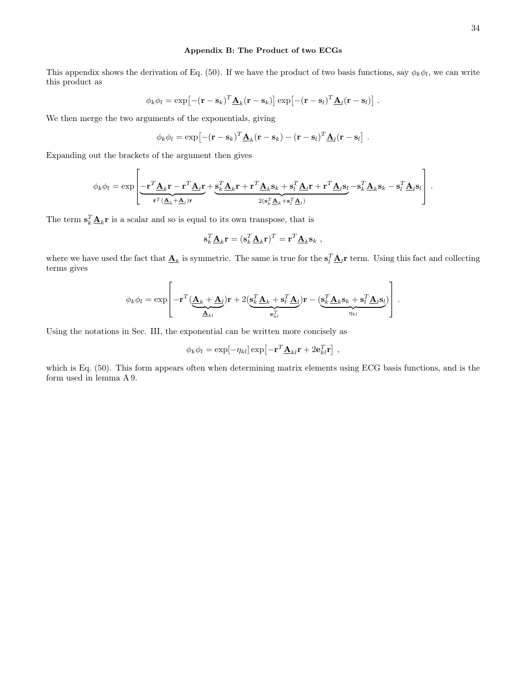# <span id="page-33-0"></span>Appendix B: The Product of two ECGs

This appendix shows the derivation of Eq. [\(50\)](#page-10-6). If we have the product of two basis functions, say  $\phi_k \phi_l$ , we can write this product as

$$
\phi_k \phi_l = \exp\left[ -(\mathbf{r} - \mathbf{s}_k)^T \underline{\mathbf{A}}_k (\mathbf{r} - \mathbf{s}_k) \right] \exp\left[ -(\mathbf{r} - \mathbf{s}_l)^T \underline{\mathbf{A}}_l (\mathbf{r} - \mathbf{s}_l) \right].
$$

We then merge the two arguments of the exponentials, giving

$$
\phi_k \phi_l = \exp\left[ -(\mathbf{r}-\mathbf{s}_k)^T \underline{\mathbf{A}}_k (\mathbf{r}-\mathbf{s}_k) - (\mathbf{r}-\mathbf{s}_l)^T \underline{\mathbf{A}}_l (\mathbf{r}-\mathbf{s}_l) \right].
$$

Expanding out the brackets of the argument then gives

$$
\phi_k \phi_l = \exp \left[ \underbrace{-\mathbf{r}^T \underline{\mathbf{A}}_k \mathbf{r} - \mathbf{r}^T \underline{\mathbf{A}}_l \mathbf{r}}_{\mathbf{r}^T (\underline{\mathbf{A}}_k + \underline{\mathbf{A}}_l) \mathbf{r}} + \underbrace{\mathbf{s}_k^T \underline{\mathbf{A}}_k \mathbf{r} + \mathbf{r}^T \underline{\mathbf{A}}_k \mathbf{s}_k + \mathbf{s}_l^T \underline{\mathbf{A}}_l \mathbf{r} + \mathbf{r}^T \underline{\mathbf{A}}_l \mathbf{s}_l}_2 - \mathbf{s}_k^T \underline{\mathbf{A}}_k \mathbf{s}_k - \mathbf{s}_l^T \underline{\mathbf{A}}_l \mathbf{s}_l \right] \,.
$$

The term  $\mathbf{s}_k^T \underline{\mathbf{A}}_k \mathbf{r}$  is a scalar and so is equal to its own transpose, that is

$$
\mathbf{s}_{k}^{T} \underline{\mathbf{A}}_{k} \mathbf{r} = (\mathbf{s}_{k}^{T} \underline{\mathbf{A}}_{k} \mathbf{r})^{T} = \mathbf{r}^{T} \underline{\mathbf{A}}_{k} \mathbf{s}_{k} ,
$$

where we have used the fact that  $\underline{\mathbf{A}}_k$  is symmetric. The same is true for the  $\mathbf{s}_l^T \underline{\mathbf{A}}_l \mathbf{r}$  term. Using this fact and collecting terms gives

$$
\phi_k \phi_l = \exp\left[-\mathbf{r}^T (\underbrace{\mathbf{A}_k + \mathbf{A}_l}_{\mathbf{A}_{kl}})\mathbf{r} + 2(\underbrace{\mathbf{s}_k^T \mathbf{A}_k + \mathbf{s}_l^T \mathbf{A}_l}_{\mathbf{e}_{kl}^T})\mathbf{r} - (\underbrace{\mathbf{s}_k^T \mathbf{A}_k \mathbf{s}_k + \mathbf{s}_l^T \mathbf{A}_l \mathbf{s}_l}_{\eta_{kl}})\right]\,.
$$

Using the notations in Sec. [III,](#page-10-0) the exponential can be written more concisely as

$$
\phi_k \phi_l = \exp[-\eta_{kl}] \exp[-\mathbf{r}^T \mathbf{\underline{A}}_{kl} \mathbf{r} + 2 \mathbf{e}_{kl}^T \mathbf{r}].
$$

which is Eq. [\(50\)](#page-10-6). This form appears often when determining matrix elements using ECG basis functions, and is the form used in lemma [A 9.](#page-32-0)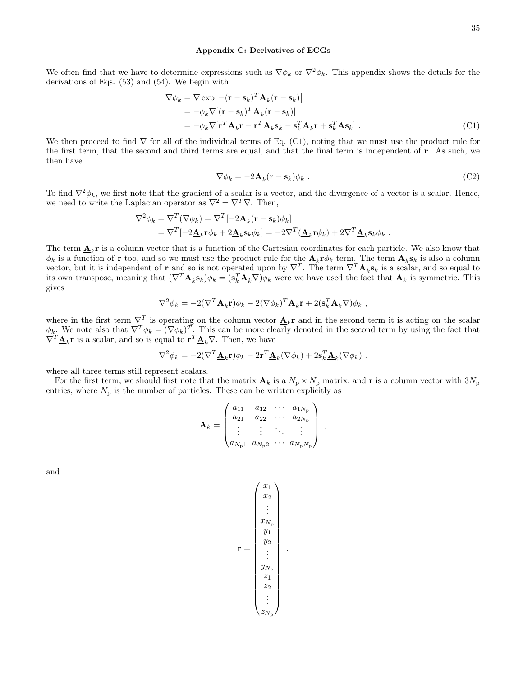### <span id="page-34-0"></span>Appendix C: Derivatives of ECGs

We often find that we have to determine expressions such as  $\nabla \phi_k$  or  $\nabla^2 \phi_k$ . This appendix shows the details for the derivations of Eqs. [\(53\)](#page-10-9) and [\(54\)](#page-10-5). We begin with

$$
\nabla \phi_k = \nabla \exp\left[-(\mathbf{r} - \mathbf{s}_k)^T \underline{\mathbf{A}}_k (\mathbf{r} - \mathbf{s}_k)\right]
$$
  
\n
$$
= -\phi_k \nabla[(\mathbf{r} - \mathbf{s}_k)^T \underline{\mathbf{A}}_k (\mathbf{r} - \mathbf{s}_k)]
$$
  
\n
$$
= -\phi_k \nabla[\mathbf{r}^T \underline{\mathbf{A}}_k \mathbf{r} - \mathbf{r}^T \underline{\mathbf{A}}_k \mathbf{s}_k - \mathbf{s}_k^T \underline{\mathbf{A}}_k \mathbf{r} + \mathbf{s}_k^T \underline{\mathbf{A}} \mathbf{s}_k].
$$
 (C1)

We then proceed to find  $\nabla$  for all of the individual terms of Eq. [\(C1\)](#page-34-1), noting that we must use the product rule for the first term, that the second and third terms are equal, and that the final term is independent of r. As such, we then have

<span id="page-34-1"></span>
$$
\nabla \phi_k = -2\underline{\mathbf{A}}_k(\mathbf{r} - \mathbf{s}_k)\phi_k .
$$
 (C2)

To find  $\nabla^2 \phi_k$ , we first note that the gradient of a scalar is a vector, and the divergence of a vector is a scalar. Hence, we need to write the Laplacian operator as  $\nabla^2 = \nabla^T \nabla$ . Then,

$$
\nabla^2 \phi_k = \nabla^T (\nabla \phi_k) = \nabla^T [-2\underline{\mathbf{A}}_k (\mathbf{r} - \mathbf{s}_k) \phi_k]
$$
  
=  $\nabla^T [-2\underline{\mathbf{A}}_k \mathbf{r} \phi_k + 2\underline{\mathbf{A}}_k \mathbf{s}_k \phi_k] = -2\nabla^T (\underline{\mathbf{A}}_k \mathbf{r} \phi_k) + 2\nabla^T \underline{\mathbf{A}}_k \mathbf{s}_k \phi_k.$ 

The term  $\underline{\mathbf{A}}_k$ **r** is a column vector that is a function of the Cartesian coordinates for each particle. We also know that  $\phi_k$  is a function of **r** too, and so we must use the product rule for the  $\underline{\mathbf{A}}_k \mathbf{r} \phi_k$  term. The term  $\underline{\mathbf{A}}_k \mathbf{s}_k$  is also a column vector, but it is independent of **r** and so is not operated upon by  $\nabla^T$ . The term  $\nabla^T \mathbf{A}_k \mathbf{s}_k$  is a scalar, and so equal to its own transpose, meaning that  $(\nabla^T \mathbf{\underline{A}}_k \mathbf{s}_k) \phi_k = (\mathbf{s}_k^T \mathbf{\underline{A}}_k \nabla) \phi_k$  were we have used the fact that  $\mathbf{A}_k$  is symmetric. This gives

$$
\nabla^2 \phi_k = -2(\nabla^T \mathbf{\underline{A}}_k \mathbf{r}) \phi_k - 2(\nabla \phi_k)^T \mathbf{\underline{A}}_k \mathbf{r} + 2(\mathbf{s}_k^T \mathbf{\underline{A}}_k \nabla) \phi_k,
$$

where in the first term  $\nabla^T$  is operating on the column vector  $\underline{\mathbf{A}}_k$ **r** and in the second term it is acting on the scalar  $\phi_k$ . We note also that  $\nabla^T \phi_k = (\nabla \phi_k)^T$ . This can be more clearly denoted in the second term by using the fact that  $\nabla^T \underline{\mathbf{A}}_k \mathbf{r}$  is a scalar, and so is equal to  $\mathbf{r}^T \underline{\mathbf{A}}_k \nabla$ . Then, we have

$$
\nabla^2 \phi_k = -2(\nabla^T \underline{\mathbf{A}}_k \mathbf{r}) \phi_k - 2\mathbf{r}^T \underline{\mathbf{A}}_k (\nabla \phi_k) + 2\mathbf{s}_k^T \underline{\mathbf{A}}_k (\nabla \phi_k) .
$$

where all three terms still represent scalars.

For the first term, we should first note that the matrix  $A_k$  is a  $N_p \times N_p$  matrix, and r is a column vector with  $3N_p$ entries, where  $N_{\rm p}$  is the number of particles. These can be written explicitly as

$$
\mathbf{A}_{k} = \begin{pmatrix} a_{11} & a_{12} & \cdots & a_{1N_{\rm p}} \\ a_{21} & a_{22} & \cdots & a_{2N_{\rm p}} \\ \vdots & \vdots & \ddots & \vdots \\ a_{N_{\rm p}1} & a_{N_{\rm p}2} & \cdots & a_{N_{\rm p}N_{\rm p}} \end{pmatrix}
$$

,

and

$$
\mathbf{r} = \begin{pmatrix} x_1 \\ x_2 \\ \vdots \\ x_{N_\mathrm{p}} \\ y_1 \\ y_2 \\ \vdots \\ y_{N_\mathrm{p}} \\ z_1 \\ z_2 \\ \vdots \\ z_{N_\mathrm{p}} \end{pmatrix}.
$$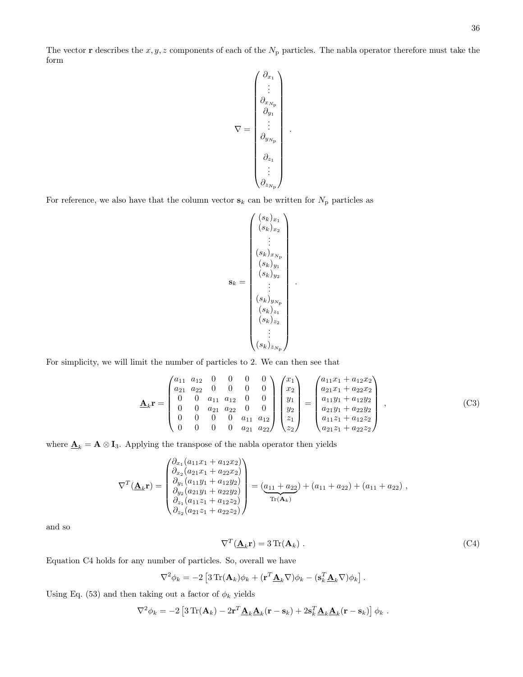The vector **r** describes the  $x, y, z$  components of each of the  $N_p$  particles. The nabla operator therefore must take the form

$$
\nabla = \begin{pmatrix}\n\partial_{x_1} \\
\vdots \\
\partial_{x_{N_p}} \\
\partial_{y_1} \\
\vdots \\
\partial_{y_{N_p}} \\
\vdots \\
\partial_{z_1} \\
\vdots \\
\partial_{z_{N_p}}\n\end{pmatrix}
$$

.

For reference, we also have that the column vector  $s_k$  can be written for  $N_p$  particles as

$$
\mathbf{s}_{k} = \begin{pmatrix} (s_{k})_{x_{1}} \\ (s_{k})_{x_{2}} \\ \vdots \\ (s_{k})_{x_{N_{\text{p}}}} \\ (s_{k})_{y_{1}} \\ (s_{k})_{y_{2}} \\ \vdots \\ (s_{k})_{y_{N_{\text{p}}}} \\ (s_{k})_{z_{1}} \\ (s_{k})_{z_{2}} \\ \vdots \\ (s_{k})_{z_{N_{\text{p}}}} \end{pmatrix}
$$

.

For simplicity, we will limit the number of particles to 2. We can then see that

$$
\underline{\mathbf{A}}_{k} \mathbf{r} = \begin{pmatrix} a_{11} & a_{12} & 0 & 0 & 0 & 0 \\ a_{21} & a_{22} & 0 & 0 & 0 & 0 \\ 0 & 0 & a_{11} & a_{12} & 0 & 0 \\ 0 & 0 & a_{21} & a_{22} & 0 & 0 \\ 0 & 0 & 0 & 0 & a_{11} & a_{12} \\ 0 & 0 & 0 & 0 & a_{11} & a_{12} \\ 0 & 0 & 0 & 0 & a_{21} & a_{22} \end{pmatrix} \begin{pmatrix} x_{1} \\ x_{2} \\ y_{1} \\ y_{2} \\ z_{1} \\ z_{2} \end{pmatrix} = \begin{pmatrix} a_{11}x_{1} + a_{12}x_{2} \\ a_{21}x_{1} + a_{22}x_{2} \\ a_{11}y_{1} + a_{12}y_{2} \\ a_{21}y_{1} + a_{22}z_{2} \\ a_{21}z_{1} + a_{22}z_{2} \end{pmatrix},
$$
\n(C3)

where  $\underline{\mathbf{A}}_k = \mathbf{A} \otimes \mathbf{I}_3$ . Applying the transpose of the nabla operator then yields

$$
\nabla^{T}(\underline{\mathbf{A}}_{k}\mathbf{r}) = \begin{pmatrix} \partial_{x_{1}}(a_{11}x_{1} + a_{12}x_{2}) \\ \partial_{x_{2}}(a_{21}x_{1} + a_{22}x_{2}) \\ \partial_{y_{1}}(a_{11}y_{1} + a_{12}y_{2}) \\ \partial_{y_{2}}(a_{21}y_{1} + a_{22}y_{2}) \\ \partial_{z_{1}}(a_{11}z_{1} + a_{12}z_{2}) \\ \partial_{z_{2}}(a_{21}z_{1} + a_{22}z_{2}) \end{pmatrix} = (\underline{a_{11} + a_{22}}) + (a_{11} + a_{22}) + (a_{11} + a_{22}),
$$

and so

<span id="page-35-0"></span>
$$
\nabla^T (\underline{\mathbf{A}}_k \mathbf{r}) = 3 \operatorname{Tr}(\mathbf{A}_k) \tag{C4}
$$

Equation [C4](#page-35-0) holds for any number of particles. So, overall we have

$$
\nabla^2 \phi_k = -2 \left[ 3 \operatorname{Tr}(\mathbf{A}_k) \phi_k + (\mathbf{r}^T \mathbf{\underline{A}}_k \nabla) \phi_k - (\mathbf{s}_k^T \mathbf{\underline{A}}_k \nabla) \phi_k \right].
$$

Using Eq. [\(53\)](#page-10-9) and then taking out a factor of  $\phi_k$  yields

$$
\nabla^2 \phi_k = -2 \left[ 3 \operatorname{Tr}(\mathbf{A}_k) - 2 \mathbf{r}^T \mathbf{\underline{A}}_k \mathbf{\underline{A}}_k (\mathbf{r} - \mathbf{s}_k) + 2 \mathbf{s}_k^T \mathbf{\underline{A}}_k \mathbf{\underline{A}}_k (\mathbf{r} - \mathbf{s}_k) \right] \phi_k.
$$